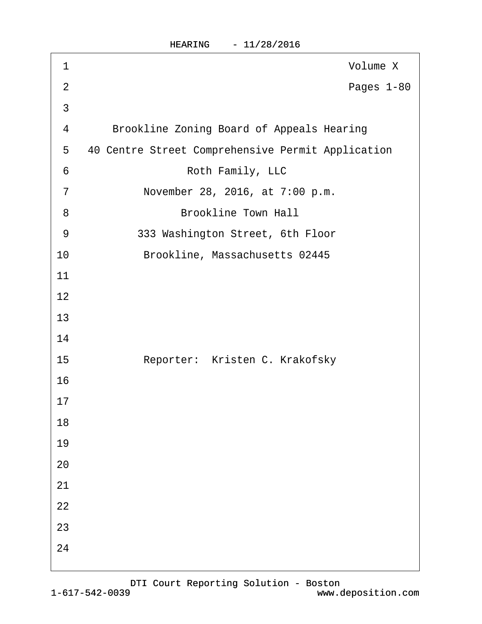| HEARING |  |  |  | 11/28/2016 |  |
|---------|--|--|--|------------|--|
|---------|--|--|--|------------|--|

| 1              | Volume X                                          |
|----------------|---------------------------------------------------|
| $\overline{2}$ | Pages 1-80                                        |
| 3              |                                                   |
| 4              | <b>Brookline Zoning Board of Appeals Hearing</b>  |
| 5              | 40 Centre Street Comprehensive Permit Application |
| 6              | Roth Family, LLC                                  |
| $\overline{7}$ | November 28, 2016, at 7:00 p.m.                   |
| 8              | <b>Brookline Town Hall</b>                        |
| 9              | 333 Washington Street, 6th Floor                  |
| 10             | Brookline, Massachusetts 02445                    |
| 11             |                                                   |
| 12             |                                                   |
| 13             |                                                   |
| 14             |                                                   |
| 15             | Reporter: Kristen C. Krakofsky                    |
| 16             |                                                   |
| 17             |                                                   |
| 18             |                                                   |
| 19             |                                                   |
| 20             |                                                   |
| 21             |                                                   |
| 22             |                                                   |
| 23             |                                                   |
| 24             |                                                   |
|                |                                                   |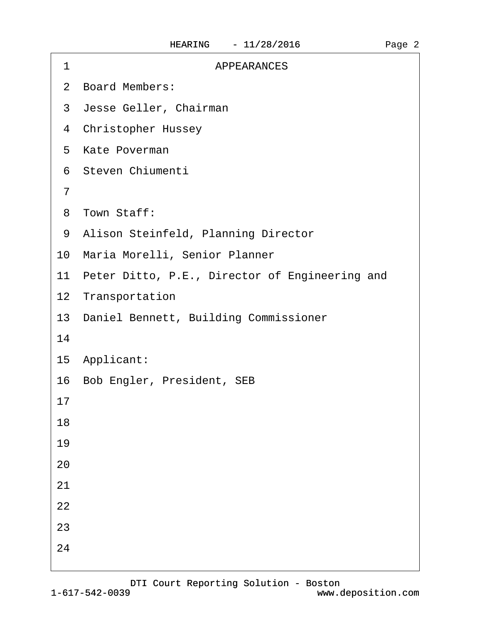| <b>APPEARANCES</b><br>1                           |
|---------------------------------------------------|
| 2 Board Members:                                  |
| 3 Jesse Geller, Chairman                          |
| 4 Christopher Hussey                              |
| 5 Kate Poverman                                   |
| 6 Steven Chiumenti                                |
| 7                                                 |
| 8 Town Staff:                                     |
| 9 Alison Steinfeld, Planning Director             |
| 10 Maria Morelli, Senior Planner                  |
| 11 Peter Ditto, P.E., Director of Engineering and |
| 12 Transportation                                 |
| 13 Daniel Bennett, Building Commissioner          |
| 14                                                |
| 15 Applicant:                                     |
| 16 Bob Engler, President, SEB                     |
| 17                                                |
| 18                                                |
| 19                                                |
| 20                                                |
| 21                                                |
| 22                                                |
| 23                                                |
| 24                                                |
|                                                   |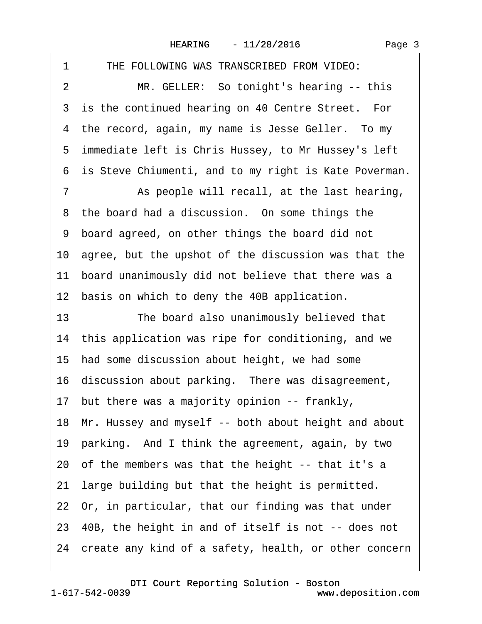| THE FOLLOWING WAS TRANSCRIBED FROM VIDEO:<br>1             |
|------------------------------------------------------------|
| $\overline{2}$<br>MR. GELLER: So tonight's hearing -- this |
| 3 is the continued hearing on 40 Centre Street. For        |
| 4 the record, again, my name is Jesse Geller. To my        |
| 5 immediate left is Chris Hussey, to Mr Hussey's left      |
| 6 is Steve Chiumenti, and to my right is Kate Poverman.    |
| 7<br>As people will recall, at the last hearing,           |
| 8 the board had a discussion. On some things the           |
| 9 board agreed, on other things the board did not          |
| 10 agree, but the upshot of the discussion was that the    |
| 11 board unanimously did not believe that there was a      |
| 12 basis on which to deny the 40B application.             |
| 13<br>The board also unanimously believed that             |
| 14 this application was ripe for conditioning, and we      |
| 15 had some discussion about height, we had some           |
| 16 discussion about parking. There was disagreement,       |
| 17 but there was a majority opinion -- frankly,            |
| 18 Mr. Hussey and myself -- both about height and about    |
| 19 parking. And I think the agreement, again, by two       |
| 20 of the members was that the height -- that it's a       |
| 21 large building but that the height is permitted.        |
| 22 Or, in particular, that our finding was that under      |
| 23 40B, the height in and of itself is not -- does not     |
| 24 create any kind of a safety, health, or other concern   |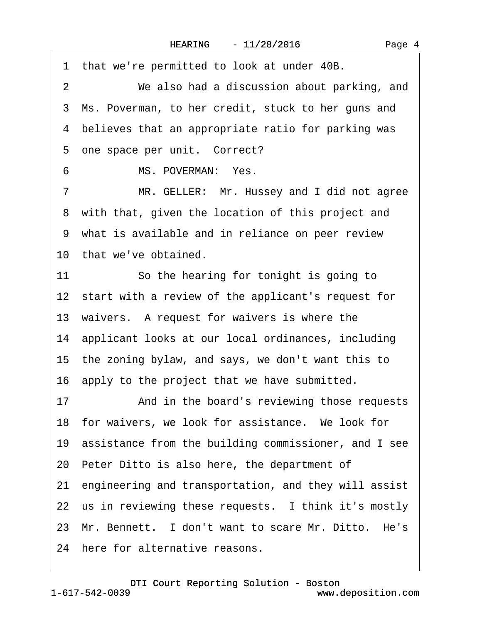·1· that we're permitted to look at under 40B. 2 We also had a discussion about parking, and 3 Ms. Poverman, to her credit, stuck to her guns and 4 believes that an appropriate ratio for parking was 5 one space per unit. Correct? 6 MS. POVERMAN: Yes. 7 MR. GELLER: Mr. Hussey and I did not agree 8 with that, given the location of this project and 9 what is available and in reliance on peer review 10 that we've obtained. 11 So the hearing for tonight is going to 12 start with a review of the applicant's request for 13· waivers.· A request for waivers is where the 14· applicant looks at our local ordinances, including 15· the zoning bylaw, and says, we don't want this to 16 apply to the project that we have submitted. 17 • And in the board's reviewing those requests 18 for waivers, we look for assistance. We look for 19· assistance from the building commissioner, and I see 20· Peter Ditto is also here, the department of 21 engineering and transportation, and they will assist 22 us in reviewing these requests. I think it's mostly 23 Mr. Bennett. I don't want to scare Mr. Ditto. He's 24 here for alternative reasons.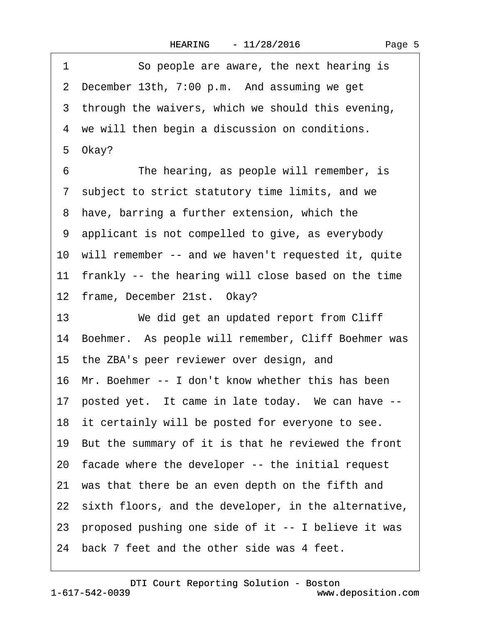|  | Page 5 |  |
|--|--------|--|
|--|--------|--|

| 1  | So people are aware, the next hearing is                |
|----|---------------------------------------------------------|
|    | 2 December 13th, 7:00 p.m. And assuming we get          |
|    | 3 through the waivers, which we should this evening,    |
|    | 4 we will then begin a discussion on conditions.        |
|    | 5 Okay?                                                 |
| 6  | The hearing, as people will remember, is                |
|    | 7 subject to strict statutory time limits, and we       |
|    | 8 have, barring a further extension, which the          |
|    | 9 applicant is not compelled to give, as everybody      |
|    | 10 will remember -- and we haven't requested it, quite  |
|    | 11 frankly -- the hearing will close based on the time  |
|    | 12 frame, December 21st. Okay?                          |
| 13 | We did get an updated report from Cliff                 |
|    | 14 Boehmer. As people will remember, Cliff Boehmer was  |
|    | 15 the ZBA's peer reviewer over design, and             |
|    | 16 Mr. Boehmer -- I don't know whether this has been    |
|    | 17 posted yet. It came in late today. We can have --    |
|    | 18 it certainly will be posted for everyone to see.     |
|    | 19 But the summary of it is that he reviewed the front  |
|    | 20 facade where the developer -- the initial request    |
|    | 21 was that there be an even depth on the fifth and     |
|    | 22 sixth floors, and the developer, in the alternative, |
|    | 23 proposed pushing one side of it -- I believe it was  |
|    | 24 back 7 feet and the other side was 4 feet.           |
|    |                                                         |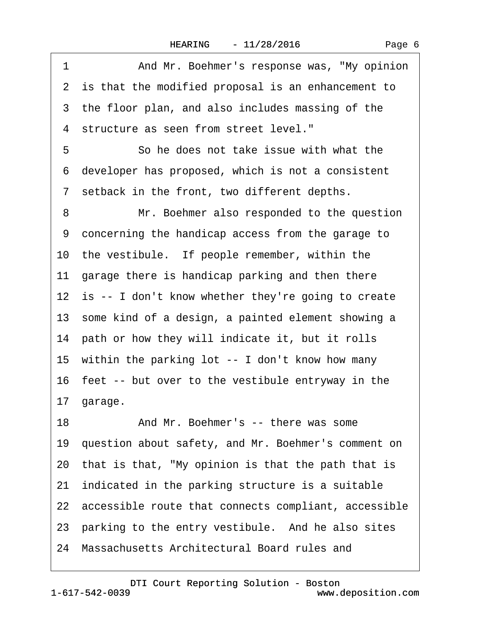| Page 6 |
|--------|
|--------|

| 1  | And Mr. Boehmer's response was, "My opinion             |
|----|---------------------------------------------------------|
|    | 2 is that the modified proposal is an enhancement to    |
|    | 3 the floor plan, and also includes massing of the      |
|    | 4 structure as seen from street level."                 |
| 5  | So he does not take issue with what the                 |
| 6  | developer has proposed, which is not a consistent       |
|    | 7 setback in the front, two different depths.           |
| 8  | Mr. Boehmer also responded to the question              |
| 9  | concerning the handicap access from the garage to       |
|    | 10 the vestibule. If people remember, within the        |
|    | 11 garage there is handicap parking and then there      |
|    | 12 is -- I don't know whether they're going to create   |
|    | 13 some kind of a design, a painted element showing a   |
|    | 14 path or how they will indicate it, but it rolls      |
|    | 15 within the parking lot -- I don't know how many      |
|    | 16 feet -- but over to the vestibule entryway in the    |
|    | 17 garage.                                              |
| 18 | And Mr. Boehmer's -- there was some                     |
|    | 19 question about safety, and Mr. Boehmer's comment on  |
|    | 20 that is that, "My opinion is that the path that is   |
|    | 21 indicated in the parking structure is a suitable     |
|    | 22 accessible route that connects compliant, accessible |
|    | 23 parking to the entry vestibule. And he also sites    |
|    | 24 Massachusetts Architectural Board rules and          |
|    |                                                         |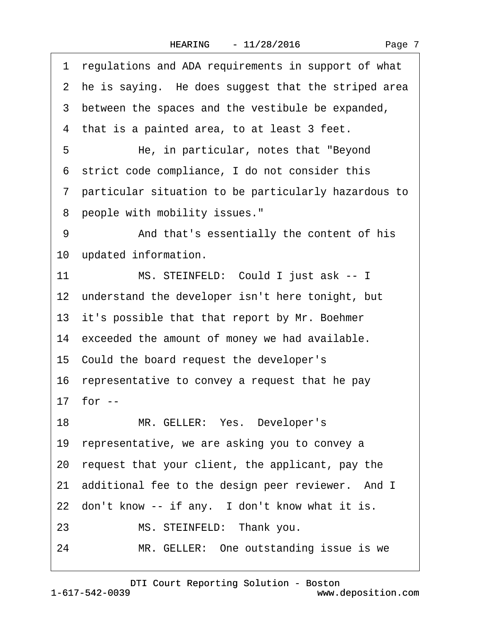|  | Page 7 |  |
|--|--------|--|
|--|--------|--|

|    | 1 regulations and ADA requirements in support of what  |
|----|--------------------------------------------------------|
|    | 2 he is saying. He does suggest that the striped area  |
|    | 3 between the spaces and the vestibule be expanded,    |
|    | 4 that is a painted area, to at least 3 feet.          |
| 5  | He, in particular, notes that "Beyond"                 |
|    | 6 strict code compliance, I do not consider this       |
|    | 7 particular situation to be particularly hazardous to |
| 8  | people with mobility issues."                          |
| 9  | And that's essentially the content of his              |
|    | 10 updated information.                                |
| 11 | MS. STEINFELD: Could I just ask -- I                   |
|    | 12 understand the developer isn't here tonight, but    |
|    | 13 it's possible that that report by Mr. Boehmer       |
|    | 14 exceeded the amount of money we had available.      |
|    | 15 Could the board request the developer's             |
|    | 16 representative to convey a request that he pay      |
|    | 17 for --                                              |
|    | 18<br>MR. GELLER: Yes. Developer's                     |
|    | 19 representative, we are asking you to convey a       |
|    | 20 request that your client, the applicant, pay the    |
|    | 21 additional fee to the design peer reviewer. And I   |
|    | 22 don't know -- if any. I don't know what it is.      |
| 23 | MS. STEINFELD: Thank you.                              |
| 24 | MR. GELLER: One outstanding issue is we                |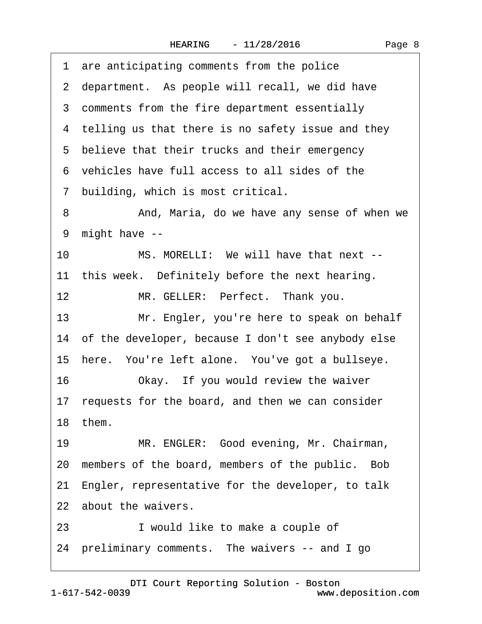| are anticipating comments from the police<br>1        |
|-------------------------------------------------------|
| 2 department. As people will recall, we did have      |
| 3 comments from the fire department essentially       |
| 4 telling us that there is no safety issue and they   |
| 5 believe that their trucks and their emergency       |
| 6 vehicles have full access to all sides of the       |
| 7 building, which is most critical.                   |
| 8<br>And, Maria, do we have any sense of when we      |
| might have --<br>9                                    |
| 10<br>MS. MORELLI: We will have that next --          |
| 11 this week. Definitely before the next hearing.     |
| 12<br>MR. GELLER: Perfect. Thank you.                 |
| 13<br>Mr. Engler, you're here to speak on behalf      |
| 14 of the developer, because I don't see anybody else |
| 15 here. You're left alone. You've got a bullseye.    |
| 16<br>Okay. If you would review the waiver            |
| 17 requests for the board, and then we can consider   |
| 18 them.                                              |
| MR. ENGLER: Good evening, Mr. Chairman,<br>19         |
| 20 members of the board, members of the public. Bob   |
| 21 Engler, representative for the developer, to talk  |
| 22 about the waivers.                                 |
| I would like to make a couple of<br>23                |
| 24 preliminary comments. The waivers -- and I go      |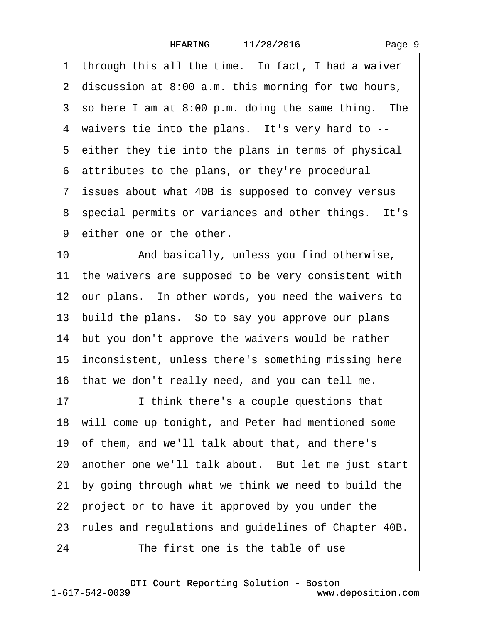Page 9

|    | 1 through this all the time. In fact, I had a waiver    |
|----|---------------------------------------------------------|
|    | 2 discussion at 8:00 a.m. this morning for two hours,   |
|    | 3 so here I am at 8:00 p.m. doing the same thing. The   |
|    | 4 waivers tie into the plans. It's very hard to --      |
|    | 5 either they tie into the plans in terms of physical   |
|    | 6 attributes to the plans, or they're procedural        |
|    | 7 issues about what 40B is supposed to convey versus    |
|    | 8 special permits or variances and other things. It's   |
|    | 9 either one or the other.                              |
| 10 | And basically, unless you find otherwise,               |
|    | 11 the waivers are supposed to be very consistent with  |
|    | 12 our plans. In other words, you need the waivers to   |
|    | 13 build the plans. So to say you approve our plans     |
|    | 14 but you don't approve the waivers would be rather    |
|    | 15 inconsistent, unless there's something missing here  |
|    | 16 that we don't really need, and you can tell me.      |
| 17 | I think there's a couple questions that                 |
|    | 18 will come up tonight, and Peter had mentioned some   |
|    | 19 of them, and we'll talk about that, and there's      |
|    | 20 another one we'll talk about. But let me just start  |
|    | 21 by going through what we think we need to build the  |
|    | 22 project or to have it approved by you under the      |
|    | 23 rules and regulations and guidelines of Chapter 40B. |
| 24 | The first one is the table of use                       |
|    |                                                         |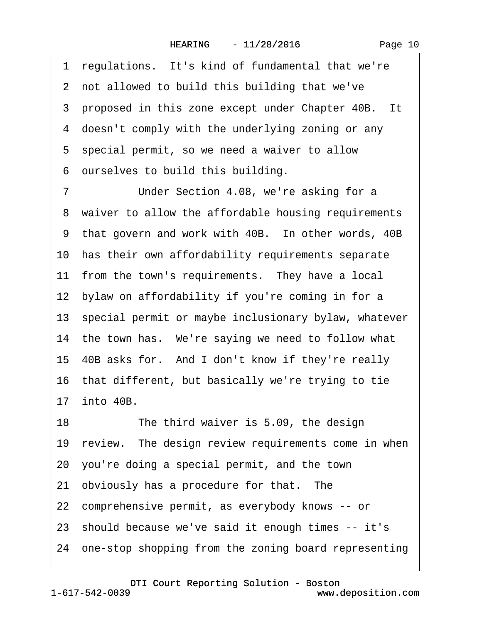·1· regulations.· It's kind of fundamental that we're ·2· not allowed to build this building that we've 3 proposed in this zone except under Chapter 40B. It 4 doesn't comply with the underlying zoning or any 5 special permit, so we need a waiver to allow ·6· ourselves to build this building. 7 **Under Section 4.08, we're asking for a** 8 waiver to allow the affordable housing requirements 9 that govern and work with 40B. In other words, 40B 10 has their own affordability requirements separate 11 from the town's requirements. They have a local 12 bylaw on affordability if you're coming in for a 13· special permit or maybe inclusionary bylaw, whatever 14 the town has. We're saying we need to follow what 15· 40B asks for.· And I don't know if they're really 16· that different, but basically we're trying to tie 17· into 40B. 18 The third waiver is 5.09, the design 19 review. The design review requirements come in when 20· you're doing a special permit, and the town 21 obviously has a procedure for that. The 22 comprehensive permit, as everybody knows -- or 23· should because we've said it enough times -- it's 24 one-stop shopping from the zoning board representing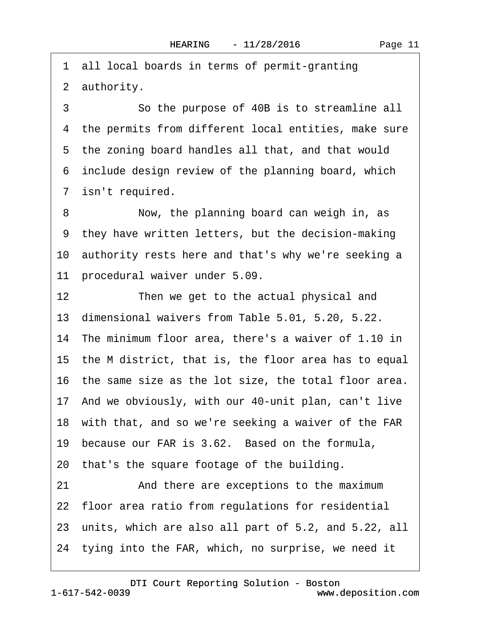·1· all local boards in terms of permit-granting 2 authority.

3 So the purpose of 40B is to streamline all 4 the permits from different local entities, make sure 5 the zoning board handles all that, and that would 6 include design review of the planning board, which 7 isn't required.

8 Now, the planning board can weigh in, as ·9· they have written letters, but the decision-making 10 authority rests here and that's why we're seeking a 11 procedural waiver under 5.09.

12 Then we get to the actual physical and 13· dimensional waivers from Table 5.01, 5.20, 5.22. 14· The minimum floor area, there's a waiver of 1.10 in 15· the M district, that is, the floor area has to equal 16· the same size as the lot size, the total floor area. 17· And we obviously, with our 40-unit plan, can't live 18 with that, and so we're seeking a waiver of the FAR 19· because our FAR is 3.62.· Based on the formula, 20· that's the square footage of the building. 21 And there are exceptions to the maximum 22 floor area ratio from regulations for residential 23· units, which are also all part of 5.2, and 5.22, all 24· tying into the FAR, which, no surprise, we need it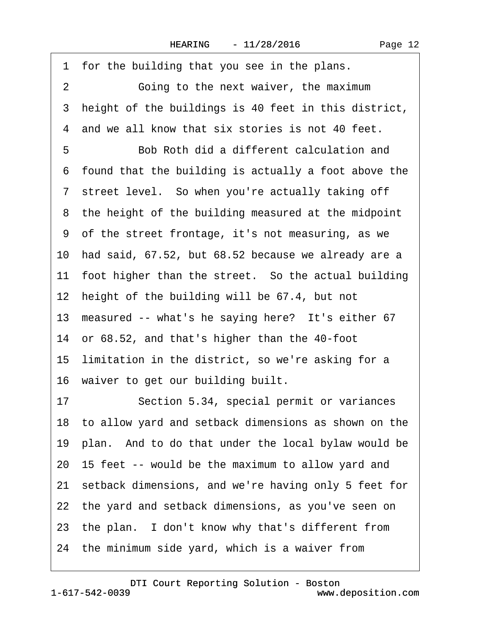| 1 for the building that you see in the plans.             |
|-----------------------------------------------------------|
| $\overline{2}$<br>Going to the next waiver, the maximum   |
| height of the buildings is 40 feet in this district,<br>3 |
| 4 and we all know that six stories is not 40 feet.        |
| 5<br>Bob Roth did a different calculation and             |
| 6 found that the building is actually a foot above the    |
| 7 street level. So when you're actually taking off        |
| 8 the height of the building measured at the midpoint     |
| 9 of the street frontage, it's not measuring, as we       |
| 10 had said, 67.52, but 68.52 because we already are a    |
| 11 foot higher than the street. So the actual building    |
| 12 height of the building will be 67.4, but not           |
| 13 measured -- what's he saying here? It's either 67      |
| 14 or 68.52, and that's higher than the 40-foot           |
| 15 limitation in the district, so we're asking for a      |
| 16 waiver to get our building built.                      |
| Section 5.34, special permit or variances<br>17           |
| 18 to allow yard and setback dimensions as shown on the   |
| 19 plan. And to do that under the local bylaw would be    |
| 20 15 feet -- would be the maximum to allow yard and      |
| 21 setback dimensions, and we're having only 5 feet for   |
| 22 the yard and setback dimensions, as you've seen on     |
| 23 the plan. I don't know why that's different from       |
| 24 the minimum side yard, which is a waiver from          |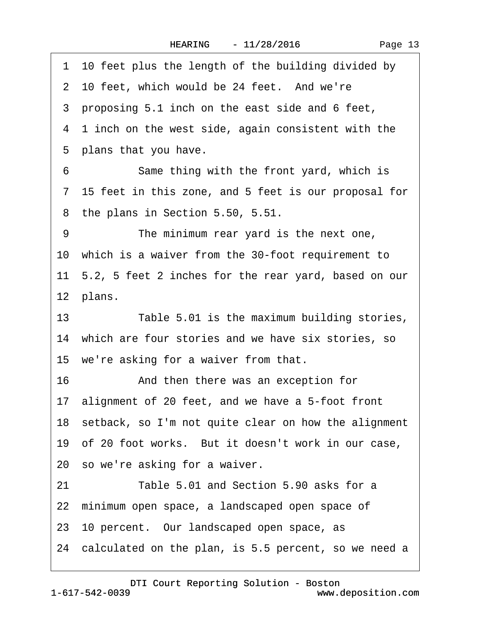1 10 feet plus the length of the building divided by 2 10 feet, which would be 24 feet. And we're 3 proposing 5.1 inch on the east side and 6 feet, 4 1 inch on the west side, again consistent with the 5 plans that you have. 6 Same thing with the front yard, which is ·7· 15 feet in this zone, and 5 feet is our proposal for 8 the plans in Section 5.50, 5.51. 9 The minimum rear yard is the next one, 10· which is a waiver from the 30-foot requirement to 11· 5.2, 5 feet 2 inches for the rear yard, based on our 12 plans. 13 Table 5.01 is the maximum building stories, 14 which are four stories and we have six stories, so 15 we're asking for a waiver from that. 16 • **And then there was an exception for** 17· alignment of 20 feet, and we have a 5-foot front 18 setback, so I'm not quite clear on how the alignment 19 of 20 foot works. But it doesn't work in our case, 20· so we're asking for a waiver. 21 Table 5.01 and Section 5.90 asks for a 22 minimum open space, a landscaped open space of 23· 10 percent.· Our landscaped open space, as 24· calculated on the plan, is 5.5 percent, so we need a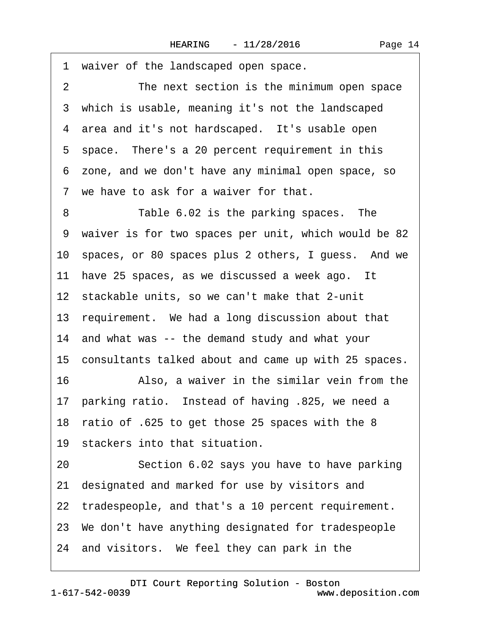1 waiver of the landscaped open space. 2 The next section is the minimum open space 3 which is usable, meaning it's not the landscaped 4 area and it's not hardscaped. It's usable open 5 space. There's a 20 percent requirement in this ·6· zone, and we don't have any minimal open space, so 7 we have to ask for a waiver for that. 8 Table 6.02 is the parking spaces. The ·9· waiver is for two spaces per unit, which would be 82 10· spaces, or 80 spaces plus 2 others, I guess.· And we 11 have 25 spaces, as we discussed a week ago. It 12 stackable units, so we can't make that 2-unit 13 requirement. We had a long discussion about that 14 and what was -- the demand study and what your 15 consultants talked about and came up with 25 spaces. 16 • Also, a waiver in the similar vein from the 17· parking ratio.· Instead of having .825, we need a 18· ratio of .625 to get those 25 spaces with the 8 19 stackers into that situation. 20 Section 6.02 says you have to have parking 21· designated and marked for use by visitors and 22 tradespeople, and that's a 10 percent requirement. 23· We don't have anything designated for tradespeople 24 and visitors. We feel they can park in the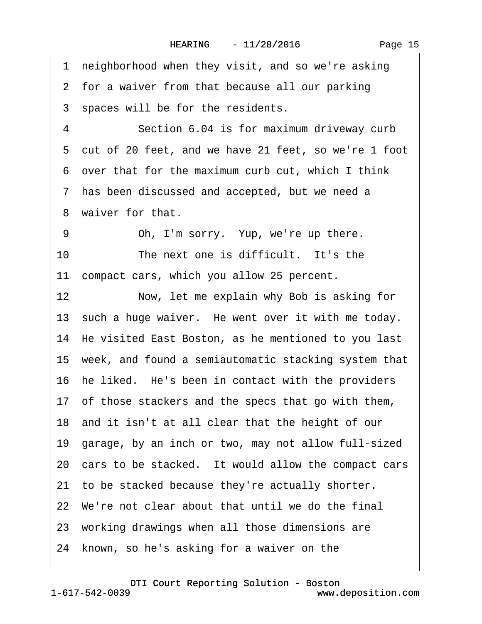1 neighborhood when they visit, and so we're asking 2 for a waiver from that because all our parking 3 spaces will be for the residents. 4 **Section 6.04 is for maximum driveway curb** ·5· cut of 20 feet, and we have 21 feet, so we're 1 foot ·6· over that for the maximum curb cut, which I think ·7· has been discussed and accepted, but we need a 8 waiver for that. 9 Oh, I'm sorry. Yup, we're up there. 10 The next one is difficult. It's the 11 compact cars, which you allow 25 percent. 12 Now, let me explain why Bob is asking for 13 such a huge waiver. He went over it with me today. 14 He visited East Boston, as he mentioned to you last 15· week, and found a semiautomatic stacking system that 16 he liked. He's been in contact with the providers 17· of those stackers and the specs that go with them, 18· and it isn't at all clear that the height of our 19· garage, by an inch or two, may not allow full-sized 20 cars to be stacked. It would allow the compact cars 21 to be stacked because they're actually shorter. 22· We're not clear about that until we do the final 23 working drawings when all those dimensions are 24 known, so he's asking for a waiver on the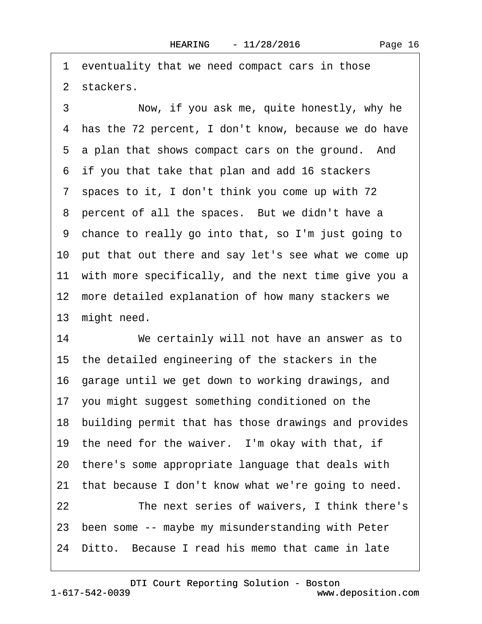1 eventuality that we need compact cars in those 2 stackers.

3 Now, if you ask me, quite honestly, why he 4 has the 72 percent, I don't know, because we do have 5 a plan that shows compact cars on the ground. And ·6· if you that take that plan and add 16 stackers 7 spaces to it, I don't think you come up with 72 8 percent of all the spaces. But we didn't have a ·9· chance to really go into that, so I'm just going to 10 put that out there and say let's see what we come up 11 with more specifically, and the next time give you a 12 more detailed explanation of how many stackers we 13 might need. 14 We certainly will not have an answer as to

15 the detailed engineering of the stackers in the 16· garage until we get down to working drawings, and 17· you might suggest something conditioned on the 18 building permit that has those drawings and provides

19 the need for the waiver. I'm okay with that, if

20· there's some appropriate language that deals with

21 that because I don't know what we're going to need.

22 The next series of waivers, I think there's

23· been some -- maybe my misunderstanding with Peter

24 Ditto. Because I read his memo that came in late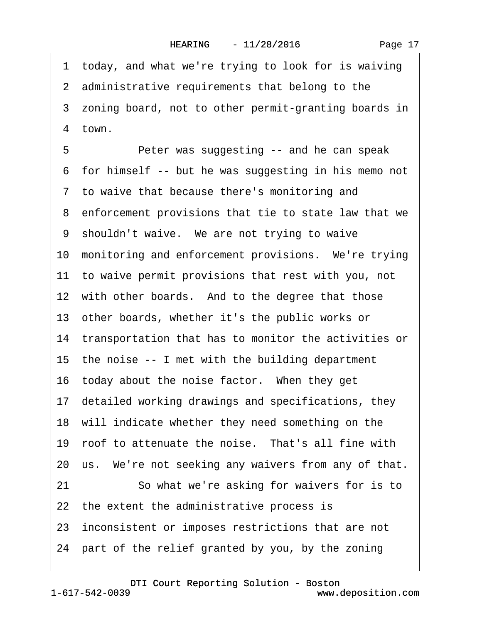1 today, and what we're trying to look for is waiving 2 administrative requirements that belong to the 3 zoning board, not to other permit-granting boards in 4 town. 5 • • • Peter was suggesting -- and he can speak ·6· for himself -- but he was suggesting in his memo not ·7· to waive that because there's monitoring and ·8· enforcement provisions that tie to state law that we 9 shouldn't waive. We are not trying to waive 10 monitoring and enforcement provisions. We're trying 11 to waive permit provisions that rest with you, not 12 with other boards. And to the degree that those 13· other boards, whether it's the public works or 14 transportation that has to monitor the activities or 15 the noise -- I met with the building department 16 today about the noise factor. When they get 17· detailed working drawings and specifications, they 18 will indicate whether they need something on the 19 roof to attenuate the noise. That's all fine with 20 us. We're not seeking any waivers from any of that. 21 So what we're asking for waivers for is to 22 the extent the administrative process is 23· inconsistent or imposes restrictions that are not 24· part of the relief granted by you, by the zoning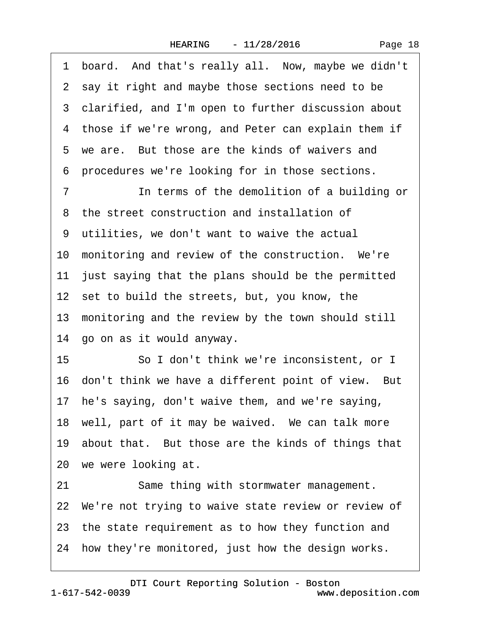1 board. And that's really all. Now, maybe we didn't 2 say it right and maybe those sections need to be 3 clarified, and I'm open to further discussion about 4 those if we're wrong, and Peter can explain them if 5 we are. But those are the kinds of waivers and ·6· procedures we're looking for in those sections. 7 **In terms of the demolition of a building or** ·8· the street construction and installation of ·9· utilities, we don't want to waive the actual 10 monitoring and review of the construction. We're 11 just saying that the plans should be the permitted 12 set to build the streets, but, you know, the 13 monitoring and the review by the town should still 14· go on as it would anyway. 15 So I don't think we're inconsistent, or I 16 don't think we have a different point of view. But 17 he's saying, don't waive them, and we're saying, 18 well, part of it may be waived. We can talk more 19· about that.· But those are the kinds of things that 20 we were looking at. 21 Same thing with stormwater management. 22 We're not trying to waive state review or review of

- 23· the state requirement as to how they function and
- 24 how they're monitored, just how the design works.

## www.deposition.com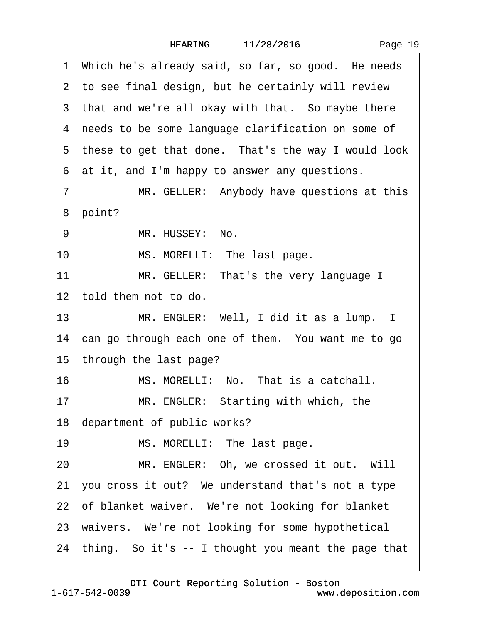|  | Page 19 |  |
|--|---------|--|
|--|---------|--|

|                | 1 Which he's already said, so far, so good. He needs   |
|----------------|--------------------------------------------------------|
|                | 2 to see final design, but he certainly will review    |
|                | 3 that and we're all okay with that. So maybe there    |
|                | 4 needs to be some language clarification on some of   |
|                | 5 these to get that done. That's the way I would look  |
|                | 6 at it, and I'm happy to answer any questions.        |
| $\overline{7}$ | MR. GELLER: Anybody have questions at this             |
|                | 8 point?                                               |
| 9              | MR. HUSSEY: No.                                        |
| 10             | MS. MORELLI: The last page.                            |
| 11             | MR. GELLER: That's the very language I                 |
|                | 12 told them not to do.                                |
|                | MR. ENGLER: Well, I did it as a lump. I<br>13          |
|                | 14 can go through each one of them. You want me to go  |
|                | 15 through the last page?                              |
| 16             | MS. MORELLI: No. That is a catchall.                   |
| 17             | MR. ENGLER: Starting with which, the                   |
|                | 18 department of public works?                         |
| 19             | MS. MORELLI: The last page.                            |
| 20             | MR. ENGLER: Oh, we crossed it out. Will                |
|                | 21 you cross it out? We understand that's not a type   |
|                | 22 of blanket waiver. We're not looking for blanket    |
|                | 23 waivers. We're not looking for some hypothetical    |
|                | 24 thing. So it's -- I thought you meant the page that |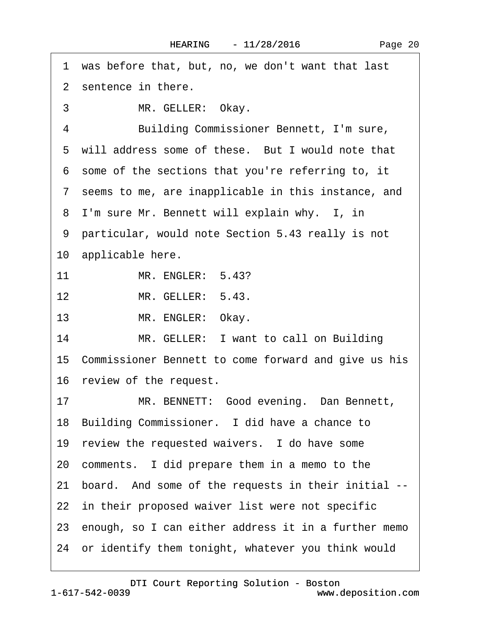1 was before that, but, no, we don't want that last 2 sentence in there. 3 MR. GELLER: Okay. 4 Building Commissioner Bennett, I'm sure, 5 will address some of these. But I would note that ·6· some of the sections that you're referring to, it ·7· seems to me, are inapplicable in this instance, and 8 I'm sure Mr. Bennett will explain why. I, in ·9· particular, would note Section 5.43 really is not 10 applicable here. 11 MR. ENGLER: 5.43? 12 MR. GELLER: 5.43. 13 MR. ENGLER: Okay. 14 MR. GELLER: I want to call on Building 15 Commissioner Bennett to come forward and give us his 16 review of the request. 17 MR. BENNETT: Good evening. Dan Bennett, 18 Building Commissioner. I did have a chance to 19 review the requested waivers. I do have some 20· comments.· I did prepare them in a memo to the 21 board. And some of the requests in their initial --22 in their proposed waiver list were not specific 23 enough, so I can either address it in a further memo 24· or identify them tonight, whatever you think would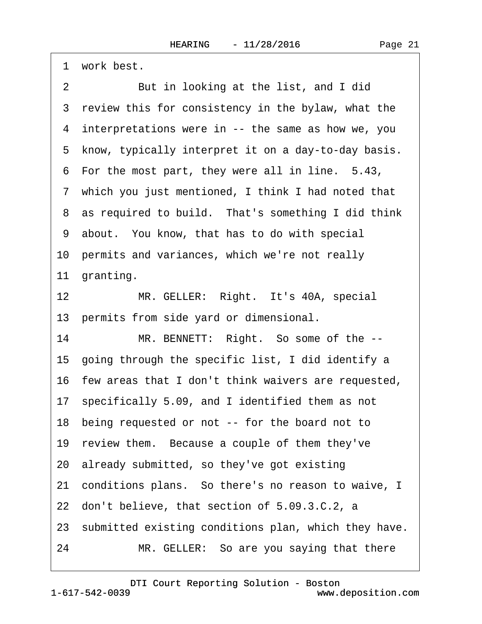1 work best. 2 But in looking at the list, and I did 3 review this for consistency in the bylaw, what the 4 interpretations were in -- the same as how we, you 5 know, typically interpret it on a day-to-day basis. 6 For the most part, they were all in line. 5.43, 7 which you just mentioned, I think I had noted that 8 as required to build. That's something I did think ·9· about.· You know, that has to do with special 10· permits and variances, which we're not really 11 granting. 12 MR. GELLER: Right. It's 40A, special 13 permits from side yard or dimensional. 14 MR. BENNETT: Right. So some of the --15· going through the specific list, I did identify a 16· few areas that I don't think waivers are requested, 17· specifically 5.09, and I identified them as not 18· being requested or not -- for the board not to 19 review them. Because a couple of them they've 20· already submitted, so they've got existing 21· conditions plans.· So there's no reason to waive, I 22· don't believe, that section of 5.09.3.C.2, a 23 submitted existing conditions plan, which they have. 24 MR. GELLER: So are you saying that there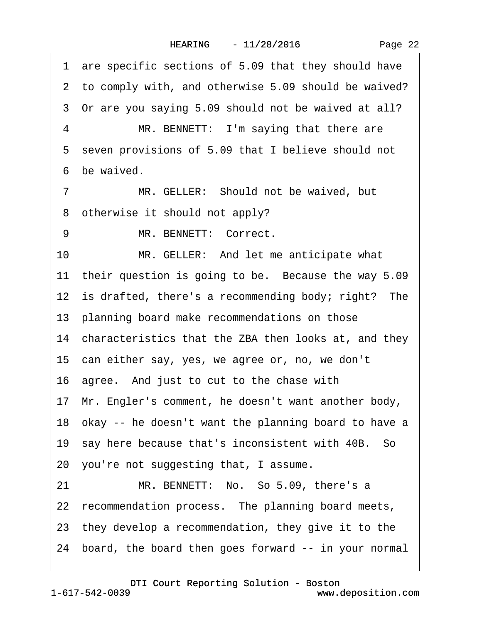·1· are specific sections of 5.09 that they should have 2 to comply with, and otherwise 5.09 should be waived? ·3· Or are you saying 5.09 should not be waived at all? 4 MR. BENNETT: I'm saying that there are 5 seven provisions of 5.09 that I believe should not 6 he waived 7 MR. GELLER: Should not be waived, but 8 otherwise it should not apply? 9 MR. BENNETT: Correct. 10 MR. GELLER: And let me anticipate what 11 their question is going to be. Because the way 5.09 12 is drafted, there's a recommending body; right? The 13 planning board make recommendations on those 14 characteristics that the ZBA then looks at, and they 15 can either say, yes, we agree or, no, we don't 16· agree.· And just to cut to the chase with 17· Mr. Engler's comment, he doesn't want another body, 18 okay -- he doesn't want the planning board to have a 19 say here because that's inconsistent with 40B. So 20· you're not suggesting that, I assume. 21 MR. BENNETT: No. So 5.09, there's a 22 recommendation process. The planning board meets, 23· they develop a recommendation, they give it to the 24· board, the board then goes forward -- in your normal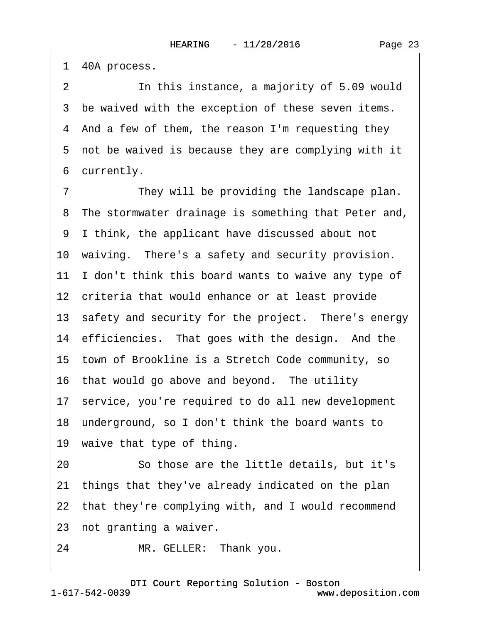1 40A process.

2 In this instance, a majority of 5.09 would 3 be waived with the exception of these seven items. ·4· And a few of them, the reason I'm requesting they 5 not be waived is because they are complying with it 6 currently.

7 They will be providing the landscape plan. 8 The stormwater drainage is something that Peter and, ·9· I think, the applicant have discussed about not 10 waiving. There's a safety and security provision. 11 I don't think this board wants to waive any type of 12 criteria that would enhance or at least provide 13 safety and security for the project. There's energy 14 efficiencies. That goes with the design. And the 15 town of Brookline is a Stretch Code community, so 16 that would go above and beyond. The utility 17· service, you're required to do all new development 18· underground, so I don't think the board wants to 19 waive that type of thing. 20· · · · · ·So those are the little details, but it's 21· things that they've already indicated on the plan 22 that they're complying with, and I would recommend

23 not granting a waiver.

24 MR. GELLER: Thank you.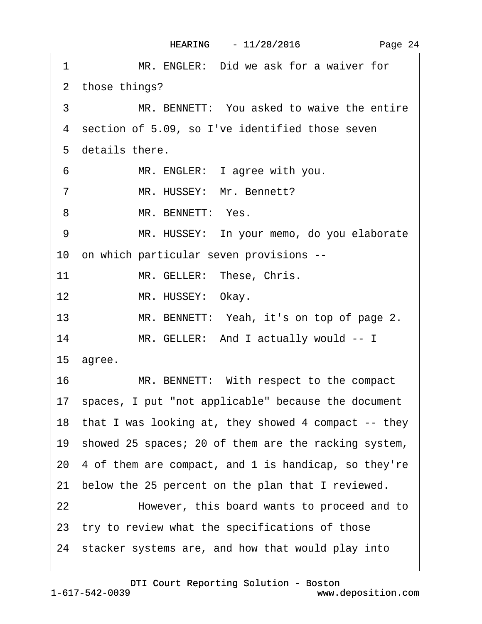| MR. ENGLER: Did we ask for a waiver for<br>1            |
|---------------------------------------------------------|
| 2 those things?                                         |
| 3<br>MR. BENNETT: You asked to waive the entire         |
| 4 section of 5.09, so I've identified those seven       |
| 5 details there.                                        |
| MR. ENGLER: I agree with you.<br>6                      |
| $\overline{7}$<br>MR. HUSSEY: Mr. Bennett?              |
| MR. BENNETT: Yes.<br>8                                  |
| MR. HUSSEY: In your memo, do you elaborate<br>9         |
| 10 on which particular seven provisions --              |
| 11<br>MR. GELLER: These, Chris.                         |
| 12 <sup>2</sup><br>MR. HUSSEY: Okay.                    |
| 13<br>MR. BENNETT: Yeah, it's on top of page 2.         |
| 14<br>MR. GELLER: And I actually would -- I             |
| 15 agree.                                               |
| 16<br>MR. BENNETT: With respect to the compact          |
| 17 spaces, I put "not applicable" because the document  |
| 18 that I was looking at, they showed 4 compact -- they |
| 19 showed 25 spaces; 20 of them are the racking system, |
| 20 4 of them are compact, and 1 is handicap, so they're |
| 21 below the 25 percent on the plan that I reviewed.    |
| 22<br>However, this board wants to proceed and to       |
| 23 try to review what the specifications of those       |
| 24 stacker systems are, and how that would play into    |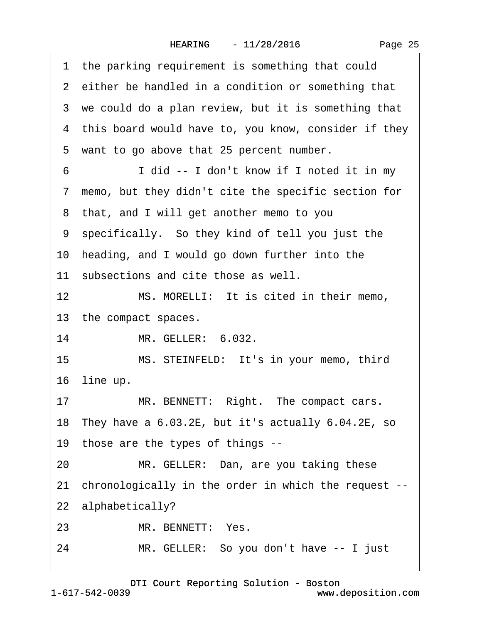|  | Page 25 |  |
|--|---------|--|
|--|---------|--|

|    | 1 the parking requirement is something that could       |
|----|---------------------------------------------------------|
|    | 2 either be handled in a condition or something that    |
|    | 3 we could do a plan review, but it is something that   |
|    | 4 this board would have to, you know, consider if they  |
|    | 5 want to go above that 25 percent number.              |
| 6  | I did -- I don't know if I noted it in my               |
|    | 7 memo, but they didn't cite the specific section for   |
|    | 8 that, and I will get another memo to you              |
|    | 9 specifically. So they kind of tell you just the       |
|    | 10 heading, and I would go down further into the        |
|    | 11 subsections and cite those as well.                  |
| 12 | MS. MORELLI: It is cited in their memo,                 |
|    | 13 the compact spaces.                                  |
| 14 | MR. GELLER: 6.032.                                      |
| 15 | MS. STEINFELD: It's in your memo, third                 |
|    | 16 line up.                                             |
| 17 | MR. BENNETT: Right. The compact cars.                   |
|    | 18 They have a 6.03.2E, but it's actually 6.04.2E, so   |
|    | 19 those are the types of things --                     |
| 20 | MR. GELLER: Dan, are you taking these                   |
|    | 21 chronologically in the order in which the request -- |
|    | 22 alphabetically?                                      |
| 23 | MR. BENNETT: Yes.                                       |
| 24 | MR. GELLER: So you don't have -- I just                 |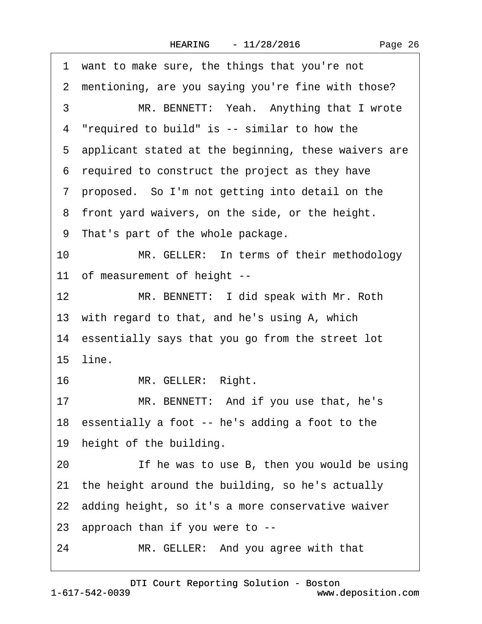|    | 1 want to make sure, the things that you're not        |
|----|--------------------------------------------------------|
|    | 2 mentioning, are you saying you're fine with those?   |
| 3  | MR. BENNETT: Yeah. Anything that I wrote               |
|    | 4 "required to build" is -- similar to how the         |
|    | 5 applicant stated at the beginning, these waivers are |
|    | 6 required to construct the project as they have       |
|    | 7 proposed. So I'm not getting into detail on the      |
|    | 8 front yard waivers, on the side, or the height.      |
|    | 9 That's part of the whole package.                    |
| 10 | MR. GELLER: In terms of their methodology              |
|    | 11 of measurement of height --                         |
| 12 | MR. BENNETT: I did speak with Mr. Roth                 |
|    | 13 with regard to that, and he's using A, which        |
|    | 14 essentially says that you go from the street lot    |
|    | 15 line.                                               |
| 16 | MR. GELLER: Right.                                     |
| 17 | MR. BENNETT: And if you use that, he's                 |
|    | 18 essentially a foot -- he's adding a foot to the     |
|    | 19 height of the building.                             |
| 20 | If he was to use B, then you would be using            |
| 21 | the height around the building, so he's actually       |
|    | 22 adding height, so it's a more conservative waiver   |
|    | 23 approach than if you were to --                     |
| 24 | MR. GELLER: And you agree with that                    |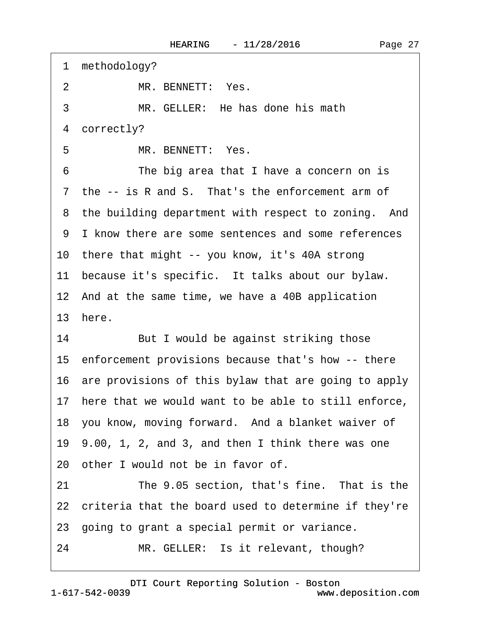| 1 methodology?                                          |
|---------------------------------------------------------|
| MR. BENNETT: Yes.<br>$\overline{2}$                     |
| 3<br>MR. GELLER: He has done his math                   |
| correctly?<br>4                                         |
| MR. BENNETT: Yes.<br>5                                  |
| The big area that I have a concern on is<br>6           |
| 7 the -- is R and S. That's the enforcement arm of      |
| 8 the building department with respect to zoning. And   |
| 9 I know there are some sentences and some references   |
| 10 there that might -- you know, it's 40A strong        |
| 11 because it's specific. It talks about our bylaw.     |
| 12 And at the same time, we have a 40B application      |
|                                                         |
| 13 here.                                                |
| 14<br>But I would be against striking those             |
| 15 enforcement provisions because that's how -- there   |
| 16 are provisions of this bylaw that are going to apply |
| 17 here that we would want to be able to still enforce, |
| 18 you know, moving forward. And a blanket waiver of    |
| 19 9.00, 1, 2, and 3, and then I think there was one    |
| 20 other I would not be in favor of.                    |
| The 9.05 section, that's fine. That is the<br>21        |
| 22 criteria that the board used to determine if they're |
| 23 going to grant a special permit or variance.         |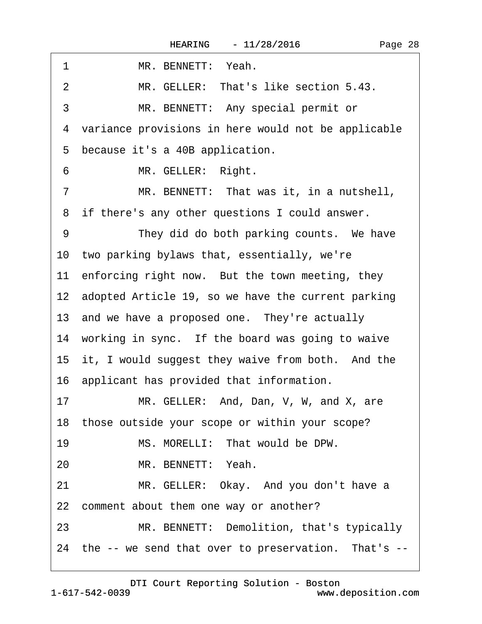| 1<br>MR. BENNETT: Yeah.                                 |
|---------------------------------------------------------|
| MR. GELLER: That's like section 5.43.<br>$\overline{2}$ |
| 3<br>MR. BENNETT: Any special permit or                 |
| 4 variance provisions in here would not be applicable   |
| 5 because it's a 40B application.                       |
| MR. GELLER: Right.<br>6                                 |
| MR. BENNETT: That was it, in a nutshell,<br>7           |
| 8 if there's any other questions I could answer.        |
| They did do both parking counts. We have<br>9           |
| 10 two parking bylaws that, essentially, we're          |
| 11 enforcing right now. But the town meeting, they      |
| 12 adopted Article 19, so we have the current parking   |
| 13 and we have a proposed one. They're actually         |
| 14 working in sync. If the board was going to waive     |
| 15 it, I would suggest they waive from both. And the    |
| 16 applicant has provided that information.             |
| MR. GELLER: And, Dan, V, W, and X, are<br>17            |
| 18 those outside your scope or within your scope?       |
| 19<br>MS. MORELLI: That would be DPW.                   |
| MR. BENNETT: Yeah.<br>20                                |
| 21<br>MR. GELLER: Okay. And you don't have a            |
| 22 comment about them one way or another?               |
| 23<br>MR. BENNETT: Demolition, that's typically         |
| 24 the -- we send that over to preservation. That's --  |
|                                                         |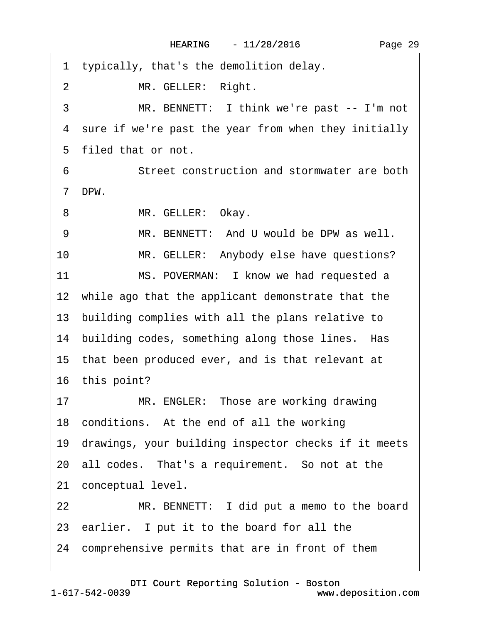| 1 typically, that's the demolition delay.               |
|---------------------------------------------------------|
| $\overline{2}$<br>MR. GELLER: Right.                    |
| MR. BENNETT: I think we're past -- I'm not<br>3         |
| 4 sure if we're past the year from when they initially  |
| 5 filed that or not.                                    |
| Street construction and stormwater are both<br>6        |
| DPW.<br>$\overline{7}$                                  |
| MR. GELLER: Okay.<br>8                                  |
| MR. BENNETT: And U would be DPW as well.<br>9           |
| 10<br>MR. GELLER: Anybody else have questions?          |
| 11<br>MS. POVERMAN: I know we had requested a           |
| 12 while ago that the applicant demonstrate that the    |
| 13 building complies with all the plans relative to     |
| 14 building codes, something along those lines. Has     |
| 15 that been produced ever, and is that relevant at     |
| 16 this point?                                          |
| MR. ENGLER: Those are working drawing<br>17             |
| 18 conditions. At the end of all the working            |
| 19 drawings, your building inspector checks if it meets |
| 20 all codes. That's a requirement. So not at the       |
| 21 conceptual level.                                    |
| 22<br>MR. BENNETT: I did put a memo to the board        |
| 23 earlier. I put it to the board for all the           |
| 24 comprehensive permits that are in front of them      |
|                                                         |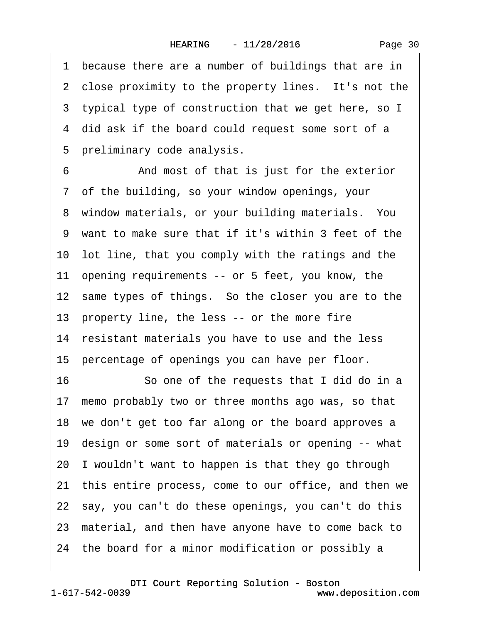1 because there are a number of buildings that are in 2 close proximity to the property lines. It's not the 3 typical type of construction that we get here, so I 4 did ask if the board could request some sort of a 5 preliminary code analysis. 6 • • And most of that is just for the exterior ·7· of the building, so your window openings, your 8 window materials, or your building materials. You ·9· want to make sure that if it's within 3 feet of the 10 lot line, that you comply with the ratings and the 11 opening requirements -- or 5 feet, you know, the 12 same types of things. So the closer you are to the 13 property line, the less -- or the more fire 14 resistant materials you have to use and the less 15 percentage of openings you can have per floor. 16 So one of the requests that I did do in a 17 memo probably two or three months ago was, so that 18 we don't get too far along or the board approves a 19 design or some sort of materials or opening -- what 20· I wouldn't want to happen is that they go through 21 this entire process, come to our office, and then we 22· say, you can't do these openings, you can't do this 23· material, and then have anyone have to come back to 24· the board for a minor modification or possibly a

1-617-542-0039 [DTI Court Reporting Solution - Boston](http://www.deposition.com) www.deposition.com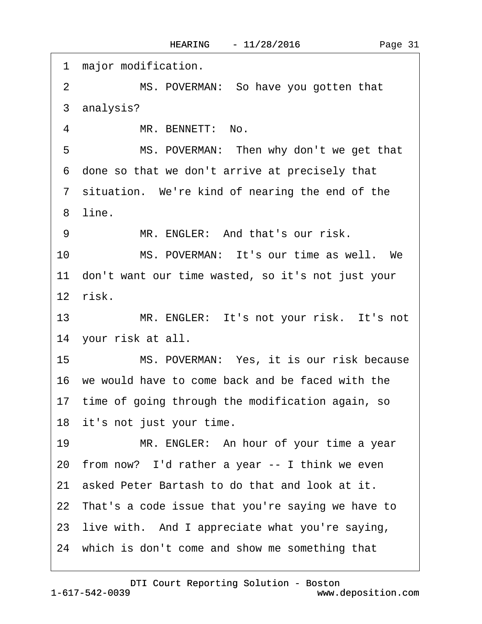1 major modification. 2 MS. POVERMAN: So have you gotten that 3 analysis? 4 MR. BENNETT: No. 5 MS. POVERMAN: Then why don't we get that ·6· done so that we don't arrive at precisely that 7 situation. We're kind of nearing the end of the ·8· line. 9 MR. ENGLER: And that's our risk. 10 MS. POVERMAN: It's our time as well. We 11 don't want our time wasted, so it's not just your 12· risk. 13 MR. ENGLER: It's not your risk. It's not 14 your risk at all. 15 MS. POVERMAN: Yes, it is our risk because 16· we would have to come back and be faced with the 17 time of going through the modification again, so 18 it's not just your time. 19 MR. ENGLER: An hour of your time a year 20 from now? I'd rather a year -- I think we even 21· asked Peter Bartash to do that and look at it. 22 That's a code issue that you're saying we have to 23 live with. And I appreciate what you're saying, 24 which is don't come and show me something that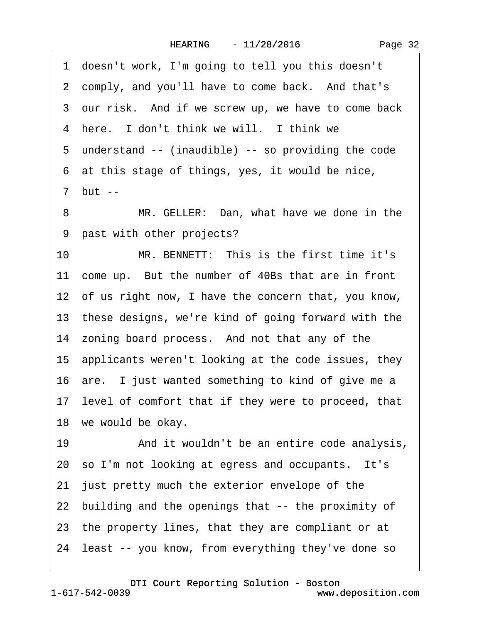·1· doesn't work, I'm going to tell you this doesn't 2 comply, and you'll have to come back. And that's 3 our risk. And if we screw up, we have to come back 4 here. I don't think we will. I think we 5 understand -- (inaudible) -- so providing the code ·6· at this stage of things, yes, it would be nice, ·7· but -- 8 MR. GELLER: Dan, what have we done in the 9 past with other projects? 10 MR. BENNETT: This is the first time it's 11 come up. But the number of 40Bs that are in front 12 of us right now, I have the concern that, you know, 13· these designs, we're kind of going forward with the 14 zoning board process. And not that any of the 15· applicants weren't looking at the code issues, they 16· are.· I just wanted something to kind of give me a 17 level of comfort that if they were to proceed, that 18 we would be okay. 19 • And it wouldn't be an entire code analysis, 20 so I'm not looking at egress and occupants. It's 21 just pretty much the exterior envelope of the 22· building and the openings that -- the proximity of 23· the property lines, that they are compliant or at 24 least -- you know, from everything they've done so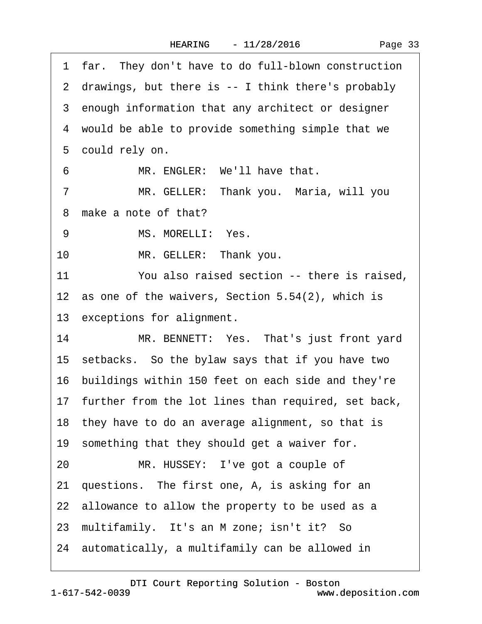|  | Page 33 |
|--|---------|
|--|---------|

1 far. They don't have to do full-blown construction 2 drawings, but there is -- I think there's probably 3 enough information that any architect or designer 4 would be able to provide something simple that we 5 could rely on. 6 MR. ENGLER: We'll have that. 7 MR. GELLER: Thank you. Maria, will you 8 make a note of that? 9 MS. MORELLI: Yes. 10 MR. GELLER: Thank you. 11 You also raised section -- there is raised. 12 as one of the waivers, Section  $5.54(2)$ , which is 13 exceptions for alignment. 14 MR. BENNETT: Yes. That's just front yard 15· setbacks.· So the bylaw says that if you have two 16 buildings within 150 feet on each side and they're 17 further from the lot lines than required, set back, 18 they have to do an average alignment, so that is 19 something that they should get a waiver for. 20 MR. HUSSEY: I've got a couple of 21 questions. The first one, A, is asking for an 22 allowance to allow the property to be used as a 23 multifamily. It's an M zone; isn't it? So 24· automatically, a multifamily can be allowed in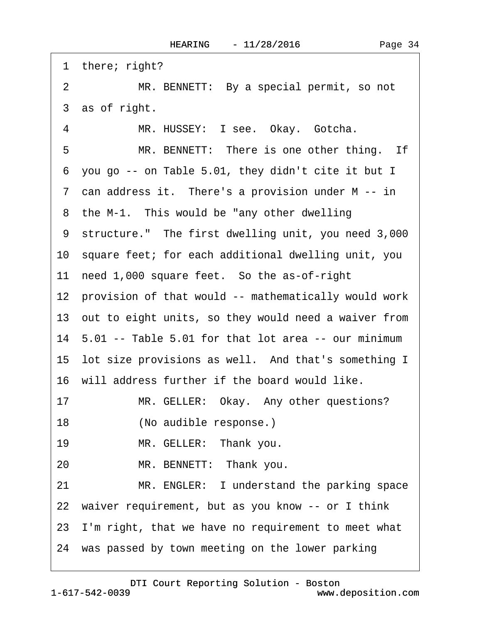| 1 there; right?                                            |
|------------------------------------------------------------|
| $\overline{2}$<br>MR. BENNETT: By a special permit, so not |
| 3 as of right.                                             |
| MR. HUSSEY: I see. Okay. Gotcha.<br>4                      |
| MR. BENNETT: There is one other thing. If<br>5             |
| 6 you go -- on Table 5.01, they didn't cite it but I       |
| 7 can address it. There's a provision under M -- in        |
| 8 the M-1. This would be "any other dwelling"              |
| 9 structure." The first dwelling unit, you need 3,000      |
| 10 square feet; for each additional dwelling unit, you     |
| 11 need 1,000 square feet. So the as-of-right              |
| 12 provision of that would -- mathematically would work    |
| 13 out to eight units, so they would need a waiver from    |
| 14 5.01 -- Table 5.01 for that lot area -- our minimum     |
| 15 lot size provisions as well. And that's something I     |
| 16 will address further if the board would like.           |
| MR. GELLER: Okay. Any other questions?<br>17               |
| 18<br>(No audible response.)                               |
| 19<br>MR. GELLER: Thank you.                               |
| MR. BENNETT: Thank you.<br>20                              |
| 21<br>MR. ENGLER: I understand the parking space           |
| 22 waiver requirement, but as you know -- or I think       |
| 23 I'm right, that we have no requirement to meet what     |
| 24 was passed by town meeting on the lower parking         |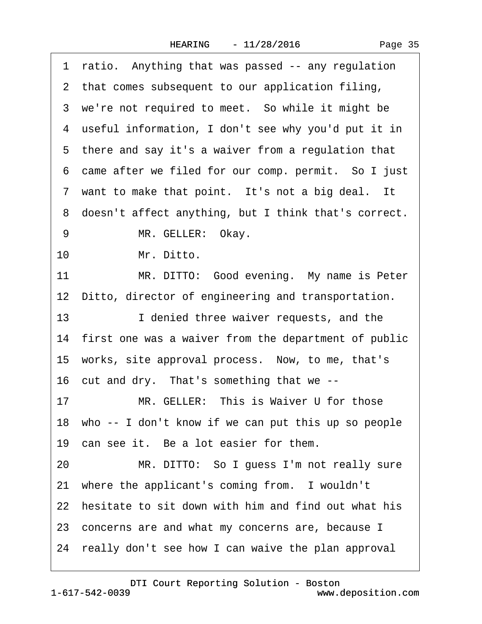1 ratio. Anything that was passed -- any regulation 2 that comes subsequent to our application filing, 3 we're not required to meet. So while it might be 4 useful information, I don't see why you'd put it in 5 there and say it's a waiver from a regulation that 6 came after we filed for our comp. permit. So I just 7 want to make that point. It's not a big deal. It 8 doesn't affect anything, but I think that's correct. 9 MR. GELLER: Okay. 10 Mr. Ditto. 11 MR. DITTO: Good evening. My name is Peter 12 Ditto, director of engineering and transportation. 13 **I** denied three waiver requests, and the 14 first one was a waiver from the department of public 15 works, site approval process. Now, to me, that's 16 cut and dry. That's something that we --17 MR. GELLER: This is Waiver U for those 18 who -- I don't know if we can put this up so people 19 can see it. Be a lot easier for them. 20 MR. DITTO: So I guess I'm not really sure 21 where the applicant's coming from. I wouldn't 22 hesitate to sit down with him and find out what his 23 concerns are and what my concerns are, because I 24· really don't see how I can waive the plan approval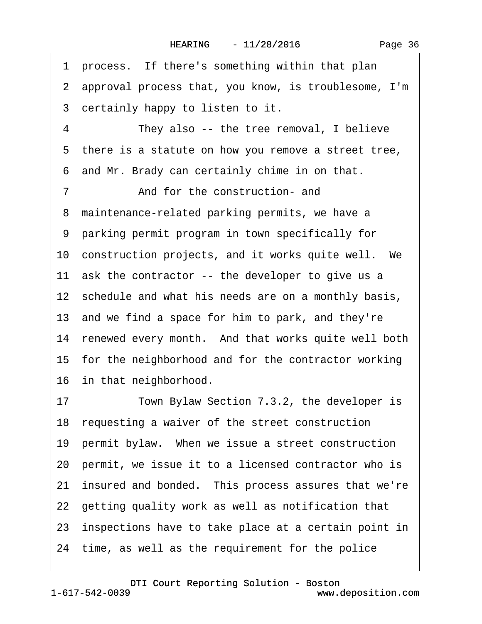Page 36

1 process. If there's something within that plan ·2· approval process that, you know, is troublesome, I'm 3 certainly happy to listen to it. 4 They also -- the tree removal, I believe 5 there is a statute on how you remove a street tree, 6 and Mr. Brady can certainly chime in on that. 7 **and for the construction- and** 8 maintenance-related parking permits, we have a ·9· parking permit program in town specifically for 10 construction projects, and it works quite well. We 11 ask the contractor -- the developer to give us a 12 schedule and what his needs are on a monthly basis, 13 and we find a space for him to park, and they're 14 renewed every month. And that works quite well both 15 for the neighborhood and for the contractor working 16 in that neighborhood. 17 Town Bylaw Section 7.3.2, the developer is 18 requesting a waiver of the street construction 19 permit bylaw. When we issue a street construction 20· permit, we issue it to a licensed contractor who is 21 insured and bonded. This process assures that we're 22· getting quality work as well as notification that 23· inspections have to take place at a certain point in 24· time, as well as the requirement for the police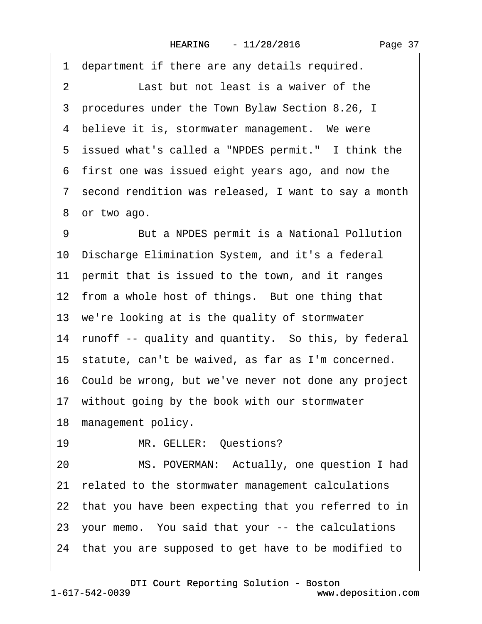1 department if there are any details required. 2 **Last but not least is a waiver of the** ·3· procedures under the Town Bylaw Section 8.26, I 4 believe it is, stormwater management. We were 5 issued what's called a "NPDES permit." I think the ·6· first one was issued eight years ago, and now the 7 second rendition was released, I want to say a month 8 or two ago. 9 But a NPDES permit is a National Pollution 10· Discharge Elimination System, and it's a federal 11 permit that is issued to the town, and it ranges 12 from a whole host of things. But one thing that 13 we're looking at is the quality of stormwater 14 runoff -- quality and quantity. So this, by federal 15· statute, can't be waived, as far as I'm concerned. 16· Could be wrong, but we've never not done any project 17 without going by the book with our stormwater 18 management policy. 19 MR. GELLER: Questions? 20 MS. POVERMAN: Actually, one question I had 21 related to the stormwater management calculations 22 that you have been expecting that you referred to in 23· your memo.· You said that your -- the calculations 24· that you are supposed to get have to be modified to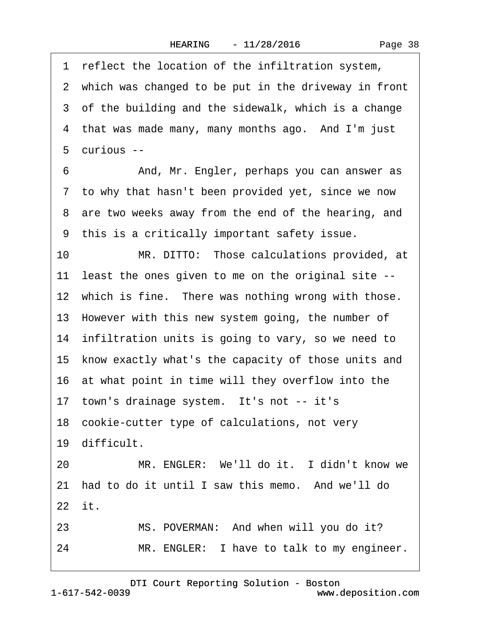1 reflect the location of the infiltration system, 2 which was changed to be put in the driveway in front 3 of the building and the sidewalk, which is a change 4 that was made many, many months ago. And I'm just 5 curious --6 • • And, Mr. Engler, perhaps you can answer as 7 to why that hasn't been provided yet, since we now 8 are two weeks away from the end of the hearing, and ·9· this is a critically important safety issue. 10 MR. DITTO: Those calculations provided, at 11 least the ones given to me on the original site --12 which is fine. There was nothing wrong with those. 13 However with this new system going, the number of 14 infiltration units is going to vary, so we need to 15· know exactly what's the capacity of those units and 16 at what point in time will they overflow into the 17 town's drainage system. It's not -- it's 18 cookie-cutter type of calculations, not very 19· difficult. 20 MR. ENGLER: We'll do it. I didn't know we 21 had to do it until I saw this memo. And we'll do 22 it. 23 MS. POVERMAN: And when will you do it? 24 MR. ENGLER: I have to talk to my engineer.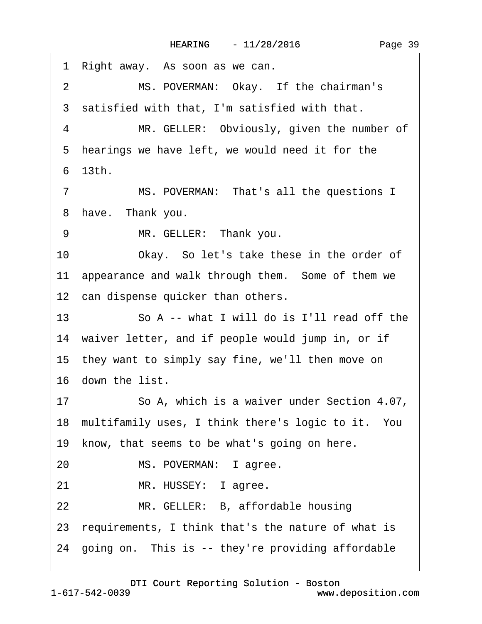| 1 Right away. As soon as we can.                           |
|------------------------------------------------------------|
| $\overline{2}$<br>MS. POVERMAN: Okay. If the chairman's    |
| 3 satisfied with that, I'm satisfied with that.            |
| MR. GELLER: Obviously, given the number of<br>4            |
| 5 hearings we have left, we would need it for the          |
| 6 13th.                                                    |
| MS. POVERMAN: That's all the questions I<br>$\overline{7}$ |
| 8 have. Thank you.                                         |
| MR. GELLER: Thank you.<br>9                                |
| 10<br>Okay. So let's take these in the order of            |
| appearance and walk through them. Some of them we<br>11    |
| 12 can dispense quicker than others.                       |
| So A -- what I will do is I'll read off the<br>13          |
| 14 waiver letter, and if people would jump in, or if       |
| 15 they want to simply say fine, we'll then move on        |
| 16 down the list.                                          |
| So A, which is a waiver under Section 4.07,<br>17          |
| 18 multifamily uses, I think there's logic to it. You      |
| know, that seems to be what's going on here.<br>19         |
| 20<br>MS. POVERMAN: I agree.                               |
| 21<br>MR. HUSSEY: I agree.                                 |
| 22<br>MR. GELLER: B, affordable housing                    |
| 23 requirements, I think that's the nature of what is      |
| 24 going on. This is -- they're providing affordable       |
|                                                            |

 $\sqrt{ }$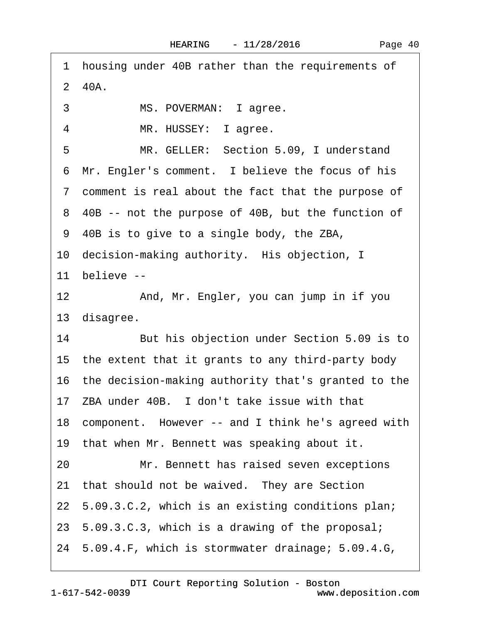1 housing under 40B rather than the requirements of  $2$  40A. 3 MS. POVERMAN: I agree. 4 MR. HUSSEY: lagree. 5 MR. GELLER: Section 5.09, I understand 6 Mr. Engler's comment. I believe the focus of his ·7· comment is real about the fact that the purpose of 8 40B -- not the purpose of 40B, but the function of ·9· 40B is to give to a single body, the ZBA, 10 decision-making authority. His objection, I 11 believe --12 • And, Mr. Engler, you can jump in if you 13 disagree. 14 But his objection under Section 5.09 is to 15· the extent that it grants to any third-party body 16 the decision-making authority that's granted to the 17 ZBA under 40B. I don't take issue with that 18 component. However -- and I think he's agreed with 19 that when Mr. Bennett was speaking about it. 20 Mr. Bennett has raised seven exceptions 21 that should not be waived. They are Section 22· 5.09.3.C.2, which is an existing conditions plan; 23· 5.09.3.C.3, which is a drawing of the proposal; 24· 5.09.4.F, which is stormwater drainage; 5.09.4.G,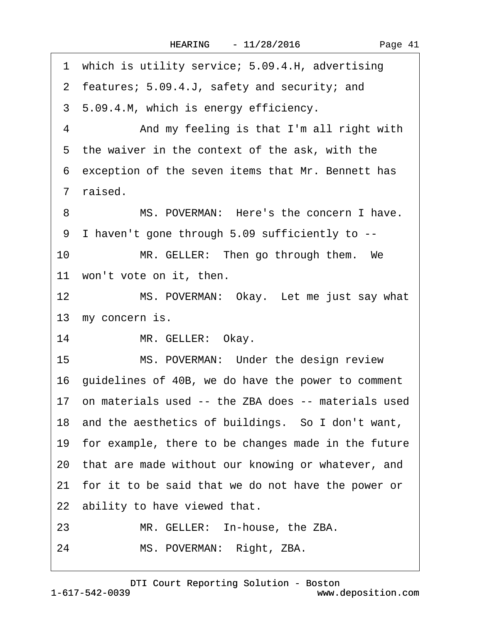Page 41

1 which is utility service; 5.09.4.H, advertising 2 features; 5.09.4.J, safety and security; and 3 5.09.4.M, which is energy efficiency. 4 • And my feeling is that I'm all right with 5 the waiver in the context of the ask, with the ·6· exception of the seven items that Mr. Bennett has ·7· raised. 8 MS. POVERMAN: Here's the concern I have. ·9· I haven't gone through 5.09 sufficiently to -- 10 MR. GELLER: Then go through them. We 11 won't vote on it, then. 12 MS. POVERMAN: Okay. Let me just say what 13 my concern is. 14 MR. GELLER: Okay. 15 MS. POVERMAN: Under the design review 16· guidelines of 40B, we do have the power to comment 17 on materials used -- the ZBA does -- materials used 18· and the aesthetics of buildings.· So I don't want, 19 for example, there to be changes made in the future 20· that are made without our knowing or whatever, and 21· for it to be said that we do not have the power or 22 ability to have viewed that. 23 MR. GELLER: In-house, the ZBA. 24 MS. POVERMAN: Right, ZBA.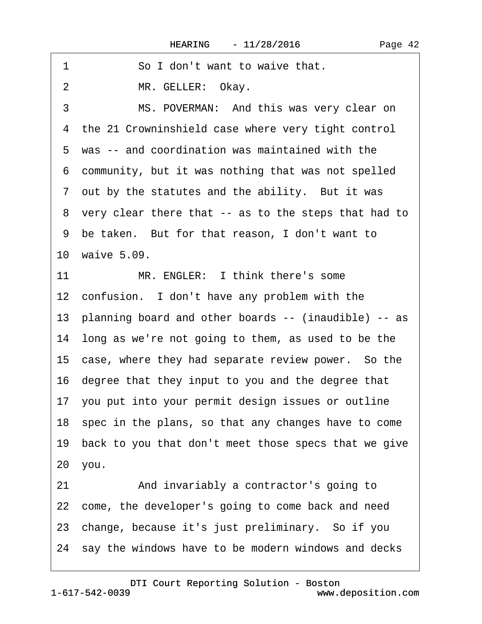| 1<br>So I don't want to waive that.                     |
|---------------------------------------------------------|
| MR. GELLER: Okay.<br>$\overline{2}$                     |
| 3<br>MS. POVERMAN: And this was very clear on           |
| 4 the 21 Crowninshield case where very tight control    |
| 5 was -- and coordination was maintained with the       |
| 6 community, but it was nothing that was not spelled    |
| 7 out by the statutes and the ability. But it was       |
| 8 very clear there that -- as to the steps that had to  |
| 9 be taken. But for that reason, I don't want to        |
| 10 waive 5.09.                                          |
| MR. ENGLER: I think there's some<br>11                  |
| 12 confusion. I don't have any problem with the         |
| 13 planning board and other boards -- (inaudible) -- as |
| 14 long as we're not going to them, as used to be the   |
| 15 case, where they had separate review power. So the   |
| 16 degree that they input to you and the degree that    |
| 17 you put into your permit design issues or outline    |
| 18 spec in the plans, so that any changes have to come  |
| 19 back to you that don't meet those specs that we give |
| 20 you.                                                 |
| And invariably a contractor's going to<br>21            |
| 22 come, the developer's going to come back and need    |
| 23 change, because it's just preliminary. So if you     |
| 24 say the windows have to be modern windows and decks  |
|                                                         |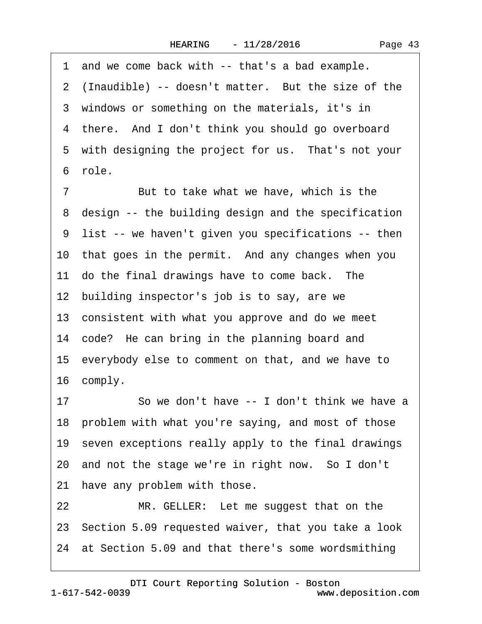1 and we come back with -- that's a bad example. 2 (Inaudible) -- doesn't matter. But the size of the 3 windows or something on the materials, it's in 4 there. And I don't think you should go overboard 5 with designing the project for us. That's not your ·6· role.

7 But to take what we have, which is the 8 design -- the building design and the specification ·9· list -- we haven't given you specifications -- then 10 that goes in the permit. And any changes when you 11 do the final drawings have to come back. The 12 building inspector's job is to say, are we 13 consistent with what you approve and do we meet 14 code? He can bring in the planning board and 15· everybody else to comment on that, and we have to 16 comply.

17 So we don't have -- I don't think we have a 18 problem with what you're saying, and most of those 19 seven exceptions really apply to the final drawings 20 and not the stage we're in right now. So I don't 21 have any problem with those.

22 MR. GELLER: Let me suggest that on the 23· Section 5.09 requested waiver, that you take a look 24· at Section 5.09 and that there's some wordsmithing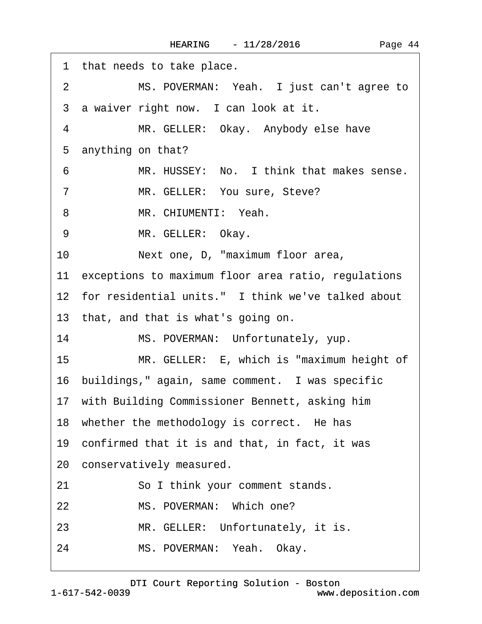| 1 that needs to take place.                                   |
|---------------------------------------------------------------|
| MS. POVERMAN: Yeah. I just can't agree to<br>2                |
| 3 a waiver right now. I can look at it.                       |
| $\overline{4}$<br>MR. GELLER: Okay. Anybody else have         |
| 5 anything on that?                                           |
| MR. HUSSEY: No. I think that makes sense.<br>6                |
| MR. GELLER: You sure, Steve?<br>$\overline{7}$                |
| MR. CHIUMENTI: Yeah.<br>8                                     |
| MR. GELLER: Okay.<br>9                                        |
| 10<br>Next one, D, "maximum floor area,                       |
| 11 exceptions to maximum floor area ratio, regulations        |
| 12 for residential units." I think we've talked about         |
| 13 that, and that is what's going on.                         |
| 14<br>MS. POVERMAN: Unfortunately, yup.                       |
| 15 <sub>1</sub><br>MR. GELLER: E, which is "maximum height of |
| 16 buildings," again, same comment. I was specific            |
| 17 with Building Commissioner Bennett, asking him             |
| 18 whether the methodology is correct. He has                 |
| 19 confirmed that it is and that, in fact, it was             |
| 20 conservatively measured.                                   |
| 21<br>So I think your comment stands.                         |
| MS. POVERMAN: Which one?<br>22                                |
| MR. GELLER: Unfortunately, it is.<br>23                       |
| MS. POVERMAN: Yeah. Okay.<br>24                               |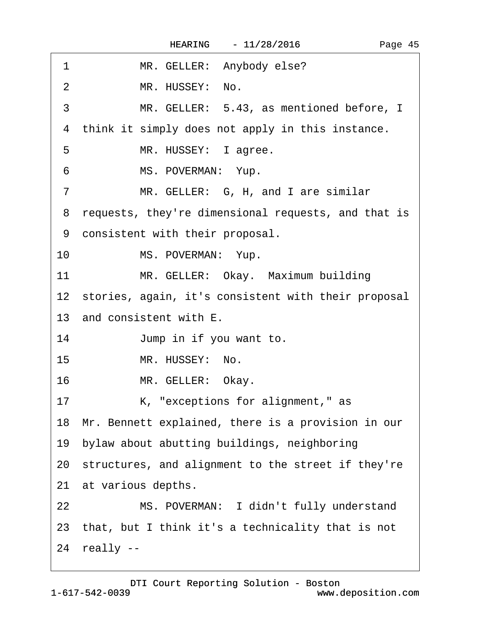$\Gamma$ 

| 1<br>MR. GELLER: Anybody else?                           |
|----------------------------------------------------------|
| MR. HUSSEY: No.<br>$\overline{2}$                        |
| 3<br>MR. GELLER: 5.43, as mentioned before, I            |
| think it simply does not apply in this instance.<br>4    |
| 5<br>MR. HUSSEY: I agree.                                |
| MS. POVERMAN: Yup.<br>6                                  |
| MR. GELLER: G, H, and I are similar<br>$\overline{7}$    |
| requests, they're dimensional requests, and that is<br>8 |
| 9 consistent with their proposal.                        |
| 10<br>MS. POVERMAN: Yup.                                 |
| 11<br>MR. GELLER: Okay. Maximum building                 |
| 12 stories, again, it's consistent with their proposal   |
| 13 and consistent with E.                                |
| 14<br>Jump in if you want to.                            |
| 15<br>MR. HUSSEY: No.                                    |
| 16<br>MR. GELLER: Okay.                                  |
| 17<br>K, "exceptions for alignment," as                  |
| 18 Mr. Bennett explained, there is a provision in our    |
| 19 bylaw about abutting buildings, neighboring           |
| 20 structures, and alignment to the street if they're    |
| 21 at various depths.                                    |
| MS. POVERMAN: I didn't fully understand<br>22            |
| 23 that, but I think it's a technicality that is not     |
|                                                          |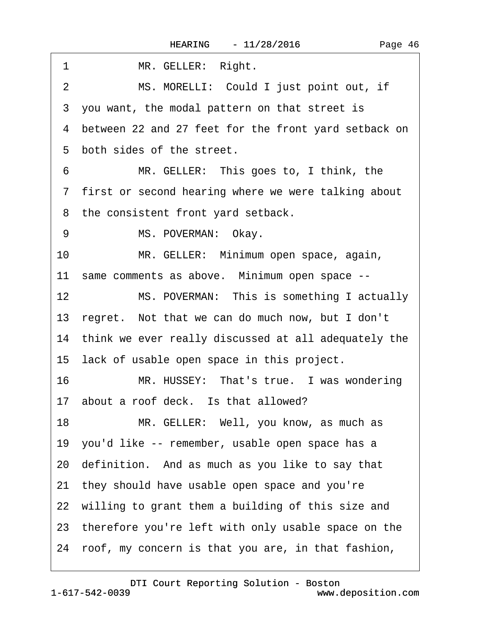| 1<br>MR. GELLER: Right.                                 |
|---------------------------------------------------------|
| MS. MORELLI: Could I just point out, if<br>2            |
| 3 you want, the modal pattern on that street is         |
| 4 between 22 and 27 feet for the front yard setback on  |
| 5 both sides of the street.                             |
| MR. GELLER: This goes to, I think, the<br>6             |
| 7 first or second hearing where we were talking about   |
| 8 the consistent front yard setback.                    |
| MS. POVERMAN: Okay.<br>9                                |
| 10<br>MR. GELLER: Minimum open space, again,            |
| 11 same comments as above. Minimum open space --        |
| 12<br>MS. POVERMAN: This is something I actually        |
| 13 regret. Not that we can do much now, but I don't     |
| 14 think we ever really discussed at all adequately the |
| 15 lack of usable open space in this project.           |
| 16<br>MR. HUSSEY: That's true. I was wondering          |
| 17 about a roof deck. Is that allowed?                  |
| 18<br>MR. GELLER: Well, you know, as much as            |
| 19 you'd like -- remember, usable open space has a      |
| 20 definition. And as much as you like to say that      |
| 21 they should have usable open space and you're        |
| 22 willing to grant them a building of this size and    |
| 23 therefore you're left with only usable space on the  |
| 24 roof, my concern is that you are, in that fashion,   |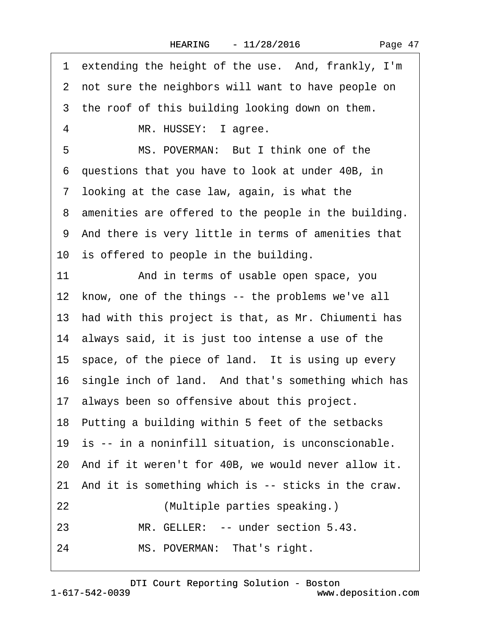| Page 47 |  |
|---------|--|
|---------|--|

| 1 extending the height of the use. And, frankly, I'm   |  |
|--------------------------------------------------------|--|
| 2 not sure the neighbors will want to have people on   |  |
| 3 the roof of this building looking down on them.      |  |
| MR. HUSSEY: I agree.<br>4                              |  |
| MS. POVERMAN: But I think one of the<br>5              |  |
| 6 questions that you have to look at under 40B, in     |  |
| 7 looking at the case law, again, is what the          |  |
| 8 amenities are offered to the people in the building. |  |
| 9 And there is very little in terms of amenities that  |  |
| 10 is offered to people in the building.               |  |
| And in terms of usable open space, you<br>11           |  |
| 12 know, one of the things -- the problems we've all   |  |
| 13 had with this project is that, as Mr. Chiumenti has |  |
| 14 always said, it is just too intense a use of the    |  |
| 15 space, of the piece of land. It is using up every   |  |
| 16 single inch of land. And that's something which has |  |
| 17 always been so offensive about this project.        |  |
| 18 Putting a building within 5 feet of the setbacks    |  |
| 19 is -- in a noninfill situation, is unconscionable.  |  |
| 20 And if it weren't for 40B, we would never allow it. |  |
| 21 And it is something which is -- sticks in the craw. |  |
| 22<br>(Multiple parties speaking.)                     |  |
| MR. GELLER: -- under section 5.43.<br>23               |  |
| 24<br>MS. POVERMAN: That's right.                      |  |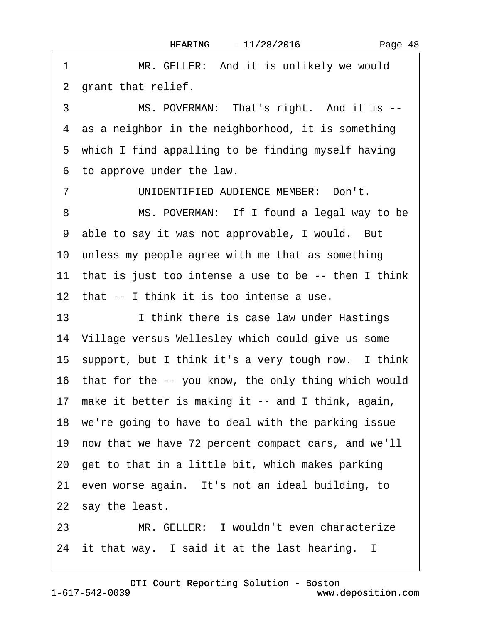1 MR. GELLER: And it is unlikely we would 2 grant that relief.

3 MS. POVERMAN: That's right. And it is --4 as a neighbor in the neighborhood, it is something 5 which I find appalling to be finding myself having ·6· to approve under the law.

7 UNIDENTIFIED AUDIENCE MEMBER: Don't. 8 MS. POVERMAN: If I found a legal way to be 9 able to say it was not approvable, I would. But 10 unless my people agree with me that as something 11 that is just too intense a use to be -- then I think 12 that -- I think it is too intense a use.

13 I think there is case law under Hastings 14 Village versus Wellesley which could give us some 15 support, but I think it's a very tough row. I think 16 that for the -- you know, the only thing which would 17 make it better is making it -- and I think, again, 18 we're going to have to deal with the parking issue 19· now that we have 72 percent compact cars, and we'll 20· get to that in a little bit, which makes parking 21 even worse again. It's not an ideal building, to 22 say the least. 23 MR. GELLER: I wouldn't even characterize

24 it that way. I said it at the last hearing.  $\overline{\phantom{a}}$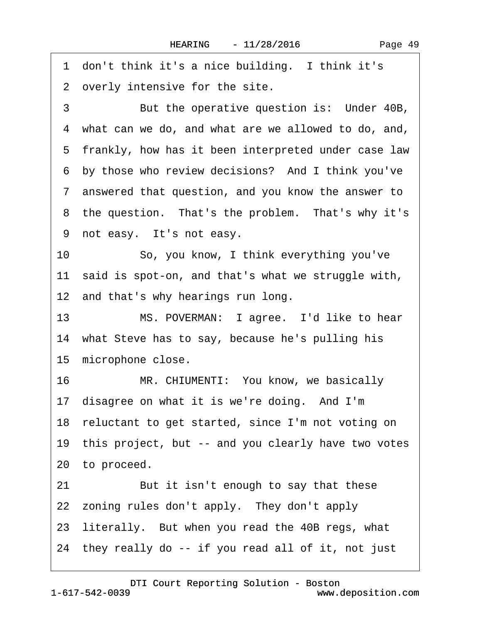1 don't think it's a nice building. I think it's

2 overly intensive for the site.

3 But the operative question is: Under 40B, ·4· what can we do, and what are we allowed to do, and, 5 frankly, how has it been interpreted under case law 6 by those who review decisions? And I think you've ·7· answered that question, and you know the answer to 8 the question. That's the problem. That's why it's 9 not easy. It's not easy. 10 · · So, you know, I think everything you've 11 said is spot-on, and that's what we struggle with, 12 and that's why hearings run long. 13 MS. POVERMAN: I agree. I'd like to hear

14 what Steve has to say, because he's pulling his 15 microphone close.

16 MR. CHIUMENTI: You know, we basically 17 disagree on what it is we're doing. And I'm 18· reluctant to get started, since I'm not voting on 19 this project, but -- and you clearly have two votes 20 to proceed. 21 But it isn't enough to say that these 22 zoning rules don't apply. They don't apply 23 literally. But when you read the 40B regs, what 24· they really do -- if you read all of it, not just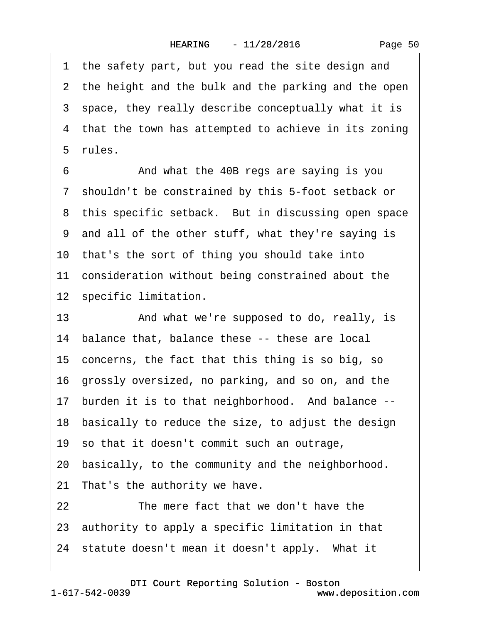1 the safety part, but you read the site design and 2 the height and the bulk and the parking and the open 3 space, they really describe conceptually what it is 4 that the town has attempted to achieve in its zoning 5 rules.

6 **• • And what the 40B regs are saying is you** ·7· shouldn't be constrained by this 5-foot setback or 8 this specific setback. But in discussing open space ·9· and all of the other stuff, what they're saying is 10 that's the sort of thing you should take into 11 consideration without being constrained about the 12 specific limitation.

13 • And what we're supposed to do, really, is 14 balance that, balance these -- these are local 15· concerns, the fact that this thing is so big, so 16· grossly oversized, no parking, and so on, and the 17 burden it is to that neighborhood. And balance --18· basically to reduce the size, to adjust the design 19· so that it doesn't commit such an outrage, 20· basically, to the community and the neighborhood. 21 That's the authority we have. 22 The mere fact that we don't have the 23· authority to apply a specific limitation in that 24 statute doesn't mean it doesn't apply. What it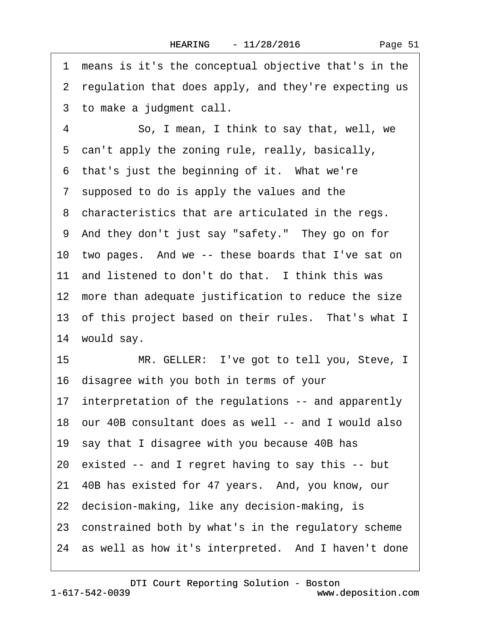·1· means is it's the conceptual objective that's in the 2 regulation that does apply, and they're expecting us 3 to make a judgment call. 4 So, I mean, I think to say that, well, we 5 can't apply the zoning rule, really, basically, 6 that's just the beginning of it. What we're ·7· supposed to do is apply the values and the 8 characteristics that are articulated in the regs. ·9· And they don't just say "safety."· They go on for 10 two pages. And we -- these boards that I've sat on 11 and listened to don't do that. I think this was 12 more than adequate justification to reduce the size 13 of this project based on their rules. That's what I 14 would say. 15 MR. GELLER: I've got to tell you, Steve, I 16· disagree with you both in terms of your 17 interpretation of the regulations -- and apparently 18· our 40B consultant does as well -- and I would also 19· say that I disagree with you because 40B has 20· existed -- and I regret having to say this -- but 21· 40B has existed for 47 years.· And, you know, our 22 decision-making, like any decision-making, is 23· constrained both by what's in the regulatory scheme 24 as well as how it's interpreted. And I haven't done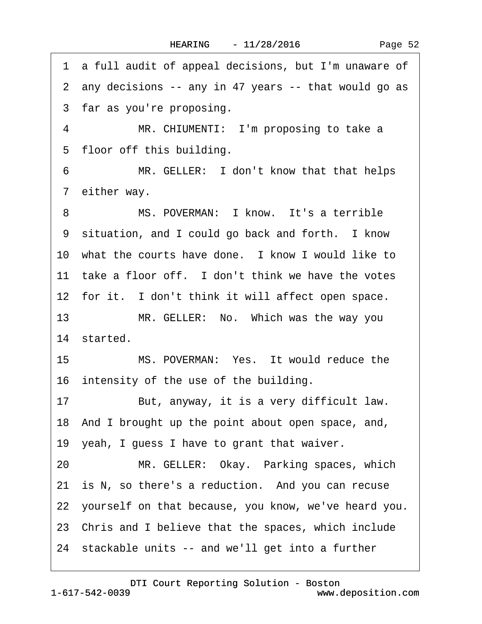Page 52

·1· a full audit of appeal decisions, but I'm unaware of ·2· any decisions -- any in 47 years -- that would go as 3 far as you're proposing. 4 MR. CHIUMENTI: I'm proposing to take a 5 floor off this building. 6 MR. GELLER: I don't know that that helps 7 either way. 8 MS. POVERMAN: I know. It's a terrible 9 situation, and I could go back and forth. I know 10 what the courts have done. I know I would like to 11 take a floor off. I don't think we have the votes 12 for it. I don't think it will affect open space. 13 MR. GELLER: No. Which was the way you 14 started. 15 MS. POVERMAN: Yes. It would reduce the 16 intensity of the use of the building. 17 But, anyway, it is a very difficult law. 18· And I brought up the point about open space, and, 19· yeah, I guess I have to grant that waiver. 20 MR. GELLER: Okay. Parking spaces, which 21 is N, so there's a reduction. And you can recuse 22· yourself on that because, you know, we've heard you. 23· Chris and I believe that the spaces, which include 24· stackable units -- and we'll get into a further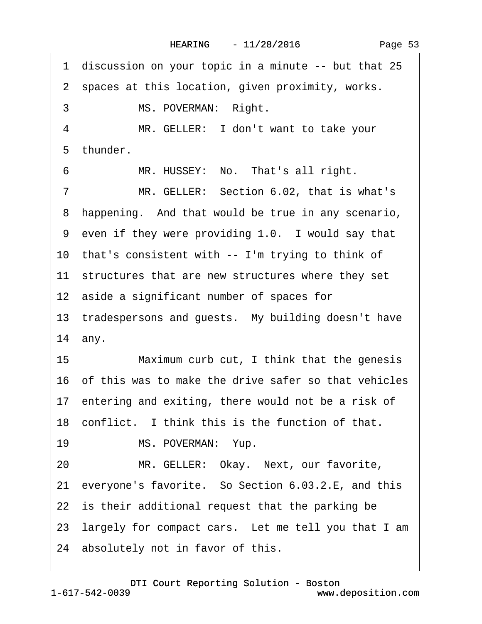1 discussion on your topic in a minute -- but that 25 2 spaces at this location, given proximity, works. 3 MS. POVERMAN: Right. 4 MR. GELLER: I don't want to take your 5 thunder. 6 MR. HUSSEY: No. That's all right. 7 MR. GELLER: Section 6.02, that is what's 8 happening. And that would be true in any scenario, 9 even if they were providing 1.0. I would say that 10 that's consistent with -- I'm trying to think of 11 structures that are new structures where they set 12 aside a significant number of spaces for 13 tradespersons and guests. My building doesn't have 14 any. 15 Maximum curb cut, I think that the genesis 16· of this was to make the drive safer so that vehicles 17 entering and exiting, there would not be a risk of 18 conflict. I think this is the function of that. 19 MS. POVERMAN: Yup. 20 MR. GELLER: Okay. Next, our favorite, 21 everyone's favorite. So Section 6.03.2.E, and this 22 is their additional request that the parking be 23 largely for compact cars. Let me tell you that I am 24 absolutely not in favor of this.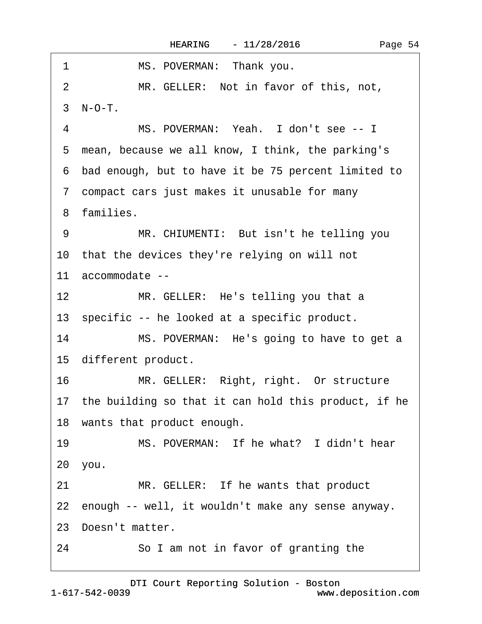| MS. POVERMAN: Thank you.<br>1                           |
|---------------------------------------------------------|
| 2<br>MR. GELLER: Not in favor of this, not,             |
| 3 N-O-T.                                                |
| MS. POVERMAN: Yeah. I don't see -- I<br>$\overline{4}$  |
| 5 mean, because we all know, I think, the parking's     |
| 6 bad enough, but to have it be 75 percent limited to   |
| 7 compact cars just makes it unusable for many          |
| 8 families.                                             |
| MR. CHIUMENTI: But isn't he telling you<br>9            |
| 10 that the devices they're relying on will not         |
| 11 accommodate --                                       |
| 12<br>MR. GELLER: He's telling you that a               |
| 13 specific -- he looked at a specific product.         |
| 14<br>MS. POVERMAN: He's going to have to get a         |
| 15 different product.                                   |
| MR. GELLER: Right, right. Or structure<br>16            |
| 17 the building so that it can hold this product, if he |
| 18 wants that product enough.                           |
| MS. POVERMAN: If he what? I didn't hear<br>19           |
| 20 you.                                                 |
| MR. GELLER: If he wants that product<br>21              |
| 22 enough -- well, it wouldn't make any sense anyway.   |
| 23 Doesn't matter.                                      |
| 24<br>So I am not in favor of granting the              |

Page 54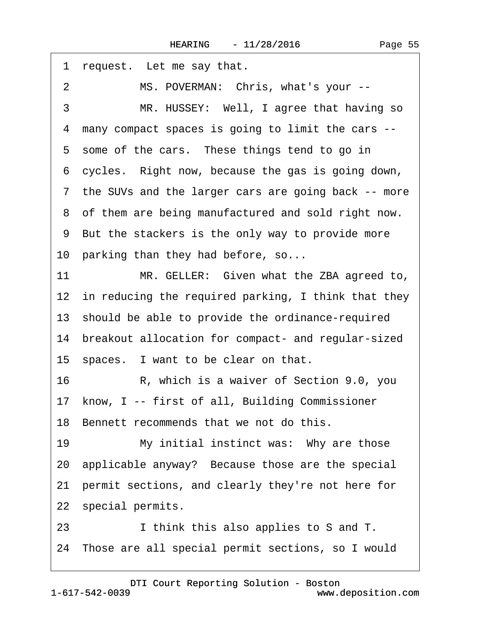| 1              | request. Let me say that.                              |
|----------------|--------------------------------------------------------|
| $\overline{2}$ | MS. POVERMAN: Chris, what's your --                    |
| 3              | MR. HUSSEY: Well, I agree that having so               |
| 4              | many compact spaces is going to limit the cars --      |
|                | 5 some of the cars. These things tend to go in         |
|                | 6 cycles. Right now, because the gas is going down,    |
|                | 7 the SUVs and the larger cars are going back -- more  |
|                | 8 of them are being manufactured and sold right now.   |
|                | 9 But the stackers is the only way to provide more     |
|                | 10 parking than they had before, so                    |
| 11             | MR. GELLER: Given what the ZBA agreed to,              |
|                | 12 in reducing the required parking, I think that they |
|                | 13 should be able to provide the ordinance-required    |
|                | 14 breakout allocation for compact- and regular-sized  |
|                | 15 spaces. I want to be clear on that.                 |
| 16             | R, which is a waiver of Section 9.0, you               |
|                | 17 know, I -- first of all, Building Commissioner      |
|                | 18 Bennett recommends that we not do this.             |
| 19             | My initial instinct was: Why are those                 |
|                | 20 applicable anyway? Because those are the special    |
| 21             | permit sections, and clearly they're not here for      |
|                | 22 special permits.                                    |
| 23             | I think this also applies to S and T.                  |
|                | 24 Those are all special permit sections, so I would   |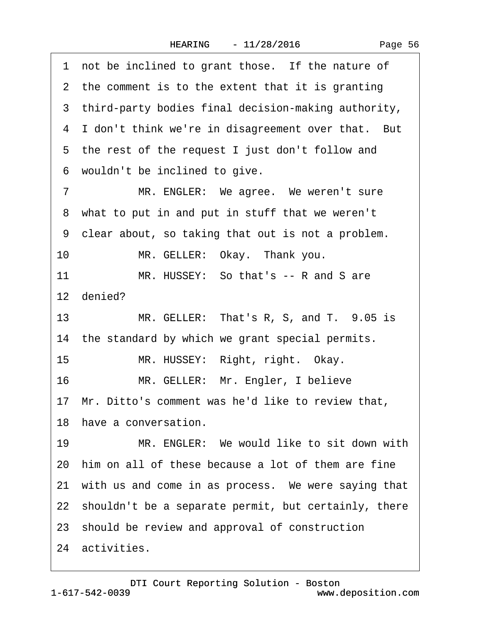| Page 56 |  |
|---------|--|
|---------|--|

1 not be inclined to grant those. If the nature of 2 the comment is to the extent that it is granting 3 third-party bodies final decision-making authority, 4 I don't think we're in disagreement over that. But 5 the rest of the request I just don't follow and 6 wouldn't be inclined to give. 7 MR. ENGLER: We agree. We weren't sure 8 what to put in and put in stuff that we weren't ·9· clear about, so taking that out is not a problem. 10 MR. GELLER: Okay. Thank you. 11 MR. HUSSEY: So that's -- R and S are 12 denied? 13 MR. GELLER: That's R, S, and T.  $9.05$  is 14 the standard by which we grant special permits. 15 MR. HUSSEY: Right, right. Okay. 16 MR. GELLER: Mr. Engler, I believe 17· Mr. Ditto's comment was he'd like to review that, 18 have a conversation. 19 MR. ENGLER: We would like to sit down with 20· him on all of these because a lot of them are fine 21 with us and come in as process. We were saying that 22 shouldn't be a separate permit, but certainly, there 23· should be review and approval of construction 24 activities.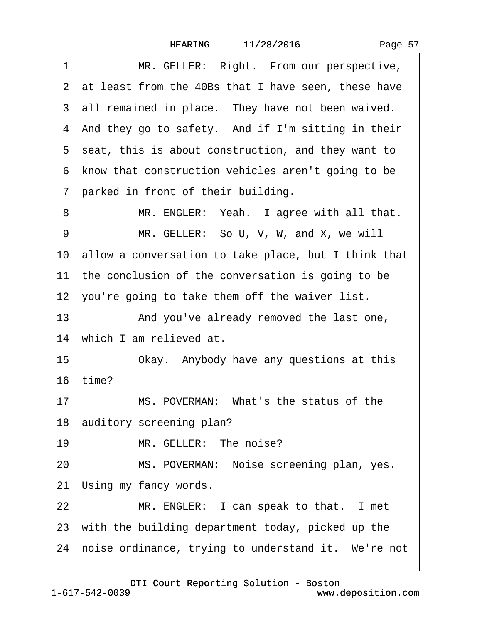| 1  | MR. GELLER: Right. From our perspective,                |
|----|---------------------------------------------------------|
|    | 2 at least from the 40Bs that I have seen, these have   |
|    | 3 all remained in place. They have not been waived.     |
|    | 4 And they go to safety. And if I'm sitting in their    |
|    | 5 seat, this is about construction, and they want to    |
|    | 6 know that construction vehicles aren't going to be    |
|    | 7 parked in front of their building.                    |
| 8  | MR. ENGLER: Yeah. I agree with all that.                |
| 9  | MR. GELLER: So U, V, W, and X, we will                  |
|    | 10 allow a conversation to take place, but I think that |
|    | 11 the conclusion of the conversation is going to be    |
|    | 12 you're going to take them off the waiver list.       |
| 13 | And you've already removed the last one,                |
|    | 14 which I am relieved at.                              |
| 15 | Okay. Anybody have any questions at this                |
|    | 16 time?                                                |
| 17 | MS. POVERMAN: What's the status of the                  |
|    | 18 auditory screening plan?                             |
| 19 | MR. GELLER: The noise?                                  |
| 20 | MS. POVERMAN: Noise screening plan, yes.                |
|    | 21 Using my fancy words.                                |
| 22 | MR. ENGLER: I can speak to that. I met                  |
|    | 23 with the building department today, picked up the    |
|    | 24 noise ordinance, trying to understand it. We're not  |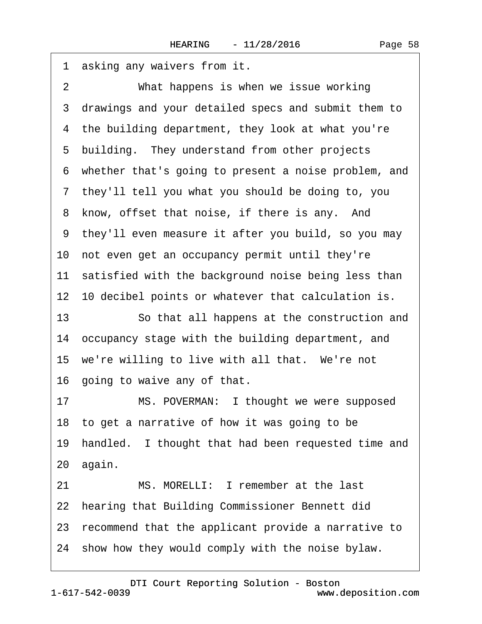1 asking any waivers from it. 2 What happens is when we issue working ·3· drawings and your detailed specs and submit them to 4 the building department, they look at what you're 5 building. They understand from other projects ·6· whether that's going to present a noise problem, and ·7· they'll tell you what you should be doing to, you 8 know, offset that noise, if there is any. And ·9· they'll even measure it after you build, so you may 10· not even get an occupancy permit until they're 11 satisfied with the background noise being less than 12 10 decibel points or whatever that calculation is. 13 **· · · So that all happens at the construction and** 14 occupancy stage with the building department, and 15 we're willing to live with all that. We're not 16 going to waive any of that. 17 MS. POVERMAN: I thought we were supposed 18· to get a narrative of how it was going to be 19 handled. I thought that had been requested time and 20· again. 21 MS. MORELLI: I remember at the last 22 hearing that Building Commissioner Bennett did 23· recommend that the applicant provide a narrative to 24 show how they would comply with the noise bylaw.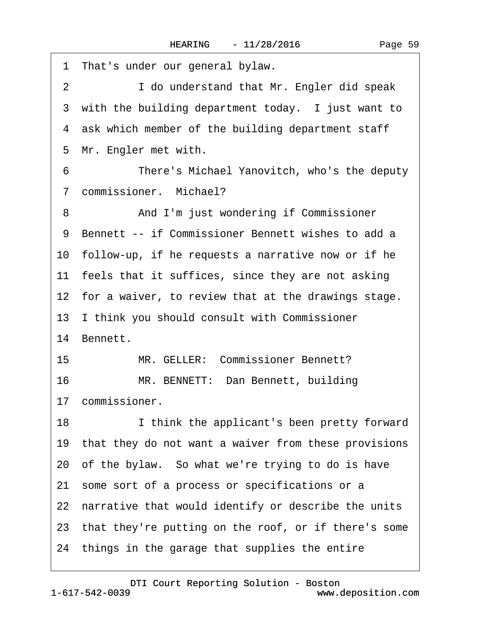| 1 That's under our general bylaw.                           |
|-------------------------------------------------------------|
| $\overline{2}$<br>I do understand that Mr. Engler did speak |
| 3 with the building department today. I just want to        |
| 4 ask which member of the building department staff         |
| 5 Mr. Engler met with.                                      |
| 6<br>There's Michael Yanovitch, who's the deputy            |
| 7 commissioner. Michael?                                    |
| And I'm just wondering if Commissioner<br>8                 |
| 9 Bennett -- if Commissioner Bennett wishes to add a        |
| 10 follow-up, if he requests a narrative now or if he       |
| 11 feels that it suffices, since they are not asking        |
| 12 for a waiver, to review that at the drawings stage.      |
| 13 I think you should consult with Commissioner             |
| 14 Bennett.                                                 |
| MR. GELLER: Commissioner Bennett?<br>15                     |
| 16<br>MR. BENNETT: Dan Bennett, building                    |
| 17 commissioner.                                            |
| 18<br>I think the applicant's been pretty forward           |
| 19 that they do not want a waiver from these provisions     |
| 20 of the bylaw. So what we're trying to do is have         |
| 21 some sort of a process or specifications or a            |
| 22 narrative that would identify or describe the units      |
| 23 that they're putting on the roof, or if there's some     |
| 24 things in the garage that supplies the entire            |
|                                                             |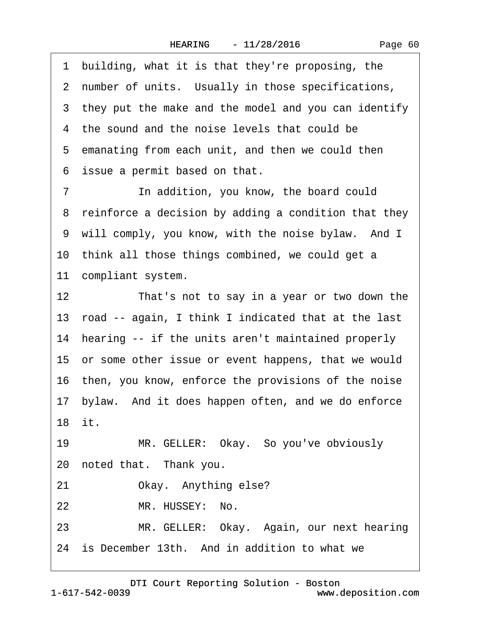Page 60

1 building, what it is that they're proposing, the 2 number of units. Usually in those specifications,

3 they put the make and the model and you can identify

4 the sound and the noise levels that could be

5 emanating from each unit, and then we could then

6 issue a permit based on that.

7 **In addition, you know, the board could** 8 reinforce a decision by adding a condition that they 9 will comply, you know, with the noise bylaw. And I 10 think all those things combined, we could get a 11 compliant system.

12 That's not to say in a year or two down the 13· road -- again, I think I indicated that at the last 14 hearing -- if the units aren't maintained properly 15 or some other issue or event happens, that we would 16 then, you know, enforce the provisions of the noise 17· bylaw.· And it does happen often, and we do enforce 18· it.

19 MR. GELLER: Okay. So you've obviously 20 noted that. Thank you.

21 Okay. Anything else?

22 MR. HUSSEY: No.

23 MR. GELLER: Okay. Again, our next hearing

24 is December 13th. And in addition to what we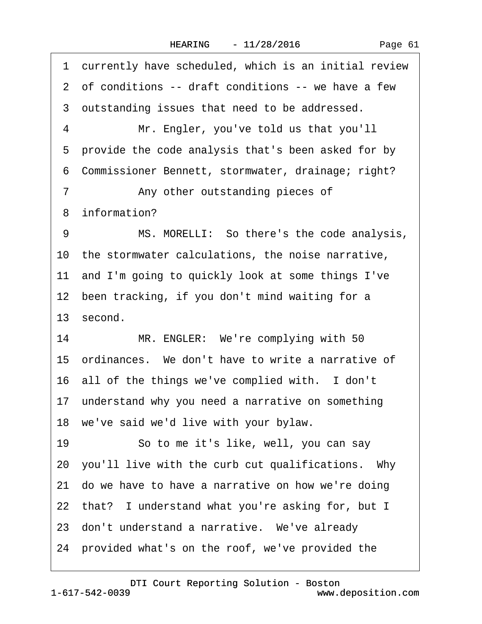Page 61

1 currently have scheduled, which is an initial review 2 of conditions -- draft conditions -- we have a few 3 outstanding issues that need to be addressed. 4 Mr. Engler, you've told us that you'll 5 provide the code analysis that's been asked for by ·6· Commissioner Bennett, stormwater, drainage; right? 7 • **Any other outstanding pieces of** 8 information? 9 MS. MORELLI: So there's the code analysis, 10 the stormwater calculations, the noise narrative, 11 and I'm going to quickly look at some things I've 12 been tracking, if you don't mind waiting for a 13 second. 14 MR. ENGLER: We're complying with 50 15· ordinances.· We don't have to write a narrative of 16 all of the things we've complied with. I don't 17 understand why you need a narrative on something 18 we've said we'd live with your bylaw. 19 · So to me it's like, well, you can say 20· you'll live with the curb cut qualifications.· Why 21· do we have to have a narrative on how we're doing 22 that? I understand what you're asking for, but I 23 don't understand a narrative. We've already 24· provided what's on the roof, we've provided the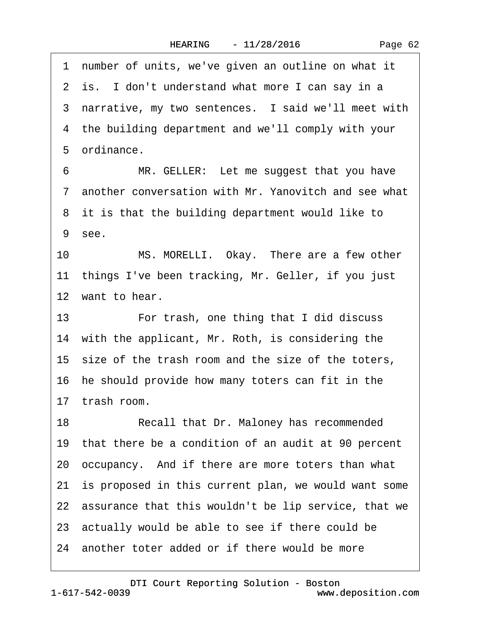1 number of units, we've given an outline on what it 2 is. I don't understand what more I can say in a 3 narrative, my two sentences. I said we'll meet with 4 the building department and we'll comply with your 5 ordinance. 6 MR. GELLER: Let me suggest that you have ·7· another conversation with Mr. Yanovitch and see what 8 it is that the building department would like to 9 see. 10 MS. MORELLI. Okay. There are a few other 11 things I've been tracking, Mr. Geller, if you just 12 want to hear. 13 • For trash, one thing that I did discuss 14 with the applicant, Mr. Roth, is considering the 15 size of the trash room and the size of the toters, 16· he should provide how many toters can fit in the 17· trash room. 18 Recall that Dr. Maloney has recommended 19· that there be a condition of an audit at 90 percent 20· occupancy.· And if there are more toters than what 21 is proposed in this current plan, we would want some 22 assurance that this wouldn't be lip service, that we 23· actually would be able to see if there could be 24 another toter added or if there would be more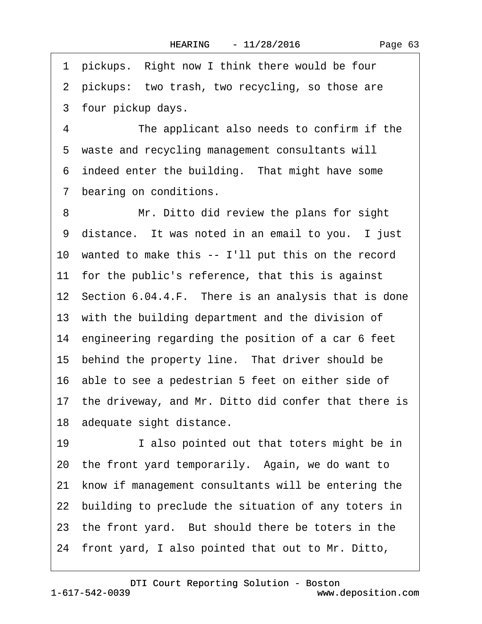1 pickups. Right now I think there would be four 2 pickups: two trash, two recycling, so those are 3 four pickup days.

4 The applicant also needs to confirm if the 5 waste and recycling management consultants will 6 indeed enter the building. That might have some 7 bearing on conditions.

8 Mr. Ditto did review the plans for sight 9 distance. It was noted in an email to you. I just 10 wanted to make this -- I'll put this on the record 11 for the public's reference, that this is against 12 Section 6.04.4.F. There is an analysis that is done 13 with the building department and the division of 14 engineering regarding the position of a car 6 feet 15 behind the property line. That driver should be 16· able to see a pedestrian 5 feet on either side of 17 the driveway, and Mr. Ditto did confer that there is 18 adequate sight distance. 19 **I** also pointed out that toters might be in 20· the front yard temporarily.· Again, we do want to 21 know if management consultants will be entering the 22 building to preclude the situation of any toters in 23 the front yard. But should there be toters in the 24· front yard, I also pointed that out to Mr. Ditto,

1-617-542-0039 [DTI Court Reporting Solution - Boston](http://www.deposition.com)

www.deposition.com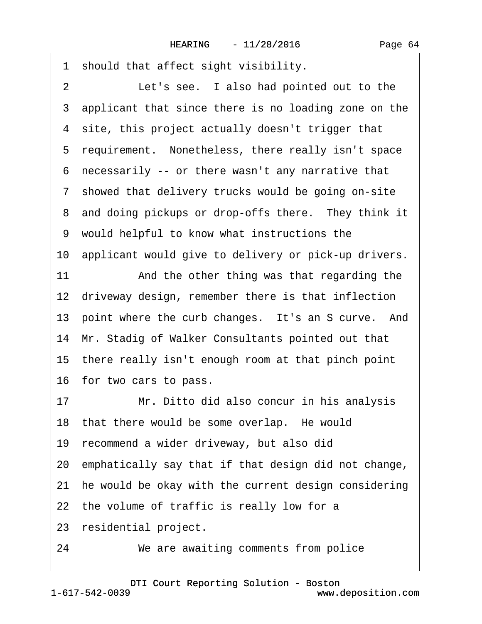·1· should that affect sight visibility. 2 Let's see. I also had pointed out to the 3 applicant that since there is no loading zone on the 4 site, this project actually doesn't trigger that 5 requirement. Nonetheless, there really isn't space ·6· necessarily -- or there wasn't any narrative that 7 showed that delivery trucks would be going on-site 8 and doing pickups or drop-offs there. They think it ·9· would helpful to know what instructions the 10 applicant would give to delivery or pick-up drivers. 11 And the other thing was that regarding the 12 driveway design, remember there is that inflection 13 point where the curb changes. It's an S curve. And 14 Mr. Stadig of Walker Consultants pointed out that 15 there really isn't enough room at that pinch point 16· for two cars to pass. 17 Mr. Ditto did also concur in his analysis 18 that there would be some overlap. He would 19· recommend a wider driveway, but also did 20· emphatically say that if that design did not change, 21 he would be okay with the current design considering 22 the volume of traffic is really low for a 23 residential project. 24 We are awaiting comments from police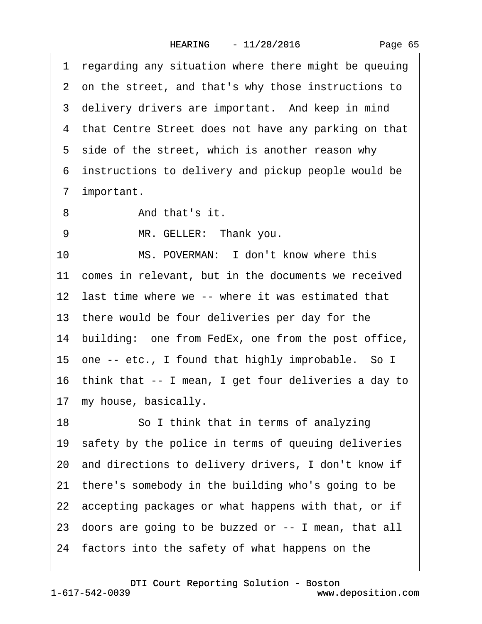1 regarding any situation where there might be queuing 2 on the street, and that's why those instructions to 3 delivery drivers are important. And keep in mind 4 that Centre Street does not have any parking on that 5 side of the street, which is another reason why ·6· instructions to delivery and pickup people would be 7 important. 8 And that's it. 9 MR. GELLER: Thank you. 10 MS. POVERMAN: I don't know where this 11 comes in relevant, but in the documents we received 12 last time where we -- where it was estimated that 13 there would be four deliveries per day for the 14 building: one from FedEx, one from the post office, 15 one -- etc., I found that highly improbable. So I 16· think that -- I mean, I get four deliveries a day to 17 my house, basically. 18 **· · · · So I think that in terms of analyzing** 19 safety by the police in terms of queuing deliveries 20· and directions to delivery drivers, I don't know if 21 there's somebody in the building who's going to be 22 accepting packages or what happens with that, or if 23· doors are going to be buzzed or -- I mean, that all 24· factors into the safety of what happens on the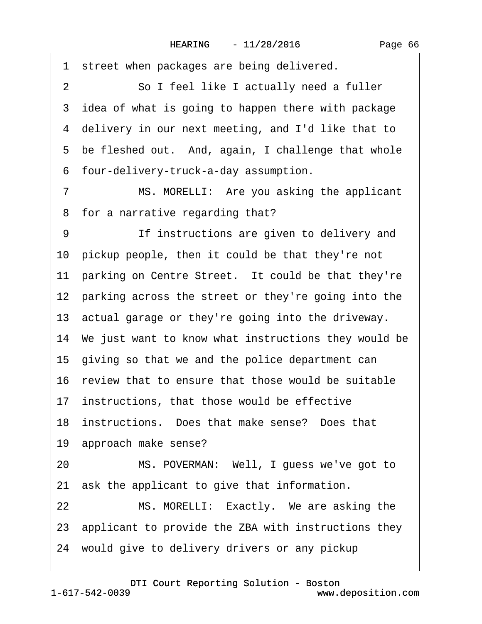|  | Page 66 |  |
|--|---------|--|
|--|---------|--|

1 street when packages are being delivered. 2 So I feel like I actually need a fuller 3 idea of what is going to happen there with package 4 delivery in our next meeting, and I'd like that to 5 be fleshed out. And, again, I challenge that whole ·6· four-delivery-truck-a-day assumption. 7 MS. MORELLI: Are you asking the applicant 8 for a narrative regarding that? 9 **If instructions are given to delivery and** 10 pickup people, then it could be that they're not 11 parking on Centre Street. It could be that they're 12 parking across the street or they're going into the 13· actual garage or they're going into the driveway. 14· We just want to know what instructions they would be 15 giving so that we and the police department can 16· review that to ensure that those would be suitable 17 instructions, that those would be effective 18 instructions. Does that make sense? Does that 19 approach make sense? 20 MS. POVERMAN: Well, I guess we've got to 21 ask the applicant to give that information. 22 MS. MORELLI: Exactly. We are asking the 23· applicant to provide the ZBA with instructions they 24 would give to delivery drivers or any pickup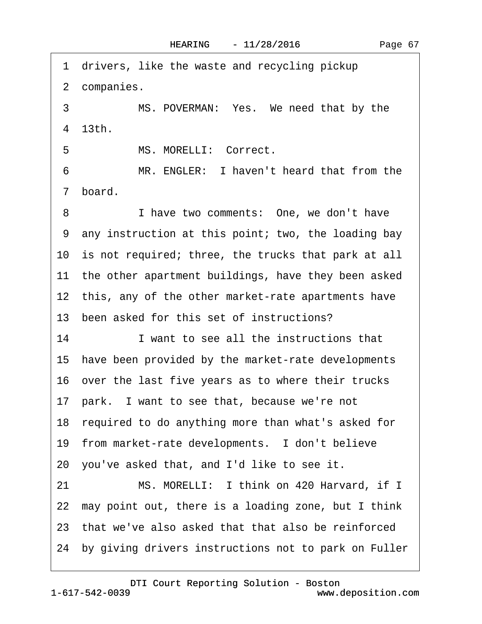1 drivers, like the waste and recycling pickup 2 companies. 3 MS. POVERMAN: Yes. We need that by the ·4· 13th. 5 MS. MORELLI: Correct. 6 MR. ENGLER: I haven't heard that from the 7 board. 8 I have two comments: One, we don't have ·9· any instruction at this point; two, the loading bay 10 is not required; three, the trucks that park at all 11 the other apartment buildings, have they been asked 12 this, any of the other market-rate apartments have 13 been asked for this set of instructions? 14 I want to see all the instructions that 15· have been provided by the market-rate developments 16· over the last five years as to where their trucks 17· park.· I want to see that, because we're not 18 required to do anything more than what's asked for 19 from market-rate developments. I don't believe 20· you've asked that, and I'd like to see it. 21 MS. MORELLI: I think on 420 Harvard, if I 22 may point out, there is a loading zone, but I think 23· that we've also asked that that also be reinforced 24 by giving drivers instructions not to park on Fuller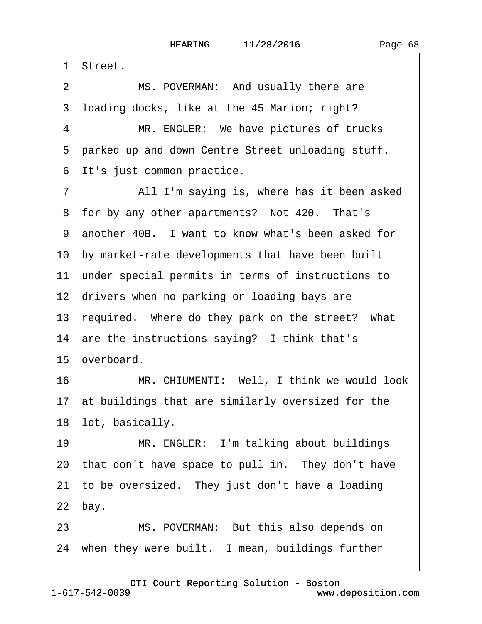·1· Street.

2 MS. POVERMAN: And usually there are 3 loading docks, like at the 45 Marion; right?

4 MR. ENGLER: We have pictures of trucks 5 parked up and down Centre Street unloading stuff. 6 It's just common practice.

7 All I'm saying is, where has it been asked 8 for by any other apartments? Not 420. That's ·9· another 40B.· I want to know what's been asked for 10· by market-rate developments that have been built 11 under special permits in terms of instructions to 12 drivers when no parking or loading bays are 13 required. Where do they park on the street? What 14 are the instructions saying? I think that's 15 overboard. 16 MR. CHIUMENTI: Well, I think we would look 17 at buildings that are similarly oversized for the 18 lot, basically. 19 MR. ENGLER: I'm talking about buildings

20 that don't have space to pull in. They don't have 21 to be oversized. They just don't have a loading  $22$  bay.

23 MS. POVERMAN: But this also depends on 24 when they were built. I mean, buildings further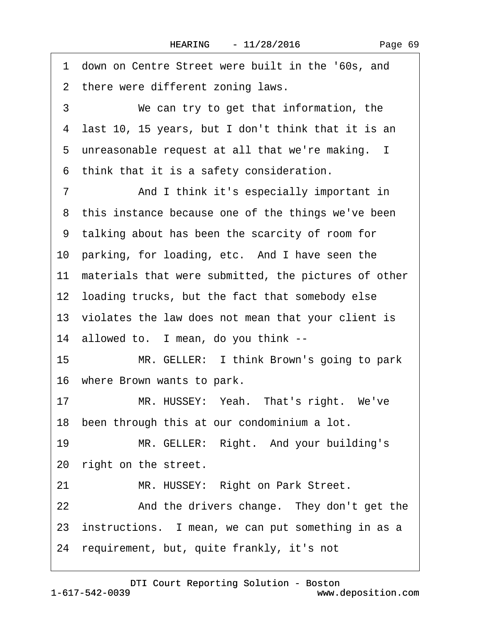1 down on Centre Street were built in the '60s, and 2 there were different zoning laws. 3 We can try to get that information, the ·4· last 10, 15 years, but I don't think that it is an 5 unreasonable request at all that we're making. I ·6· think that it is a safety consideration. 7 **And I think it's especially important in** 8 this instance because one of the things we've been ·9· talking about has been the scarcity of room for 10 parking, for loading, etc. And I have seen the 11 materials that were submitted, the pictures of other 12 loading trucks, but the fact that somebody else 13 violates the law does not mean that your client is 14 allowed to. I mean, do you think --15 MR. GELLER: I think Brown's going to park 16 where Brown wants to park. 17 MR. HUSSEY: Yeah. That's right. We've 18 been through this at our condominium a lot. 19 MR. GELLER: Right. And your building's 20 right on the street. 21 MR. HUSSEY: Right on Park Street. 22 And the drivers change. They don't get the 23 instructions. I mean, we can put something in as a 24· requirement, but, quite frankly, it's not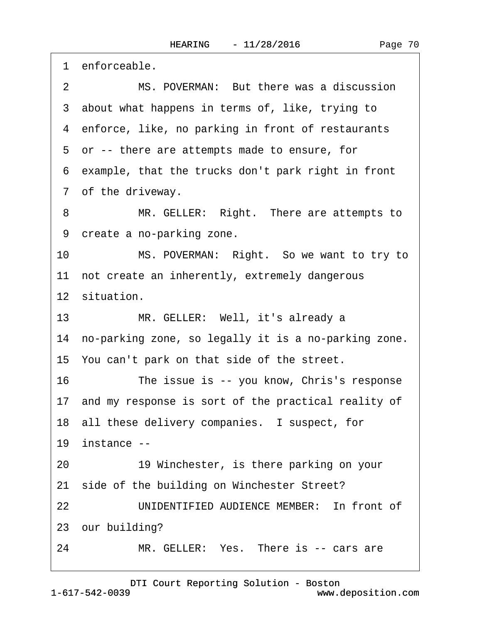1 enforceable. 2 MS. POVERMAN: But there was a discussion 3 about what happens in terms of, like, trying to 4 enforce, like, no parking in front of restaurants ·5· or -- there are attempts made to ensure, for ·6· example, that the trucks don't park right in front 7 of the driveway. 8 MR. GELLER: Right. There are attempts to 9 create a no-parking zone. 10 MS. POVERMAN: Right. So we want to try to 11 not create an inherently, extremely dangerous 12 situation. 13 MR. GELLER: Well, it's already a 14 no-parking zone, so legally it is a no-parking zone. 15· You can't park on that side of the street. 16 The issue is -- you know, Chris's response 17 and my response is sort of the practical reality of 18 all these delivery companies. I suspect, for 19 instance  $-$ 20· · · · · ·19 Winchester, is there parking on your 21 side of the building on Winchester Street? 22 UNIDENTIFIED AUDIENCE MEMBER: In front of 23 our building? 24 MR. GELLER: Yes. There is -- cars are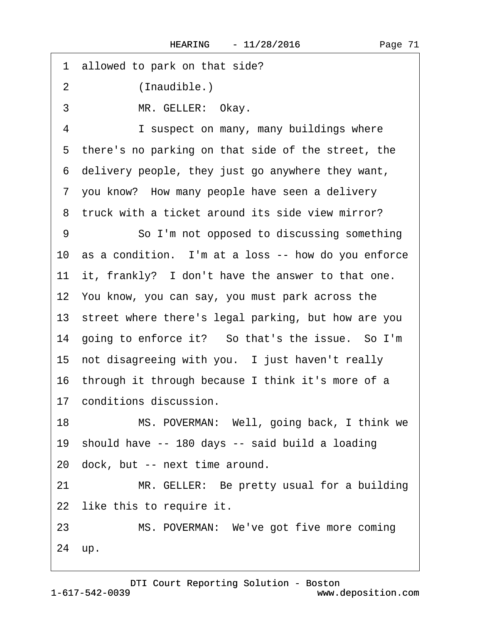1 allowed to park on that side?

2 (Inaudible.)

3 MR. GELLER: Okay.

4 I suspect on many, many buildings where 5 there's no parking on that side of the street, the ·6· delivery people, they just go anywhere they want, 7 you know? How many people have seen a delivery 8 truck with a ticket around its side view mirror?

9 **· · · · So I'm not opposed to discussing something** 10 as a condition. I'm at a loss -- how do you enforce 11 it, frankly? I don't have the answer to that one. 12· You know, you can say, you must park across the 13 street where there's legal parking, but how are you 14 going to enforce it? So that's the issue. So I'm 15 not disagreeing with you. I just haven't really 16 through it through because I think it's more of a 17 conditions discussion.

18 MS. POVERMAN: Well, going back, I think we 19· should have -- 180 days -- said build a loading 20· dock, but -- next time around.

21 MR. GELLER: Be pretty usual for a building 22 like this to require it.

23 MS. POVERMAN: We've got five more coming 24 up.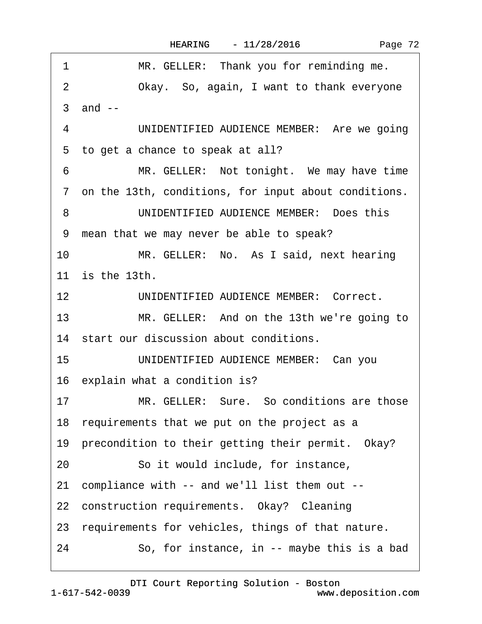|  | Page 72 |  |
|--|---------|--|
|--|---------|--|

| 1                | MR. GELLER: Thank you for reminding me.                |
|------------------|--------------------------------------------------------|
| 2                | Okay. So, again, I want to thank everyone              |
|                  | 3 and --                                               |
| 4                | UNIDENTIFIED AUDIENCE MEMBER: Are we going             |
|                  | 5 to get a chance to speak at all?                     |
| 6                | MR. GELLER: Not tonight. We may have time              |
|                  | 7 on the 13th, conditions, for input about conditions. |
| 8                | UNIDENTIFIED AUDIENCE MEMBER: Does this                |
| 9                | mean that we may never be able to speak?               |
| 10               | MR. GELLER: No. As I said, next hearing                |
|                  | 11 is the 13th.                                        |
| 12 <sup>12</sup> | UNIDENTIFIED AUDIENCE MEMBER: Correct.                 |
| 13               | MR. GELLER: And on the 13th we're going to             |
|                  | 14 start our discussion about conditions.              |
| 15               | UNIDENTIFIED AUDIENCE MEMBER: Can you                  |
|                  | 16 explain what a condition is?                        |
| 17               | MR. GELLER: Sure. So conditions are those              |
|                  | 18 requirements that we put on the project as a        |
|                  | 19 precondition to their getting their permit. Okay?   |
| 20               | So it would include, for instance,                     |
|                  | 21 compliance with -- and we'll list them out --       |
|                  | 22 construction requirements. Okay? Cleaning           |
|                  | 23 requirements for vehicles, things of that nature.   |
| 24               | So, for instance, in -- maybe this is a bad            |
|                  |                                                        |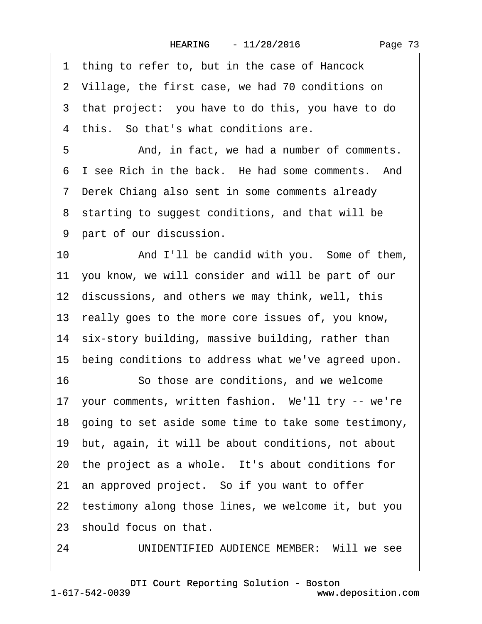|  | Page 73 |  |
|--|---------|--|
|--|---------|--|

<span id="page-72-0"></span>1 thing to refer to, but in the case of Hancock 2 Village, the first case, we had 70 conditions on 3 that project: you have to do this, you have to do 4 this. So that's what conditions are. 5 • **And, in fact, we had a number of comments.** 6 I see Rich in the back. He had some comments. And ·7· Derek Chiang also sent in some comments already 8 starting to suggest conditions, and that will be 9 part of our discussion. 10 • And I'll be candid with you. Some of them, 11· you know, we will consider and will be part of our 12 discussions, and others we may think, well, this 13· really goes to the more core issues of, you know, 14 six-story building, massive building, rather than 15 being conditions to address what we've agreed upon. 16· · · · · ·So those are conditions, and we welcome 17 your comments, written fashion. We'll try -- we're 18· going to set aside some time to take some testimony, 19· but, again, it will be about conditions, not about 20 the project as a whole. It's about conditions for 21 an approved project. So if you want to offer 22 testimony along those lines, we welcome it, but you 23 should focus on that. 24 UNIDENTIFIED AUDIENCE MEMBER: Will we see

1-617-542-0039 [DTI Court Reporting Solution - Boston](http://www.deposition.com) www.deposition.com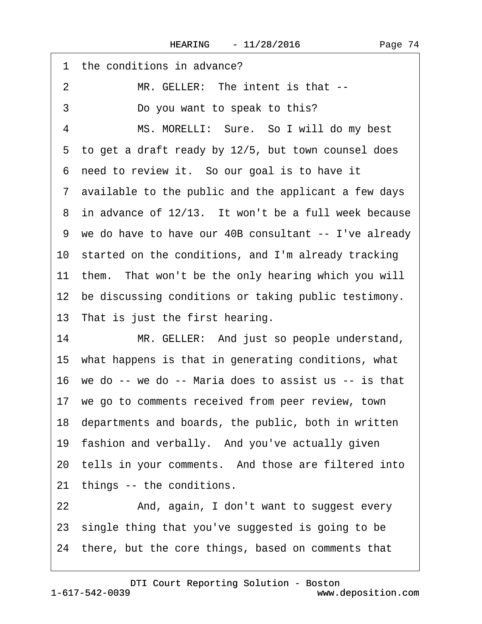<span id="page-73-0"></span>

| 1 the conditions in advance?                            |
|---------------------------------------------------------|
| MR. GELLER: The intent is that --<br>2                  |
| 3<br>Do you want to speak to this?                      |
| MS. MORELLI: Sure. So I will do my best<br>4            |
| 5 to get a draft ready by 12/5, but town counsel does   |
| 6 need to review it. So our goal is to have it          |
| 7 available to the public and the applicant a few days  |
| 8 in advance of 12/13. It won't be a full week because  |
| 9 we do have to have our 40B consultant -- I've already |
| 10 started on the conditions, and I'm already tracking  |
| 11 them. That won't be the only hearing which you will  |
| 12 be discussing conditions or taking public testimony. |
| 13 That is just the first hearing.                      |
| MR. GELLER: And just so people understand,<br>14        |
| 15 what happens is that in generating conditions, what  |
| 16 we do -- we do -- Maria does to assist us -- is that |
| 17 we go to comments received from peer review, town    |
| 18 departments and boards, the public, both in written  |
| 19 fashion and verbally. And you've actually given      |
| 20 tells in your comments. And those are filtered into  |
| 21 things -- the conditions.                            |
| And, again, I don't want to suggest every<br>22         |
| 23 single thing that you've suggested is going to be    |
| 24 there, but the core things, based on comments that   |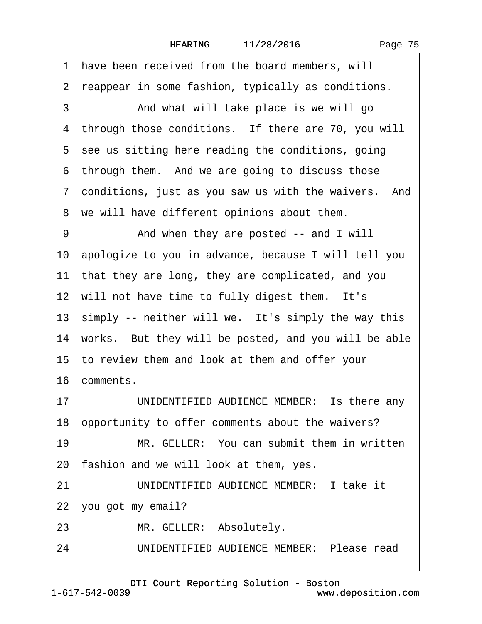<span id="page-74-0"></span>1 have been received from the board members, will 2 reappear in some fashion, typically as conditions. 3 • • And what will take place is we will go 4 through those conditions. If there are 70, you will 5 see us sitting here reading the conditions, going 6 through them. And we are going to discuss those ·7· conditions, just as you saw us with the waivers.· And 8 we will have different opinions about them. 9 • • And when they are posted -- and I will 10· apologize to you in advance, because I will tell you 11 that they are long, they are complicated, and you 12 will not have time to fully digest them. It's 13 simply -- neither will we. It's simply the way this 14 works. But they will be posted, and you will be able 15 to review them and look at them and offer your 16· comments. 17 UNIDENTIFIED AUDIENCE MEMBER: Is there any 18· opportunity to offer comments about the waivers? 19 MR. GELLER: You can submit them in written 20 fashion and we will look at them, yes. 21· · · · · ·UNIDENTIFIED AUDIENCE MEMBER:· I take it 22 you got my email? 23 MR. GELLER: Absolutely. 24 UNIDENTIFIED AUDIENCE MEMBER: Please read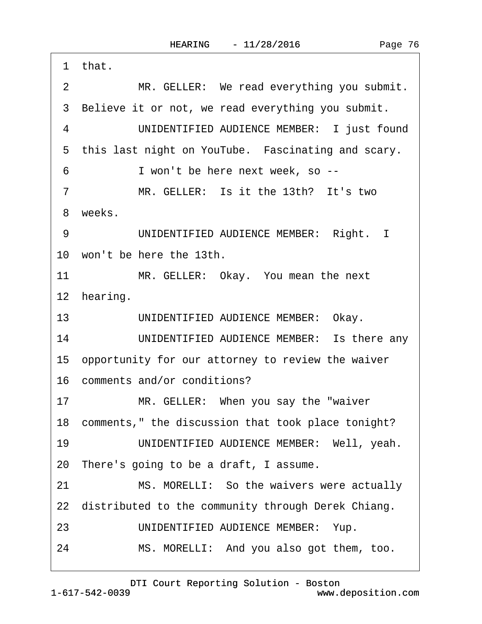<span id="page-75-0"></span>

| MR. GELLER: We read everything you submit.<br>$\overline{2}$<br>3 Believe it or not, we read everything you submit.<br>UNIDENTIFIED AUDIENCE MEMBER: I just found<br>4<br>5 this last night on YouTube. Fascinating and scary.<br>I won't be here next week, so --<br>6<br>MR. GELLER: Is it the 13th? It's two<br>$\overline{7}$<br>8 weeks.<br>UNIDENTIFIED AUDIENCE MEMBER: Right. I<br>9<br>10 won't be here the 13th.<br>11<br>MR. GELLER: Okay. You mean the next<br>12 hearing.<br>UNIDENTIFIED AUDIENCE MEMBER: Okay.<br>13<br>UNIDENTIFIED AUDIENCE MEMBER: Is there any<br>14<br>15 opportunity for our attorney to review the waiver<br>16 comments and/or conditions?<br>MR. GELLER: When you say the "waiver"<br>17<br>18 comments," the discussion that took place tonight?<br>UNIDENTIFIED AUDIENCE MEMBER: Well, yeah.<br>19<br>20 There's going to be a draft, I assume.<br>21<br>MS. MORELLI: So the waivers were actually<br>22 distributed to the community through Derek Chiang.<br>UNIDENTIFIED AUDIENCE MEMBER: Yup.<br>23 |
|---------------------------------------------------------------------------------------------------------------------------------------------------------------------------------------------------------------------------------------------------------------------------------------------------------------------------------------------------------------------------------------------------------------------------------------------------------------------------------------------------------------------------------------------------------------------------------------------------------------------------------------------------------------------------------------------------------------------------------------------------------------------------------------------------------------------------------------------------------------------------------------------------------------------------------------------------------------------------------------------------------------------------------------------------|
|                                                                                                                                                                                                                                                                                                                                                                                                                                                                                                                                                                                                                                                                                                                                                                                                                                                                                                                                                                                                                                                   |
|                                                                                                                                                                                                                                                                                                                                                                                                                                                                                                                                                                                                                                                                                                                                                                                                                                                                                                                                                                                                                                                   |
|                                                                                                                                                                                                                                                                                                                                                                                                                                                                                                                                                                                                                                                                                                                                                                                                                                                                                                                                                                                                                                                   |
|                                                                                                                                                                                                                                                                                                                                                                                                                                                                                                                                                                                                                                                                                                                                                                                                                                                                                                                                                                                                                                                   |
|                                                                                                                                                                                                                                                                                                                                                                                                                                                                                                                                                                                                                                                                                                                                                                                                                                                                                                                                                                                                                                                   |
|                                                                                                                                                                                                                                                                                                                                                                                                                                                                                                                                                                                                                                                                                                                                                                                                                                                                                                                                                                                                                                                   |
|                                                                                                                                                                                                                                                                                                                                                                                                                                                                                                                                                                                                                                                                                                                                                                                                                                                                                                                                                                                                                                                   |
|                                                                                                                                                                                                                                                                                                                                                                                                                                                                                                                                                                                                                                                                                                                                                                                                                                                                                                                                                                                                                                                   |
|                                                                                                                                                                                                                                                                                                                                                                                                                                                                                                                                                                                                                                                                                                                                                                                                                                                                                                                                                                                                                                                   |
|                                                                                                                                                                                                                                                                                                                                                                                                                                                                                                                                                                                                                                                                                                                                                                                                                                                                                                                                                                                                                                                   |
|                                                                                                                                                                                                                                                                                                                                                                                                                                                                                                                                                                                                                                                                                                                                                                                                                                                                                                                                                                                                                                                   |
|                                                                                                                                                                                                                                                                                                                                                                                                                                                                                                                                                                                                                                                                                                                                                                                                                                                                                                                                                                                                                                                   |
|                                                                                                                                                                                                                                                                                                                                                                                                                                                                                                                                                                                                                                                                                                                                                                                                                                                                                                                                                                                                                                                   |
|                                                                                                                                                                                                                                                                                                                                                                                                                                                                                                                                                                                                                                                                                                                                                                                                                                                                                                                                                                                                                                                   |
|                                                                                                                                                                                                                                                                                                                                                                                                                                                                                                                                                                                                                                                                                                                                                                                                                                                                                                                                                                                                                                                   |
|                                                                                                                                                                                                                                                                                                                                                                                                                                                                                                                                                                                                                                                                                                                                                                                                                                                                                                                                                                                                                                                   |
|                                                                                                                                                                                                                                                                                                                                                                                                                                                                                                                                                                                                                                                                                                                                                                                                                                                                                                                                                                                                                                                   |
|                                                                                                                                                                                                                                                                                                                                                                                                                                                                                                                                                                                                                                                                                                                                                                                                                                                                                                                                                                                                                                                   |
|                                                                                                                                                                                                                                                                                                                                                                                                                                                                                                                                                                                                                                                                                                                                                                                                                                                                                                                                                                                                                                                   |
|                                                                                                                                                                                                                                                                                                                                                                                                                                                                                                                                                                                                                                                                                                                                                                                                                                                                                                                                                                                                                                                   |
|                                                                                                                                                                                                                                                                                                                                                                                                                                                                                                                                                                                                                                                                                                                                                                                                                                                                                                                                                                                                                                                   |
|                                                                                                                                                                                                                                                                                                                                                                                                                                                                                                                                                                                                                                                                                                                                                                                                                                                                                                                                                                                                                                                   |
| MS. MORELLI: And you also got them, too.<br>24                                                                                                                                                                                                                                                                                                                                                                                                                                                                                                                                                                                                                                                                                                                                                                                                                                                                                                                                                                                                    |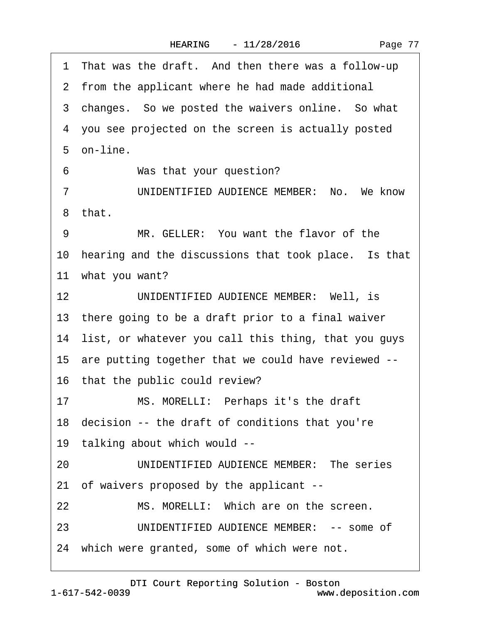<span id="page-76-0"></span>

|                | 1 That was the draft. And then there was a follow-up    |
|----------------|---------------------------------------------------------|
|                | 2 from the applicant where he had made additional       |
|                | 3 changes. So we posted the waivers online. So what     |
|                | 4 you see projected on the screen is actually posted    |
|                | 5 on-line.                                              |
| 6              | Was that your question?                                 |
| $\overline{7}$ | UNIDENTIFIED AUDIENCE MEMBER: No. We know               |
|                | 8 that.                                                 |
| 9              | MR. GELLER: You want the flavor of the                  |
|                | 10 hearing and the discussions that took place. Is that |
|                | 11 what you want?                                       |
| 12             | UNIDENTIFIED AUDIENCE MEMBER: Well, is                  |
|                | 13 there going to be a draft prior to a final waiver    |
|                | 14 list, or whatever you call this thing, that you guys |
|                | 15 are putting together that we could have reviewed --  |
|                | 16 that the public could review?                        |
| 17             | MS. MORELLI: Perhaps it's the draft                     |
|                | 18 decision -- the draft of conditions that you're      |
|                | 19 talking about which would --                         |
| 20             | UNIDENTIFIED AUDIENCE MEMBER: The series                |
|                | 21 of waivers proposed by the applicant --              |
| 22             | MS. MORELLI: Which are on the screen.                   |
| 23             | UNIDENTIFIED AUDIENCE MEMBER: -- some of                |
|                | 24 which were granted, some of which were not.          |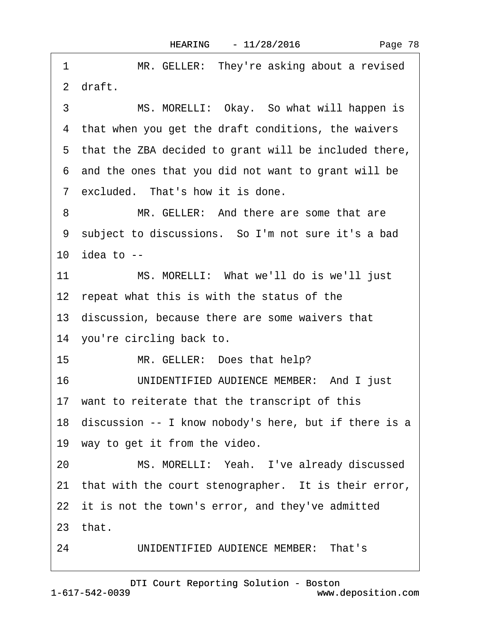<span id="page-77-0"></span>1 MR. GELLER: They're asking about a revised ·2· draft. 3 MS. MORELLI: Okay. So what will happen is 4 that when you get the draft conditions, the waivers ·5· that the ZBA decided to grant will be included there, ·6· and the ones that you did not want to grant will be 7 excluded. That's how it is done. 8 MR. GELLER: And there are some that are 9 subject to discussions. So I'm not sure it's a bad 10 $i$  idea to  $-i$ 11 MS. MORELLI: What we'll do is we'll just 12 repeat what this is with the status of the 13· discussion, because there are some waivers that 14 you're circling back to. 15 MR. GELLER: Does that help? 16 UNIDENTIFIED AUDIENCE MEMBER: And I just 17 want to reiterate that the transcript of this 18· discussion -- I know nobody's here, but if there is a 19 way to get it from the video. 20 MS. MORELLI: Yeah. I've already discussed 21 that with the court stenographer. It is their error, 22 it is not the town's error, and they've admitted 23· that.

24 UNIDENTIFIED AUDIENCE MEMBER: That's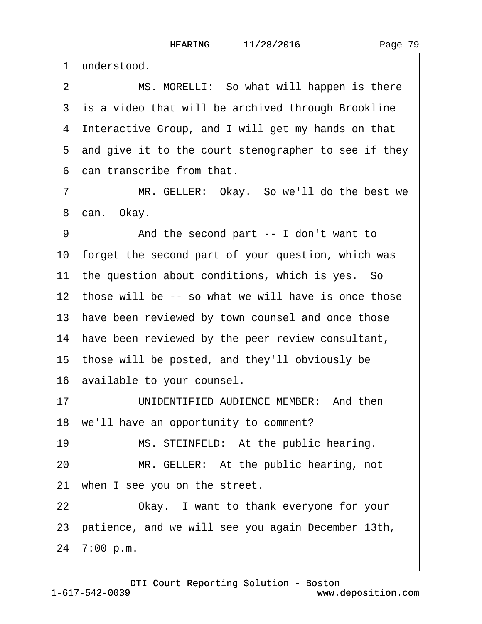<span id="page-78-0"></span>1 understood.

2 MS. MORELLI: So what will happen is there 3 is a video that will be archived through Brookline ·4· Interactive Group, and I will get my hands on that 5 and give it to the court stenographer to see if they ·6· can transcribe from that.

7 MR. GELLER: Okay. So we'll do the best we 8 can. Okay.

9 • • And the second part -- I don't want to 10· forget the second part of your question, which was 11 the question about conditions, which is yes. So 12 those will be -- so what we will have is once those 13 have been reviewed by town counsel and once those 14 have been reviewed by the peer review consultant, 15· those will be posted, and they'll obviously be 16· available to your counsel. 17 UNIDENTIFIED AUDIENCE MEMBER: And then 18 we'll have an opportunity to comment? 19 MS. STEINFELD: At the public hearing. 20 MR. GELLER: At the public hearing, not 21 when I see you on the street. 22 Okay. I want to thank everyone for your

23· patience, and we will see you again December 13th,

24· 7:00 p.m.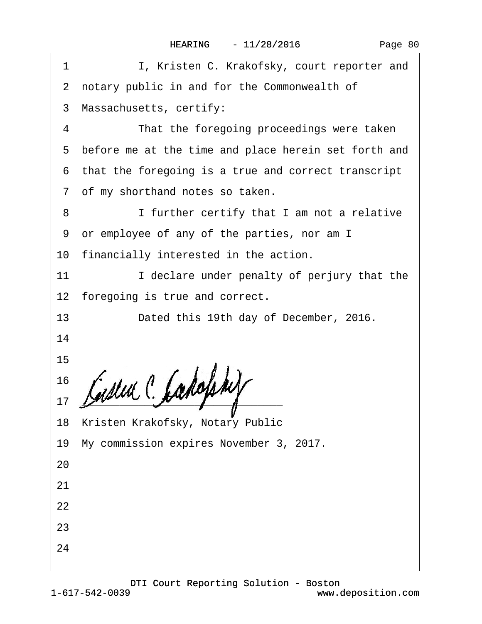<span id="page-79-0"></span>

| I, Kristen C. Krakofsky, court reporter and<br>1       |
|--------------------------------------------------------|
| 2 notary public in and for the Commonwealth of         |
| 3 Massachusetts, certify:                              |
| 4<br>That the foregoing proceedings were taken         |
| 5 before me at the time and place herein set forth and |
| 6 that the foregoing is a true and correct transcript  |
| 7 of my shorthand notes so taken.                      |
| I further certify that I am not a relative<br>8        |
| or employee of any of the parties, nor am I<br>9       |
| 10 financially interested in the action.               |
| I declare under penalty of perjury that the<br>11      |
| 12 foregoing is true and correct.                      |
| 13<br>Dated this 19th day of December, 2016.           |
| 14                                                     |
| 15                                                     |
| 16                                                     |
| 17                                                     |
| 18 Kristen Krakofsky, Notary Public                    |
| 19 My commission expires November 3, 2017.             |
| 20                                                     |
| 21                                                     |
| 22                                                     |
| 23                                                     |
| 24                                                     |
|                                                        |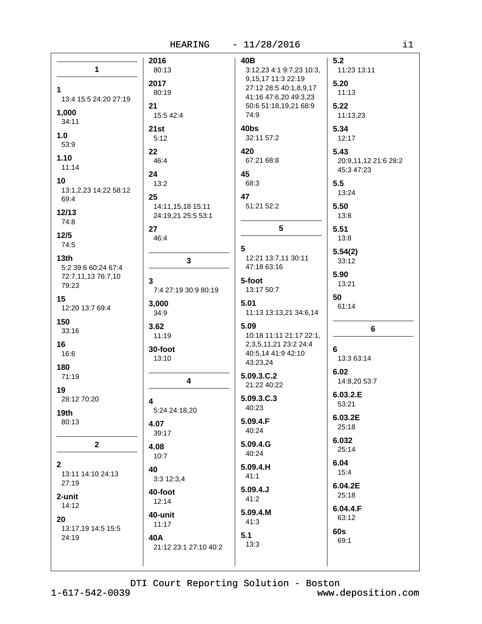|                                                                                                                                                                                      | <b>HEARING</b>                                                                                                                                         | $-11/28/2016$                                                                                                                                                                                                                             | i1                                                                                                                                                      |
|--------------------------------------------------------------------------------------------------------------------------------------------------------------------------------------|--------------------------------------------------------------------------------------------------------------------------------------------------------|-------------------------------------------------------------------------------------------------------------------------------------------------------------------------------------------------------------------------------------------|---------------------------------------------------------------------------------------------------------------------------------------------------------|
| 1<br>$\mathbf 1$<br>13:4 15:5 24:20 27:19<br>1,000<br>34:11<br>1.0<br>53:9<br>1.10<br>11:14<br>10<br>13:1,2,23 14:22 58:12<br>69:4<br>12/13<br>74:8                                  | 2016<br>80:13<br>2017<br>80:19<br>21<br>15:5 42:4<br>21st<br>5:12<br>22<br>46:4<br>24<br>13:2<br>25<br>14:11,15,18 15:11<br>24:19,21 25:5 53:1         | 40B<br>3:12,23 4:1 9:7,23 10:3,<br>9,15,17 11:3 22:19<br>27:12 28:5 40:1,8,9,17<br>41:16 47:6,20 49:3,23<br>50:6 51:18,19,21 68:9<br>74:9<br>40bs<br>32:11 57:2<br>420<br>67:21 68:8<br>45<br>68:3<br>47<br>51:21 52:2<br>$5\phantom{.0}$ | 5.2<br>11:23 13:11<br>5.20<br>11:13<br>5.22<br>11:13,23<br>5.34<br>12:17<br>5.43<br>20:9,11,12 21:6 28:2<br>45:3 47:23<br>5.5<br>13:24<br>5.50<br>13:8  |
| $12/5$<br>74:5<br>13 <sub>th</sub><br>5:2 39:6 60:24 67:4<br>72:7,11,13 76:7,10<br>79:23<br>15<br>12:20 13:7 69:4<br>150<br>33:16<br>16<br>16:6                                      | 27<br>46:4<br>3<br>3<br>7:4 27:19 30:9 80:19<br>3,000<br>34:9<br>3.62<br>11:19<br>30-foot<br>13:10                                                     | 5<br>12:21 13:7,11 30:11<br>47:18 63:16<br>5-foot<br>13:17 50:7<br>5.01<br>11:13 13:13,21 34:6,14<br>5.09<br>10:18 11:11 21:17 22:1,<br>2, 3, 5, 11, 21 23: 224: 4<br>40:5,14 41:9 42:10<br>43:23,24                                      | 5.51<br>13:8<br>5.54(2)<br>33:12<br>5.90<br>13:21<br>50<br>61:14<br>6<br>6<br>13:3 63:14                                                                |
| 180<br>71:19<br>19<br>28:12 70:20<br>19 <sub>th</sub><br>80:13<br>$\mathbf{2}$<br>$\mathbf{2}$<br>13:11 14:10 24:13<br>27:19<br>2-unit<br>14:12<br>20<br>13:17,19 14:5 15:5<br>24:19 | 4<br>4<br>5:24 24:18,20<br>4.07<br>39:17<br>4.08<br>10:7<br>40<br>$3:3$ 12:3,4<br>40-foot<br>12:14<br>40-unit<br>11:17<br>40A<br>21:12 23:1 27:10 40:2 | 5.09.3.C.2<br>21:22 40:22<br>5.09.3.C.3<br>40:23<br>5.09.4.F<br>40:24<br>5.09.4.G<br>40:24<br>5.09.4.H<br>41:1<br>5.09.4J<br>41:2<br>5.09.4.M<br>41:3<br>5.1<br>13:3                                                                      | 6.02<br>14:8,20 53:7<br>6.03.2.E<br>53:21<br>6.03.2E<br>25:18<br>6.032<br>25:14<br>6.04<br>15:4<br>6.04.2E<br>25:18<br>6.04.4.F<br>63:12<br>60s<br>69:1 |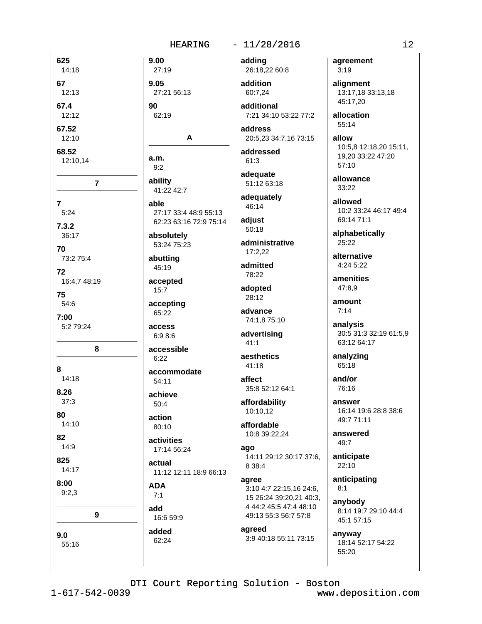|                         | <b>HEARING</b>                                          | $-11/28/2016$                                                             | i2                                                |
|-------------------------|---------------------------------------------------------|---------------------------------------------------------------------------|---------------------------------------------------|
| 625<br>14:18            | 9.00<br>27:19                                           | adding<br>26:18,22 60:8                                                   | agreement<br>3:19                                 |
| 67<br>12:13             | 9.05<br>27:21 56:13                                     | addition<br>60:7,24                                                       | alignment<br>13:17,18 33:13,18<br>45:17,20        |
| 67.4<br>12:12           | 90<br>62:19                                             | additional<br>7:21 34:10 53:22 77:2                                       | allocation<br>55:14                               |
| 67.52<br>12:10<br>68.52 | A                                                       | address<br>20:5,23 34:7,16 73:15<br>addressed                             | allow<br>10:5,8 12:18,20 15:11,                   |
| 12:10,14                | a.m.<br>9:2                                             | 61:3<br>adequate                                                          | 19,20 33:22 47:20<br>57:10                        |
| $\overline{\mathbf{7}}$ | ability<br>41:22 42:7                                   | 51:12 63:18<br>adequately                                                 | allowance<br>33:22                                |
| $\overline{7}$<br>5:24  | able<br>27:17 33:4 48:9 55:13<br>62:23 63:16 72:9 75:14 | 46:14<br>adjust                                                           | allowed<br>10:2 33:24 46:17 49:4<br>69:14 71:1    |
| 7.3.2<br>36:17          | absolutely<br>53:24 75:23                               | 50:18<br>administrative                                                   | alphabetically<br>25:22                           |
| 70<br>73:2 75:4<br>72   | abutting<br>45:19                                       | 17:2,22<br>admitted                                                       | alternative<br>4:24 5:22                          |
| 16:4,7 48:19<br>75      | accepted<br>15:7                                        | 78:22<br>adopted<br>28:12                                                 | amenities<br>47:8,9                               |
| 54:6<br>7:00            | accepting<br>65:22                                      | advance<br>74:1,8 75:10                                                   | amount<br>7:14                                    |
| 5:2 79:24               | access<br>6:9 8:6                                       | advertising<br>41:1                                                       | analysis<br>30:5 31:3 32:19 61:5,9<br>63:12 64:17 |
| 8<br>8                  | accessible<br>6:22                                      | aesthetics<br>41:18                                                       | analyzing<br>65:18                                |
| 14:18<br>8.26           | accommodate<br>54:11                                    | affect<br>35:8 52:12 64:1                                                 | and/or<br>76:16                                   |
| 37:3<br>80              | achieve<br>50:4<br>action                               | affordability<br>10:10,12                                                 | answer<br>16:14 19:6 28:8 38:6<br>49:7 71:11      |
| 14:10<br>82             | 80:10<br>activities                                     | affordable<br>10:8 39:22,24                                               | answered<br>49:7                                  |
| 14:9<br>825<br>14:17    | 17:14 56:24<br>actual                                   | ago<br>14:11 29:12 30:17 37:6,<br>8 38:4                                  | anticipate<br>22:10                               |
| 8:00<br>9:2,3           | 11:12 12:11 18:9 66:13<br><b>ADA</b><br>7:1             | agree<br>3:10 4:7 22:15,16 24:6,                                          | anticipating<br>8:1                               |
| 9                       | add<br>16:6 59:9                                        | 15 26:24 39:20,21 40:3,<br>4 44:2 45:5 47:4 48:10<br>49:13 55:3 56:7 57:8 | anybody<br>8:14 19:7 29:10 44:4<br>45:1 57:15     |
| 9.0<br>55:16            | added<br>62:24                                          | agreed<br>3:9 40:18 55:11 73:15                                           | anyway<br>18:14 52:17 54:22<br>55:20              |
|                         |                                                         |                                                                           |                                                   |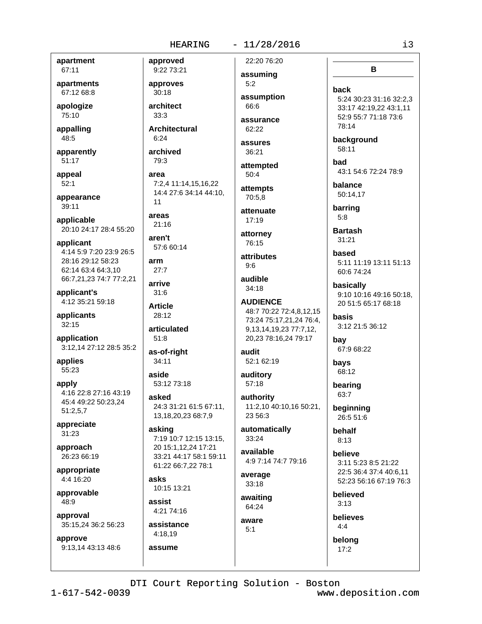## $-11/28/2016$

apartment 67:11

apartments 67:12 68:8

apologize 75:10

appalling 48:5

apparently 51:17

appeal  $52:1$ 

appearance 39:11

applicable 20:10 24:17 28:4 55:20

applicant 4:14 5:9 7:20 23:9 26:5 28:16 29:12 58:23 62:14 63:4 64:3,10 66:7,21,23 74:7 77:2,21

applicant's 4:12 35:21 59:18

applicants  $32:15$ 

application 3:12,14 27:12 28:5 35:2

applies 55:23

apply 4:16 22:8 27:16 43:19 45:4 49:22 50:23.24  $51:2,5,7$ 

appreciate  $31:23$ 

approach 26:23 66:19

appropriate  $4.416.20$ 

approvable  $48:9$ 

approval 35:15,24 36:2 56:23

approve 9:13.14 43:13 48:6

9:22 73:21 approves  $30:18$ architect

approved

 $33:3$ **Architectural** 

 $6:24$ archived 79:3

area 7:2.4 11:14.15.16.22 14:4 27:6 34:14 44:10,  $11$ 

areas  $21:16$ 

aren't 57:6 60:14

arm  $27.7$ 

arrive

 $31:6$ **Article**  $28:12$ 

articulated  $51:8$ 

as-of-right  $34:11$ 

aside 53:12 73:18

asked 24:3 31:21 61:5 67:11, 13, 18, 20, 23 68: 7, 9

asking 7:19 10:7 12:15 13:15, 20 15:1,12,24 17:21 33:21 44:17 58:1 59:11 61:22 66:7,22 78:1

asks 10:15 13:21

assist 4:21 74:16

assistance 4:18,19

assume

22:20 76:20 assuming

> $5:2$ assumption 66:6

assurance 62:22

assures 36:21

attempted  $50:4$ 

attempts 70:5.8

attenuate  $17:19$ 

attorney 76:15

attributes  $9:6$ 

audible 34:18

**AUDIENCE** 48:7 70:22 72:4,8,12,15 73:24 75:17,21,24 76:4, 9, 13, 14, 19, 23 77: 7, 12, 20,23 78:16,24 79:17

audit 52:1 62:19

auditory 57:18

authority 11:2,10 40:10,16 50:21, 23 56:3

automatically 33:24

available 4:9 7:14 74:7 79:16

average  $33:18$ 

awaiting 64:24

aware  $5.1$ 

had 43:1 54:6 72:24 78:9 balance 50:14,17

background

barring  $5:8$ 

back

78:14

58:11

**Bartash**  $31:21$ 

based 5:11 11:19 13:11 51:13 60:6 74:24

B

5:24 30:23 31:16 32:2,3

33:17 42:19,22 43:1,11

52:9 55:7 71:18 73:6

basically 9:10 10:16 49:16 50:18, 20 51:5 65:17 68:18

hasis 3:12 21:5 36:12

bay 67:9 68:22

68:12 bearing

bavs

63:7 beginning

26:5 51:6

behalf  $8:13$ 

believe 3:11 5:23 8:5 21:22 22:5 36:4 37:4 40:6,11 52:23 56:16 67:19 76:3

believed  $3:13$ 

believes  $4:4$ 

belong  $17:2$ 

DTI Court Reporting Solution - Boston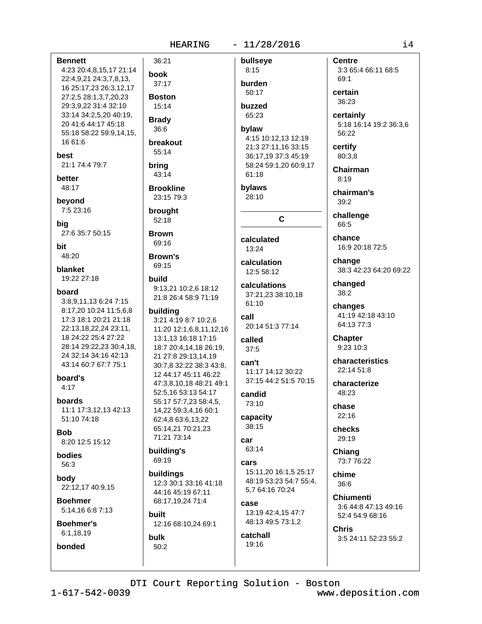36:21

37:17

**Boston** 

 $15:14$ 

**Brady** 

 $36:6$ 

69:19

**built** 

**bulk** 

 $50:2$ 

buildings

12:3 30:1 33:16 41:18

44:16 45:19 67:11

12:16 68:10,24 69:1

68:17,19,24 71:4

book

#### $-11/28/2016$

bullseye

 $8:15$ 

burden

50:17

buzzed 65:23

## bylaw 4:15 10:12,13 12:19 21:3 27:11,16 33:15 36:17,19 37:3 45:19 58:24 59:1,20 60:9,17 61:18

bylaws 28:10

## C

calculated 13:24

calculation 12:5 58:12

calculations 37:21,23 38:10,18 61:10

call 20:14 51:3 77:14

called  $37:5$ 

can't 11:17 14:12 30:22 37:15 44:2 51:5 70:15

candid 73:10

capacity 38:15

car 63:14

cars 15:11,20 16:1,5 25:17 48:19 53:23 54:7 55:4. 5,7 64:16 70:24

case 13:19 42:4,15 47:7 48:13 49:5 73:1.2

catchall 19:16

**Centre** 3:3 65:4 66:11 68:5 69:1

certain  $36:23$ 

certainly 5:18 16:14 19:2 36:3,6 56:22

certify 80:3,8

Chairman  $8:19$ 

chairman's 39:2

challenge 66:5

chance 16:9 20:18 72:5

change 38:3 42:23 64:20 69:22

changed 38:2

changes 41:19 42:18 43:10 64:13 77:3

**Chapter** 9:23 10:3

characteristics 22:14 51:8

characterize 48:23

chase 22:16

checks 29:19

Chiang 73:7 76:22

chime  $36:6$ 

**Chiumenti** 3:6 44:8 47:13 49:16 52:4 54:9 68:16

Chris 3:5 24:11 52:23 55:2

16 61:6 breakout 55:14 21:1 74:4 79:7 bring 43:14 hetter 48:17 **Brookline** 23:15 79:3 beyond 7:5 23:16 brought 52:18 27:6 35:7 50:15 **Brown** 69:16 48:20 **Brown's** 69:15 **blanket** 19:22 27:18 build 9:13,21 10:2,6 18:12 board 21:8 26:4 58:9 71:19 3:8,9,11,13 6:24 7:15 8:17,20 10:24 11:5,6,8 building 17:3 18:1 20:21 21:18 3:21 4:19 8:7 10:2,6 22:13,18,22,24 23:11, 11:20 12:1,6,8,11,12,16 18 24:22 25:4 27:22 13:1,13 16:18 17:15 28:14 29:22,23 30:4,18, 18:7 20:4,14,18 26:19, 24 32:14 34:16 42:13 21 27:8 29:13,14,19 43:14 60:7 67:7 75:1 30:7,8 32:22 38:3 43:8, 12 44:17 45:11 46:22 board's 47:3,8,10,18 48:21 49:1  $4:17$ 52:5,16 53:13 54:17 boards 55:17 57:7,23 58:4,5, 11:1 17:3.12.13 42:13 14,22 59:3,4,16 60:1  $51.1074.18$ 62:4.8 63:6.13.22 65:14,21 70:21,23 71:21 73:14 8:20 12:5 15:12 building's

bodies 56:3

**Bob** 

**Bennett** 

best

bia

bit

4:23 20:4,8,15,17 21:14

22:4,9,21 24:3,7,8,13,

27:2,5 28:1,3,7,20,23

29:3,9,22 31:4 32:10

20 41:6 44:17 45:18

33:14 34:2,5,20 40:19,

55:18 58:22 59:9,14,15,

16 25:17,23 26:3,12,17

body 22:12,17 40:9,15

**Boehmer** 5:14,16 6:8 7:13

**Boehmer's** 6:1.18.19

bonded

DTI Court Reporting Solution - Boston

 $1 - 617 - 542 - 0039$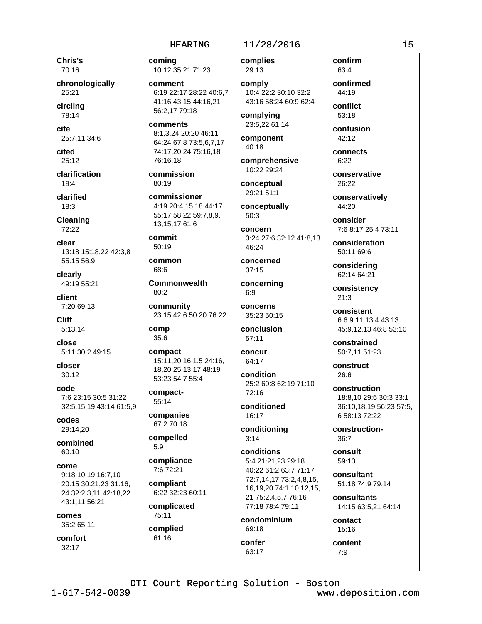**Chris's** 70:16

chronologically 25:21

circlina 78:14

cite 25:7,11 34:6

cited  $25:12$ 

clarification  $19:4$ 

clarified  $18:3$ 

Cleaning 72:22

clear 13:18 15:18,22 42:3,8 55:15 56:9

clearly 49:19 55:21

client  $7:2069:13$ 

**Cliff**  $5:13,14$ 

close 5:11 30:2 49:15

closer  $30:12$ 

code 7:6 23:15 30:5 31:22 32:5,15,19 43:14 61:5,9

codes 29:14,20

combined  $60:10$ 

come 9:18 10:19 16:7.10 20:15 30:21,23 31:16, 24 32:2,3,11 42:18,22 43:1,11 56:21

comes 35:2 65:11

comfort  $32:17$ 

comina 10:12 35:21 71:23

comment 6:19 22:17 28:22 40:6.7 41:16 43:15 44:16,21 56:2,17 79:18

comments 8:1.3.24 20:20 46:11 64:24 67:8 73:5,6,7,17 74:17,20,24 75:16,18 76:16.18

commission 80:19

commissioner 4:19 20:4.15.18 44:17 55:17 58:22 59:7,8,9, 13,15,1761:6

commit  $50:19$ 

common 68:6

**Commonwealth**  $80:2$ 

community 23:15 42:6 50:20 76:22

comp  $35:6$ 

compact 15:11,20 16:1,5 24:16, 18.20 25:13.17 48:19 53:23 54:7 55:4

compact-55:14

companies 67:2 70:18

compelled  $5:9$ 

compliance 7:6 72:21

compliant 6:22 32:23 60:11

complicated 75:11

complied 61:16

 $-11/28/2016$ complies

> 29:13 comply 10:4 22:2 30:10 32:2 43:16 58:24 60:9 62:4

complying 23:5,22 61:14

component 40:18

comprehensive 10:22 29:24

conceptual 29:21 51:1

conceptually 50:3

concern 3:24 27:6 32:12 41:8.13 46:24

concerned  $37:15$ 

concerning  $6:9$ concerns

35:23 50:15 conclusion

 $57:11$ 

concur  $64.17$ 

condition 25:2 60:8 62:19 71:10 72:16

conditioned 16:17

conditioning  $3:14$ 

conditions 5:4 21:21.23 29:18 40:22 61:2 63:7 71:17 72:7,14,17 73:2,4,8,15, 16, 19, 20 74: 1, 10, 12, 15, 21 75:2,4,5,7 76:16 77:18 78:4 79:11

condominium 69:18

confer 63:17

confirm  $63.4$ 

confirmed 44:19

conflict 53:18

confusion  $42:12$ 

connects  $6:22$ 

conservative 26:22

conservatively 44:20

consider 7:6 8:17 25:4 73:11

consideration 50:11 69:6

considering 62:14 64:21

consistency  $21:3$ 

consistent 6:6 9:11 13:4 43:13 45:9,12,13 46:8 53:10

constrained 50:7.11 51:23

construct 26:6

construction 18:8.10 29:6 30:3 33:1 36:10,18,19 56:23 57:5, 6 58:13 72:22

construction- $36:7$ 

consult 59:13

consultant 51:18 74:9 79:14

consultants 14:15 63:5,21 64:14

contact 15:16

content  $7.9$ 

DTI Court Reporting Solution - Boston

 $1 - 617 - 542 - 0039$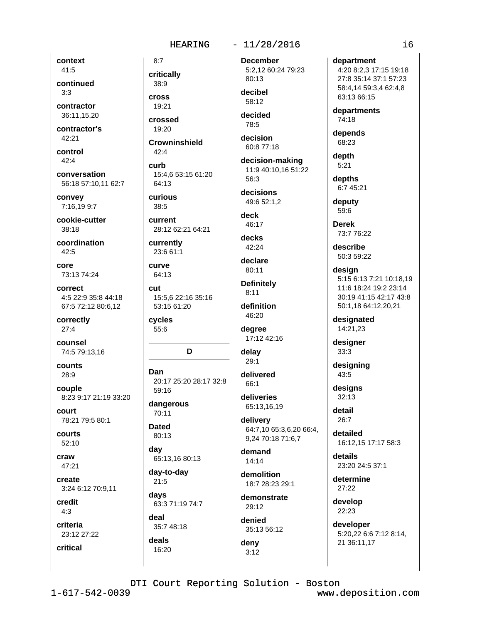### $-11/28/2016$

context 41:5

continued  $3:3$ 

contractor 36:11,15,20

contractor's  $42:21$ 

control  $42:4$ 

conversation 56:18 57:10.11 62:7

convey 7:16,19 9:7

cookie-cutter  $38:18$ 

coordination  $42:5$ 

core 73:13 74:24

correct 4:5 22:9 35:8 44:18 67:5 72:12 80:6,12

correctly  $27:4$ 

counsel 74:5 79:13,16

counts 28:9

couple 8:23 9:17 21:19 33:20

court 78:21 79:5 80:1

courts 52:10

craw 47:21

create 3:24 6:12 70:9,11

credit  $4:3$ 

critical

criteria

23:12 27:22

critically 38:9 **Cross**  $19.21$ 

 $8:7$ 

crossed 19:20

**Crowninshield**  $42:4$ 

curb 15:4.6 53:15 61:20 64:13

curious  $38:5$ 

current 28:12 62:21 64:21

currently 23:6 61:1

curve 64:13

cut 15:5,6 22:16 35:16 53:15 61:20

cycles 55:6

## D

Dan 20:17 25:20 28:17 32:8 59:16

dangerous 70:11

**Dated** 80:13

dav 65:13,16 80:13

day-to-day  $21:5$ 

days 63:3 71:19 74:7

deal 35:7 48:18 deals

16:20

**December** 5:2,12 60:24 79:23

80:13 decibel 58:12

decided 78:5

decision 60:8 77:18

decision-making 11:9 40:10,16 51:22 56:3

decisions 49:6 52:1,2

deck 46:17

decks 42:24

declare 80:11

**Definitely**  $8:11$ definition

46:20

degree 17:12 42:16

delay  $29:1$ 

delivered 66:1

deliveries 65:13,16,19

delivery 64:7,10 65:3,6,20 66:4, 9,24 70:18 71:6,7

demand  $14:14$ 

demolition 18:7 28:23 29:1

demonstrate 29:12

denied 35:13 56:12

deny  $3:12$ 

department

4:20 8:2,3 17:15 19:18 27:8 35:14 37:1 57:23 58:4,14 59:3,4 62:4,8 63:13 66:15

departments 74:18

depends 68:23

depth  $5:21$ 

depths 6:7 45:21

deputy 59:6

**Derek** 73:7 76:22

describe 50:3 59:22

design 5:15 6:13 7:21 10:18.19 11:6 18:24 19:2 23:14 30:19 41:15 42:17 43:8 50:1.18 64:12.20.21

designated 14:21,23

designer  $33:3$ 

designing 43:5

designs  $32:13$ 

detail  $26:7$ 

detailed 16:12,15 17:17 58:3

details 23:20 24:5 37:1

determine 27:22

develop 22:23

developer 5:20,22 6:6 7:12 8:14, 21 36:11,17

DTI Court Reporting Solution - Boston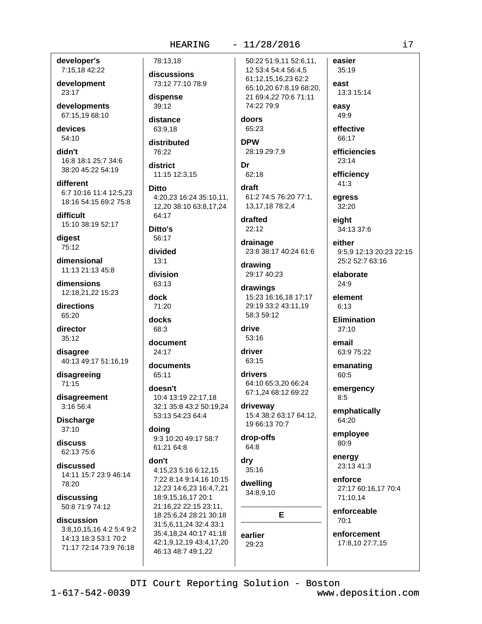### developer's 7:15,18 42:22

development 23:17

developments 67:15,19 68:10

devices 54:10

didn't 16:8 18:1 25:7 34:6 38:20 45:22 54:19

different 6:7 10:16 11:4 12:5.23 18:16 54:15 69:2 75:8

difficult 15:10 38:19 52:17

digest 75:12

dimensional 11:13 21:13 45:8

dimensions 12:18,21,22 15:23

directions 65:20

director  $35:12$ 

disagree 40:13 49:17 51:16,19

disagreeing 71:15

disagreement 3:16 56:4

**Discharge**  $37:10$ 

discuss 62:13 75:6

discussed 14:11 15:7 23:9 46:14 78:20

discussing 50:8 71:9 74:12

## discussion

3:8,10,15,16 4:2 5:4 9:2 14:13 18:3 53:1 70:2 71:17 72:14 73:9 76:18

# 78:13.18

discussions 73:12 77:10 78:9

dispense 39:12

distance 63:9.18

distributed 76:22

district 11:15 12:3.15

**Ditto** 4:20,23 16:24 35:10,11, 12,20 38:10 63:8,17,24 64:17

Ditto's  $56.17$ 

divided  $13.1$ 

division 63:13

dock 71:20

docks 68:3

document

24:17

documents 65:11

doesn't 10:4 13:19 22:17.18 32:1 35:8 43:2 50:19,24 53:13 54:23 64:4

doing 9:3 10:20 49:17 58:7 61:21 64:8

#### don't

4:15.23 5:16 6:12.15 7:22 8:14 9:14,16 10:15 12:23 14:6,23 16:4,7,21 18:9,15,16,17 20:1 21:16,22 22:15 23:11, 18 25:6,24 28:21 30:18 31:5,6,11,24 32:4 33:1 35:4,18,24 40:17 41:18 42:1,9,12,19 43:4,17,20 46:13 48:7 49:1,22

 $-11/28/2016$ 

50:22 51:9,11 52:6,11, 12 53:4 54:4 56:4,5 61:12,15,16,23 62:2 65:10,20 67:8,19 68:20, 21 69:4,22 70:6 71:11 74:22 79:9

doors 65:23

**DPW** 28:19 29:7,9

Dr 62:18

draft 61:2 74:5 76:20 77:1, 13, 17, 18 78: 2, 4

drafted  $22:12$ 

drainage 23:8 38:17 40:24 61:6

drawing 29:17 40:23

drawings 15:23 16:16,18 17:17 29:19 33:2 43:11.19 58:3 59:12

drive 53:16

driver 63:15

drivers 64:10 65:3.20 66:24 67:1,24 68:12 69:22

driveway 15:4 38:2 63:17 64:12, 19 66:13 70:7

drop-offs 64:8

dry  $35:16$ 

dwelling 34:8,9,10

E

earlier 29:23

35:19 east 13:3 15:14 easy

easier

49:9

effective 66:17

efficiencies 23:14

efficiency  $41:3$ 

egress 32:20

eight 34:13 37:6

either 9:5.9 12:13 20:23 22:15 25:2 52:7 63:16

elaborate  $24:9$ 

element  $6:13$ 

Elimination  $37:10$ 

email 63:9 75:22

emanating 60:5

emergency  $8:5$ 

emphatically 64:20

employee 80:9

energy 23:13 41:3

enforce 27:17 60:16,17 70:4 71:10,14

enforceable  $70:1$ 

enforcement 17:8,10 27:7,15

DTI Court Reporting Solution - Boston

www.deposition.com

i7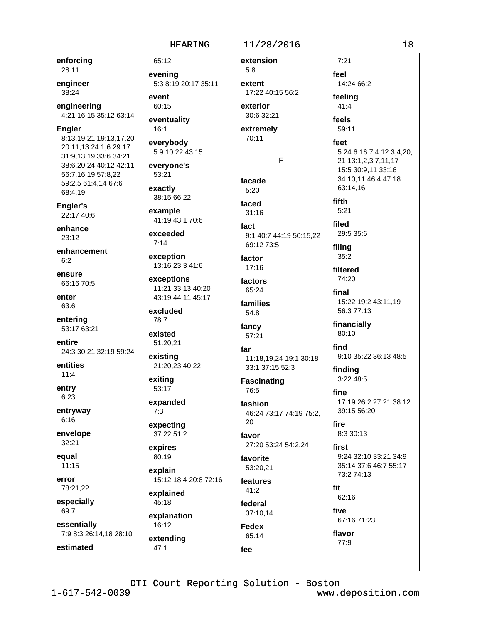65:12

evening

## $-11/28/2016$

enforcing 28:11

engineer 38:24

engineering 4:21 16:15 35:12 63:14

**Engler** 

8:13,19,21 19:13,17,20 20:11.13 24:1.6 29:17 31:9,13,19 33:6 34:21 38:6,20,24 40:12 42:11 56:7,16,19 57:8,22 59:2,5 61:4,14 67:6 68:4,19

Engler's 22:17 40:6

enhance  $23:12$ 

enhancement  $6:2$ 

ensure 66:16 70:5

enter 63:6

entering 53:17 63:21

entire 24:3 30:21 32:19 59:24

entities  $11:4$ 

entry 6:23

entryway  $6:16$ 

envelope 32:21

equal  $11:15$ 

error 78:21,22

especially 69:7

essentially

estimated

7:9 8:3 26:14,18 28:10

5:3 8:19 20:17 35:11 event 60:15 eventuality  $16:1$ everybody 5:9 10:22 43:15 everyone's

53:21

exactly 38:15 66:22

example 41:19 43:1 70:6

exceeded  $7:14$ 

exception 13:16 23:3 41:6

exceptions 11:21 33:13 40:20 43:19 44:11 45:17

excluded 78:7

existed 51:20,21

existing 21:20,23 40:22

exiting 53:17

expanded  $7:3$ 

expecting 37:22 51:2

expires 80:19

explain 15:12 18:4 20:8 72:16

explained 45:18

explanation 16:12 extendina

 $47:1$ 

extension  $5:8$ extent 17:22 40:15 56:2 exterior 30:6 32:21 extremely 70:11 F facade

 $5:20$ faced

 $31:16$ 

fact 9:1 40:7 44:19 50:15.22 69:12 73:5

factor  $17:16$ factors

 $65.24$ families 54:8

fancy 57:21

far 11:18.19.24 19:1 30:18 33:1 37:15 52:3

**Fascinating** 76:5

fashion 46:24 73:17 74:19 75:2,

20 favor

27:20 53:24 54:2,24 favorite

53:20,21 features

 $41:2$ federal 37:10.14

**Fedex** 65:14 fee

feel 14:24 66:2 feeling  $41:4$ feels 59:11 feet 5:24 6:16 7:4 12:3,4,20, 21 13:1,2,3,7,11,17 15:5 30:9,11 33:16 34:10.11 46:4 47:18 63:14.16 fifth  $5:21$ filed 29:5 35:6 filing  $35:2$ filtered 74:20 final 15:22 19:2 43:11.19 56:3 77:13 financially 80:10 find 9:10 35:22 36:13 48:5 finding 3:22 48:5 fine 17:19 26:2 27:21 38:12 39:15 56:20 8:3 30:13

first 9:24 32:10 33:21 34:9 35:14 37:6 46:7 55:17 73:2 74:13

fit 62:16 five

fire

67:16 71:23

flavor 77:9

DTI Court Reporting Solution - Boston

www.deposition.com

 $7:21$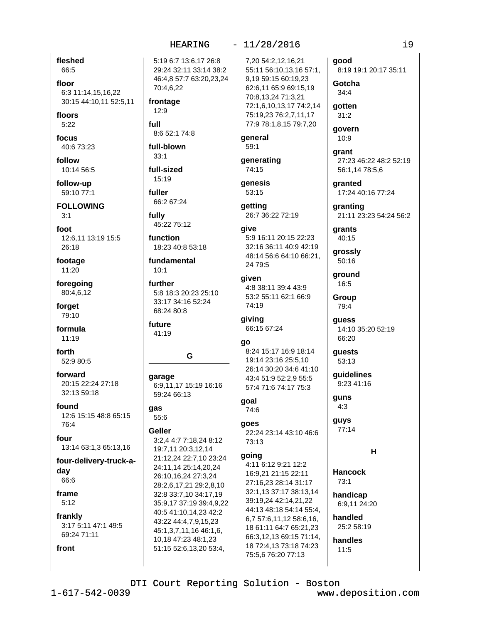# $-11/28/2016$

 $1 - 617 - 542 - 0039$ 

fleshed

6:3 11:14,15,16,22

30:15 44:10,11 52:5,11

full

fully

qas

51:15 52:6,13,20 53:4,

66:5

floor

floors

 $5:22$ 

focus

follow

 $3:1$ 

foot

26:18

footage

11:20

forget

79:10

formula

 $11:19$ 

52:9 80:5

32:13 59:18

20:15 22:24 27:18

12:6 15:15 48:8 65:15

13:14 63:1,3 65:13,16

four-delivery-truck-a-

3:17 5:11 47:1 49:5

forward

found

76:4

four

day

66:6

frame

 $5:12$ 

frankly

front

69:24 71:11

forth

foregoing

80:4,6,12

40:673:23

10:14 56:5

59:10 77:1

**FOLLOWING** 

12:6,11 13:19 15:5

follow-up

5:19 6:7 13:6.17 26:8 29:24 32:11 33:14 38:2 46:4,8 57:7 63:20,23,24 70:4,6,22 frontage 12:9 8:6 52:1 74:8 general full-blown 59:1  $33:1$ generating full-sized 74:15 15:19 qenesis fuller 53:15 66:2 67:24 getting 45:22 75:12 qive function 5:9 16:11 20:15 22:23 18:23 40:8 53:18 fundamental 24 79:5  $10.1$ given further 5:8 18:3 20:23 25:10 33:17 34:16 52:24 74:19 68:24 80:8 giving future 66:15 67:24 41:19 go G garage 6:9,11,17 15:19 16:16 59:24 66:13 goal 74:6 55:6 qoes Geller 3:2,4 4:7 7:18,24 8:12 73:13 19:7,11 20:3,12,14 going 21:12,24 22:7,10 23:24 24:11,14 25:14,20,24 26:10,16,24 27:3,24 28:2,6,17,21 29:2,8,10 32:8 33:7,10 34:17,19 35:9,17 37:19 39:4,9,22 40:5 41:10,14,23 42:2 43:22 44:4,7,9,15,23 45:1.3.7.11.16 46:1.6. 10,18 47:23 48:1,23

7,20 54:2,12,16,21 55:11 56:10,13,16 57:1, 9,19 59:15 60:19,23 62:6,11 65:9 69:15,19 70:8,13,24 71:3,21 72:1.6.10.13.17 74:2.14 75:19,23 76:2,7,11,17 77:9 78:1,8,15 79:7,20

26:7 36:22 72:19

32:16 36:11 40:9 42:19 48:14 56:6 64:10 66:21,

4:8 38:11 39:4 43:9 53:2 55:11 62:1 66:9

8:24 15:17 16:9 18:14 19:14 23:16 25:5.10 26:14 30:20 34:6 41:10 43:4 51:9 52:2,9 55:5 57:4 71:6 74:17 75:3

22:24 23:14 43:10 46:6

4:11 6:12 9:21 12:2 16:9.21 21:15 22:11 27:16.23 28:14 31:17 32:1,13 37:17 38:13,14 39:19,24 42:14,21,22 44:13 48:18 54:14 55:4. 6,7 57:6,11,12 58:6,16, 18 61:11 64:7 65:21,23 66:3,12,13 69:15 71:14, 18 72:4,13 73:18 74:23 75:5,6 76:20 77:13

aood 8:19 19:1 20:17 35:11

Gotcha  $34:4$ 

qotten  $31:2$ 

govern 10:9

qrant 27:23 46:22 48:2 52:19 56:1,14 78:5,6

aranted 17:24 40:16 77:24

granting 21:11 23:23 54:24 56:2

grants 40:15

grossly 50:16

around 16:5

> Group 79:4

quess 14:10 35:20 52:19 66:20

guests 53:13

quidelines 9:23 41:16

guns  $4:3$ 

guys 77:14

 $H$ 

**Hancock**  $73:1$ handicap

6:9,11 24:20

handled 25:2.58:19

handles

 $11:5$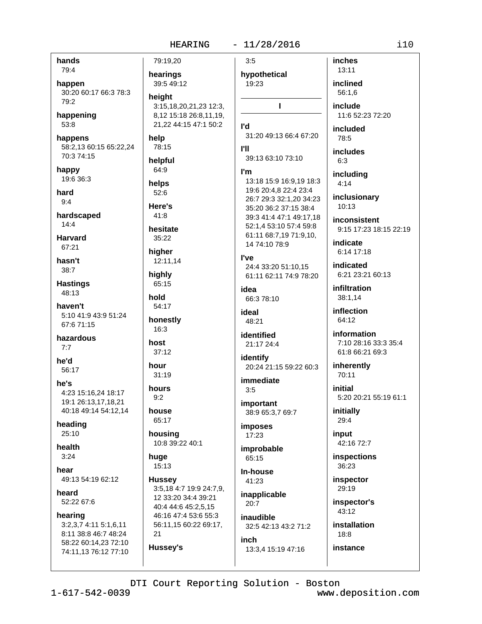## HEARING - 11/28/2016

| hands                                         | 79:19,20                    | 3:5                                              | inches                                  |
|-----------------------------------------------|-----------------------------|--------------------------------------------------|-----------------------------------------|
| 79:4                                          | hearings                    | hypothetical                                     | 13:11                                   |
| happen                                        | 39:5 49:12                  | 19:23                                            | inclined                                |
| 30:20 60:17 66:3 78:3                         | height                      |                                                  | 56:1,6                                  |
| 79:2                                          | 3:15,18,20,21,23 12:3,      | г                                                | include                                 |
| happening                                     | 8,12 15:18 26:8,11,19,      |                                                  | 11:6 52:23 72:20                        |
| 53:8                                          | 21,22 44:15 47:1 50:2       | l'd                                              | included                                |
| happens                                       | help                        | 31:20 49:13 66:4 67:20                           | 78:5                                    |
| 58:2,13 60:15 65:22,24                        | 78:15                       | <b>I'll</b>                                      |                                         |
| 70:3 74:15                                    | helpful                     | 39:13 63:10 73:10                                | includes<br>6:3                         |
| happy                                         | 64:9                        | l'm                                              |                                         |
| 19:6 36:3                                     |                             | 13:18 15:9 16:9,19 18:3                          | including                               |
| hard                                          | helps<br>52:6               | 19:6 20:4,8 22:4 23:4                            | 4:14                                    |
| 9:4                                           |                             | 26:7 29:3 32:1,20 34:23                          | inclusionary                            |
|                                               | Here's                      | 35:20 36:2 37:15 38:4                            | 10:13                                   |
| hardscaped<br>14:4                            | 41:8                        | 39:3 41:4 47:1 49:17,18                          | inconsistent                            |
|                                               | hesitate                    | 52:1,4 53:10 57:4 59:8<br>61:11 68:7,19 71:9,10, | 9:15 17:23 18:15 22:19                  |
| <b>Harvard</b>                                | 35:22                       | 14 74:10 78:9                                    | indicate                                |
| 67:21                                         | higher                      |                                                  | 6:14 17:18                              |
| hasn't                                        | 12:11,14                    | l've<br>24:4 33:20 51:10,15                      | indicated                               |
| 38:7                                          | highly                      | 61:11 62:11 74:9 78:20                           | 6:21 23:21 60:13                        |
| <b>Hastings</b>                               | 65:15                       |                                                  | infiltration                            |
| 48:13                                         | hold                        | idea<br>66:3 78:10                               | 38:1,14                                 |
| haven't                                       | 54:17                       |                                                  |                                         |
| 5:10 41:9 43:9 51:24                          | honestly                    | ideal                                            | inflection<br>64:12                     |
| 67:6 71:15                                    | 16:3                        | 48:21                                            |                                         |
| hazardous                                     |                             | identified                                       | information                             |
| 7:7                                           | host<br>37:12               | 21:17 24:4                                       | 7:10 28:16 33:3 35:4<br>61:8 66:21 69:3 |
| he'd                                          |                             | identify                                         |                                         |
| 56:17                                         | hour                        | 20:24 21:15 59:22 60:3                           | inherently                              |
| he's                                          | 31:19                       | immediate                                        | 70:11                                   |
| 4:23 15:16,24 18:17                           | hours                       | 3:5                                              | initial                                 |
| 19:1 26:13,17,18,21                           | 9:2                         | important                                        | 5:20 20:21 55:19 61:1                   |
| 40:18 49:14 54:12,14                          | house                       | 38:9 65:3,7 69:7                                 | initially                               |
| heading                                       | 65:17                       | <b>imposes</b>                                   | 29:4                                    |
| 25:10                                         | housing                     | 17:23                                            | input                                   |
| health                                        | 10:8 39:22 40:1             | improbable                                       | 42:16 72:7                              |
| 3:24                                          | huge                        | 65:15                                            | inspections                             |
| hear                                          | 15:13                       |                                                  | 36:23                                   |
| 49:13 54:19 62:12                             | <b>Hussey</b>               | In-house<br>41:23                                | inspector                               |
|                                               | 3:5,18 4:7 19:9 24:7,9,     |                                                  | 29:19                                   |
| heard<br>52:22 67:6                           | 12 33:20 34:4 39:21         | inapplicable                                     | inspector's                             |
|                                               | 40:4 44:6 45:2,5,15         | 20:7                                             | 43:12                                   |
| hearing                                       | 46:16 47:4 53:6 55:3        | inaudible                                        |                                         |
| 3:2,3,7 4:11 5:1,6,11<br>8:11 38:8 46:7 48:24 | 56:11,15 60:22 69:17,<br>21 | 32:5 42:13 43:2 71:2                             | installation<br>18:8                    |
| 58:22 60:14,23 72:10                          |                             | inch                                             |                                         |
| 74:11,13 76:12 77:10                          | Hussey's                    | 13:3,4 15:19 47:16                               | instance                                |
|                                               |                             |                                                  |                                         |
|                                               |                             |                                                  |                                         |

DTI Court Reporting Solution - Boston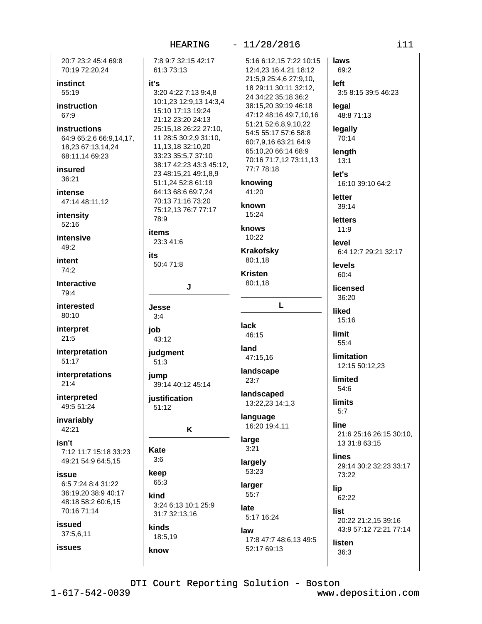|                                   | HEARING                                       | 11/28/2016                                   | i11                           |
|-----------------------------------|-----------------------------------------------|----------------------------------------------|-------------------------------|
| 20:7 23:2 45:4 69:8               | 7:8 9:7 32:15 42:17                           | 5:16 6:12,15 7:22 10:15                      | laws                          |
| 70:19 72:20,24                    | 61:3 73:13                                    | 12:4,23 16:4,21 18:12                        | 69:2                          |
| instinct                          | it's                                          | 21:5,9 25:4,6 27:9,10,                       | left                          |
| 55:19                             | 3:20 4:22 7:13 9:4,8                          | 18 29:11 30:11 32:12,<br>24 34:22 35:18 36:2 | 3:5 8:15 39:5 46:23           |
| instruction                       | 10:1,23 12:9,13 14:3,4                        | 38:15,20 39:19 46:18                         | legal                         |
| 67:9                              | 15:10 17:13 19:24                             | 47:12 48:16 49:7,10,16                       | 48:8 71:13                    |
|                                   | 21:12 23:20 24:13                             | 51:21 52:6,8,9,10,22                         |                               |
| instructions                      | 25:15,18 26:22 27:10,                         | 54:5 55:17 57:6 58:8                         | legally                       |
| 64:9 65:2,6 66:9,14,17,           | 11 28:5 30:2,9 31:10,                         | 60:7,9,16 63:21 64:9                         | 70:14                         |
| 18,23 67:13,14,24                 | 11, 13, 18 32: 10, 20                         | 65:10,20 66:14 68:9                          | length                        |
| 68:11,14 69:23                    | 33:23 35:5,7 37:10<br>38:17 42:23 43:3 45:12, | 70:16 71:7,12 73:11,13                       | 13:1                          |
| insured                           | 23 48:15,21 49:1,8,9                          | 77:7 78:18                                   | let's                         |
| 36:21                             | 51:1,24 52:8 61:19                            | knowing                                      | 16:10 39:10 64:2              |
| <b>intense</b>                    | 64:13 68:6 69:7,24                            | 41:20                                        |                               |
| 47:14 48:11,12                    | 70:13 71:16 73:20                             |                                              | letter                        |
|                                   | 75:12,13 76:7 77:17                           | known                                        | 39:14                         |
| intensity                         | 78:9                                          | 15:24                                        | <b>letters</b>                |
| 52:16                             | items                                         | knows                                        | 11:9                          |
| intensive                         | 23:3 41:6                                     | 10:22                                        |                               |
| 49:2                              |                                               | <b>Krakofsky</b>                             | level<br>6:4 12:7 29:21 32:17 |
| intent                            | its                                           | 80:1,18                                      |                               |
| 74:2                              | 50:4 71:8                                     |                                              | levels                        |
|                                   |                                               | <b>Kristen</b>                               | 60:4                          |
| Interactive                       | J                                             | 80:1,18                                      | licensed                      |
| 79:4                              |                                               |                                              | 36:20                         |
| interested                        | Jesse                                         | L                                            | liked                         |
| 80:10                             | 3:4                                           |                                              | 15:16                         |
| interpret                         | job                                           | lack                                         |                               |
| 21:5                              | 43:12                                         | 46:15                                        | limit                         |
| interpretation                    |                                               | land                                         | 55:4                          |
| 51:17                             | judgment<br>51:3                              | 47:15,16                                     | <b>limitation</b>             |
|                                   |                                               | landscape                                    | 12:15 50:12,23                |
| interpretations                   | jump                                          | 23:7                                         | limited                       |
| 21:4                              | 39:14 40:12 45:14                             |                                              | 54:6                          |
| interpreted                       | justification                                 | landscaped                                   | limits                        |
| 49:5 51:24                        | 51:12                                         | 13:22,23 14:1,3                              | 5:7                           |
| invariably                        |                                               | language                                     |                               |
| 42:21                             | K                                             | 16:20 19:4,11                                | line                          |
|                                   |                                               | large                                        | 21:6 25:16 26:15 30:10,       |
| isn't<br>7:12 11:7 15:18 33:23    | Kate                                          | 3:21                                         | 13 31:8 63:15                 |
| 49:21 54:9 64:5,15                | 3:6                                           |                                              | lines                         |
|                                   |                                               | largely<br>53:23                             | 29:14 30:2 32:23 33:17        |
| issue                             | keep                                          |                                              | 73:22                         |
| 6:5 7:24 8:4 31:22                | 65:3                                          | larger                                       | lip                           |
| 36:19,20 38:9 40:17               | kind                                          | 55:7                                         | 62:22                         |
| 48:18 58:2 60:6,15<br>70:16 71:14 | 3:24 6:13 10:1 25:9                           | late                                         | list                          |
|                                   | 31:7 32:13,16                                 | 5:17 16:24                                   | 20:22 21:2,15 39:16           |
| issued                            | kinds                                         | law                                          | 43:9 57:12 72:21 77:14        |
| 37:5,6,11                         | 18:5,19                                       | 17:8 47:7 48:6,13 49:5                       |                               |
| <b>issues</b>                     | know                                          | 52:17 69:13                                  | listen                        |
|                                   |                                               |                                              | 36:3                          |
|                                   |                                               |                                              |                               |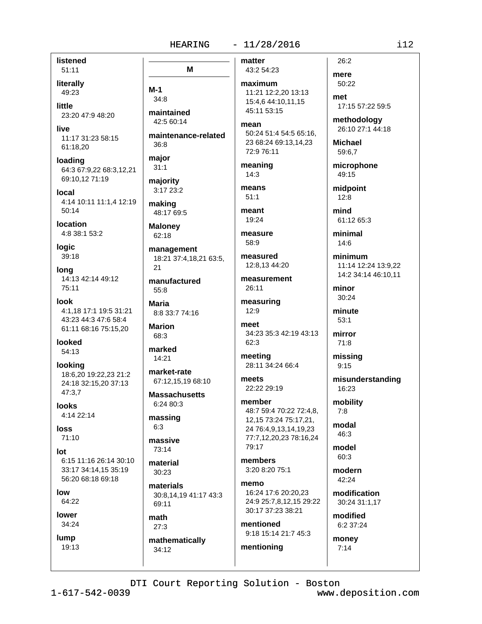#### $-11/28/2016$ **HEARING**

listened  $51:11$ 

literally 49:23

little 23:20 47:9 48:20

live 11:17 31:23 58:15 61:18,20

loading 64:3 67:9,22 68:3,12,21 69:10.12 71:19

local 4:14 10:11 11:1,4 12:19  $50:14$ 

location 4:8 38:1 53:2

logic 39:18

long 14:13 42:14 49:12 75:11

look 4:1.18 17:1 19:5 31:21 43:23 44:3 47:6 58:4 61:11 68:16 75:15,20

looked 54:13

looking 18:6.20 19:22.23 21:2 24:18 32:15.20 37:13 47:3,7

**looks** 4:14 22:14

loss  $71:10$ 

lot 6:15 11:16 26:14 30:10 33:17 34:14.15 35:19 56:20 68:18 69:18

low 64:22

lower

34:24 lump

19:13

M  $M-1$  $34:8$ maintained  $42.560.14$ maintenance-related  $36:8$ maior  $31:1$ majority 3:17 23:2 making 48:17 69:5 **Malonev** 62:18 management 18:21 37:4,18,21 63:5,  $21$ manufactured  $55.8$ **Maria** 8:8 33:7 74:16 **Marion** 68:3 marked  $14:21$ market-rate

67:12,15,19 68:10

**Massachusetts** 6:24 80:3

massing  $6:3$ 

massive 73:14

material 30:23

materials 30:8,14,19 41:17 43:3 69:11

math  $27:3$ mathematically

34:12

43:2 54:23 maximum

matter

11:21 12:2.20 13:13 15:4,6 44:10,11,15 45:11 53:15

mean 50:24 51:4 54:5 65:16. 23 68:24 69:13,14,23 72:9 76:11

meaning  $14:3$ 

means  $51:1$ 

meant  $19.24$ 

measure 58:9

measured 12:8,13 44:20

measurement  $26:11$ 

measuring  $12.9$ 

meet 34:23 35:3 42:19 43:13 62:3

meeting 28:11 34:24 66:4

meets 22:22 29:19

member 48:7 59:4 70:22 72:4,8, 12,15 73:24 75:17,21, 24 76:4,9,13,14,19,23 77:7,12,20,23 78:16,24 79:17

members 3:20 8:20 75:1

memo 16:24 17:6 20:20,23 24:9 25:7.8.12.15 29:22 30:17 37:23 38:21

mentioned 9:18 15:14 21:7 45:3 mentioning

mere 50:22 17:15 57:22 59:5

methodology 26:10 27:1 44:18

**Michael** 59:6.7

 $26:2$ 

met

microphone 49:15

midpoint  $12:8$ 

mind 61:12 65:3

minimal  $14:6$ 

minimum 11:14 12:24 13:9,22 14:2 34:14 46:10.11

minor 30:24

minute  $53:1$ 

mirror 71:8

missing  $9:15$ 

misunderstanding 16:23

mobility  $7:8$ 

modal 46:3

model 60:3

modern  $42:24$ 

modification 30:24 31:1,17

modified 6:2 37:24

monev

 $7:14$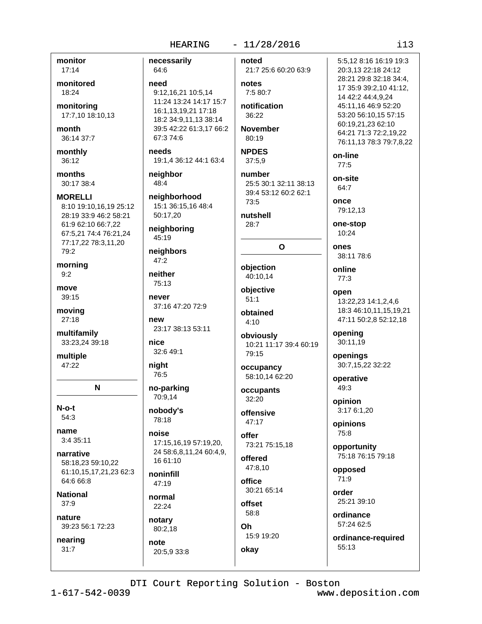## $-11/28/2016$

monitor  $17:14$ 

monitored 18:24

monitoring 17:7,10 18:10,13

month 36:14 37:7

monthly 36:12

months 30:17 38:4

**MORELLI** 8:10 19:10,16,19 25:12 28:19 33:9 46:2 58:21 61:9 62:10 66:7,22 67:5,21 74:4 76:21,24 77:17,22 78:3,11,20 79:2

morning  $9:2$ 

move 39:15

movina 27:18

multifamily 33:23,24 39:18

multiple 47:22

N

 $N$ -o-t 54:3

name  $3:435:11$ 

narrative 58:18,23 59:10,22 61:10,15,17,21,23 62:3 64:6 66:8

**National**  $37:9$ 

nature 39:23 56:1 72:23

nearing  $31:7$ 

necessarily 64:6 need 9:12.16.21 10:5.14 11:24 13:24 14:17 15:7 16:1,13,19,21 17:18 18:2 34:9,11,13 38:14 39:5 42:22 61:3,17 66:2 67:3 74:6 needs 19:1.4 36:12 44:1 63:4 neighbor 48:4 neighborhood 15:1 36:15,16 48:4 50:17,20 neighboring 45:19 neighbors  $47:2$ neither 75:13 never 37:16 47:20 72:9 new 23:17 38:13 53:11 nice 32:6 49:1 night 76:5 no-parking 70:9,14 nobody's 78:18 noise 17:15,16,19 57:19,20, 24 58:6,8,11,24 60:4,9, 16 61:10 noninfill 47:19

normal 22:24

notary 80:2,18 note 20:5.9 33:8 noted 21:7 25:6 60:20 63:9

## notes 7:5 80:7

notification 36:22

**November**  $80:19$ 

## **NPDES**

 $37:5,9$ number

25:5 30:1 32:11 38:13 39:4 53:12 60:2 62:1  $73.5$ 

nutshell  $28:7$ 

# $\Omega$

objection 40:10,14

objective  $51:1$ 

obtained  $4:10$ 

obviously 10:21 11:17 39:4 60:19 79:15

occupancy 58:10.14 62:20

occupants 32:20

offensive 47:17

> offer 73:21 75:15,18

offered 47:8,10

office 30:21 65:14

offset 58:8 Oh.

15:9 19:20 okay

on-site 64:7 once 79:12.13 one-stop 10:24 ones 38:11 78:6 online  $77:3$ open 13:22,23 14:1,2,4,6 18:3 46:10,11,15,19,21 47:11 50:2,8 52:12,18 opening

openings 30:7,15,22 32:22

operative 49:3

30:11,19

opinion 3:17 6:1.20

opinions 75:8

opportunity 75:18 76:15 79:18

opposed  $71:9$ 

order 25:21 39:10

ordinance 57:24 62:5

ordinance-required 55:13

DTI Court Reporting Solution - Boston

www.deposition.com

5:5.12 8:16 16:19 19:3

17 35:9 39:2,10 41:12,

20:3,13 22:18 24:12 28:21 29:8 32:18 34:4,

14 42:2 44:4,9,24

60:19,21,23 62:10

on-line

 $77:5$ 

45:11,16 46:9 52:20

53:20 56:10.15 57:15

64:21 71:3 72:2,19,22

76:11,13 78:3 79:7,8,22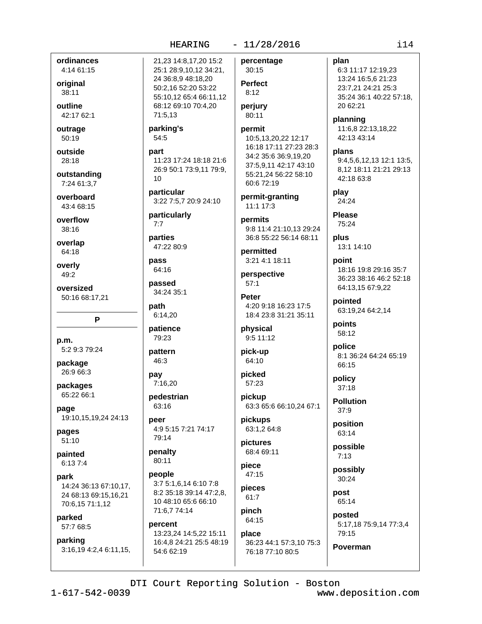## $-11/28/2016$

ordinances 4:14 61:15

original 38:11

outline 42:17 62:1

outrage 50:19

outside 28:18

outstanding 7:24 61:3.7

overboard 43:4 68:15

overflow

 $38:16$ 

overlap 64:18

overly 49:2

oversized 50:16 68:17,21

P

p.m. 5:2 9:3 79:24

package 26:9 66:3

packages 65:22 66:1

page 19:10,15,19,24 24:13

pages  $51:10$ 

painted 6:13 7:4

park 14:24 36:13 67:10,17, 24 68:13 69:15,16,21 70:6,15 71:1,12

parked 57:7 68:5

parking 3:16,19 4:2,4 6:11,15, 21,23 14:8,17,20 15:2 25:1 28:9,10,12 34:21, 24 36:8,9 48:18,20 50:2,16 52:20 53:22 55:10,12 65:4 66:11,12 68:12 69:10 70:4,20 71:5,13

#### parking's  $54:5$

part 11:23 17:24 18:18 21:6 26:9 50:1 73:9,11 79:9,  $10$ 

particular 3:22 7:5.7 20:9 24:10

particularly  $7:7$ 

parties 47:22 80:9

64:16 passed

pass

34:24 35:1 path

6:14,20 patience 79:23

pattern 46:3

pay 7:16.20

pedestrian 63:16

peer 4:9 5:15 7:21 74:17 79:14

penalty 80:11

people 3:7 5:1,6,14 6:10 7:8 8:2 35:18 39:14 47:2,8, 10 48:10 65:6 66:10 71:6,7 74:14

percent 13:23,24 14:5,22 15:11 16:4,8 24:21 25:5 48:19 54:6 62:19

percentage 30:15 **Perfect**  $8:12$ 

perjury 80:11

## permit

10:5,13,20,22 12:17 16:18 17:11 27:23 28:3 34:2 35:6 36:9,19,20 37:5,9,11 42:17 43:10 55:21,24 56:22 58:10 60:6 72:19

permit-granting 11:1 17:3

permits 9:8 11:4 21:10.13 29:24 36:8 55:22 56:14 68:11

permitted 3:21 4:1 18:11

perspective  $57:1$ 

**Peter** 4:20 9:18 16:23 17:5 18:4 23:8 31:21 35:11

physical 9:5 11:12

pick-up 64:10

picked 57:23

pickup 63:3 65:6 66:10,24 67:1

pickups 63:1.2 64:8

pictures 68:4 69:11

piece  $47:15$ pieces

 $61:7$ pinch

64:15 place 36:23 44:1 57:3.10 75:3 76:18 77:10 80:5

plan 6:3 11:17 12:19,23 13:24 16:5,6 21:23 23:7.21 24:21 25:3 35:24 36:1 40:22 57:18. 20 62:21 planning 11:6,8 22:13,18,22 42:13 43:14

plans 9:4.5.6.12.13 12:1 13:5. 8.12 18:11 21:21 29:13 42:18 63:8

play 24:24

**Please** 75:24

plus 13:1 14:10

point 18:16 19:8 29:16 35:7 36:23 38:16 46:2 52:18 64:13,15 67:9,22

pointed 63:19,24 64:2,14

points 58:12

police 8:1 36:24 64:24 65:19 66:15

policy  $37:18$ 

**Pollution**  $37:9$ 

position 63:14

possible  $7:13$ 

possibly 30:24

post 65:14

Poverman

posted 5:17,18 75:9,14 77:3,4 79:15

DTI Court Reporting Solution - Boston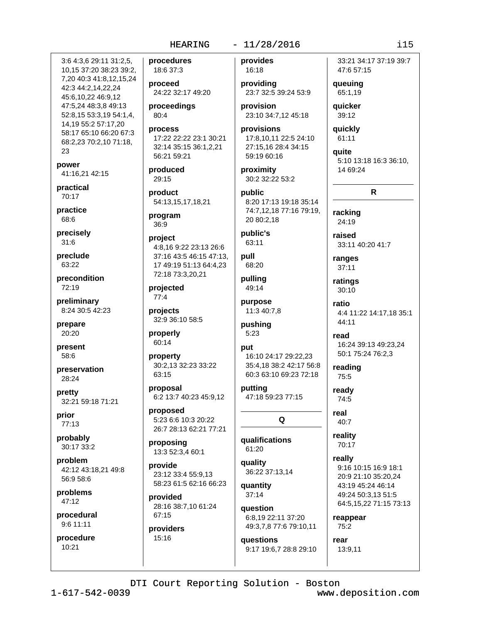## $-11/28/2016$

3:6 4:3.6 29:11 31:2.5. 10,15 37:20 38:23 39:2, 7,20 40:3 41:8,12,15,24 42:3 44:2.14.22.24 45:6,10,22 46:9,12 47:5,24 48:3,8 49:13 52:8,15 53:3,19 54:1,4, 14,19 55:2 57:17,20 58:17 65:10 66:20 67:3 68:2,23 70:2,10 71:18, 23

power 41:16,21 42:15

practical 70:17

practice  $68.6$ 

precisely  $31:6$ 

preclude 63:22

precondition 72:19

preliminary 8:24 30:5 42:23

prepare 20:20

present 58:6

preservation 28:24

pretty 32:21 59:18 71:21

prior 77:13

probably 30:17 33:2

problem 42:12 43:18.21 49:8 56:9 58:6

problems 47:12

procedural 9:6 11:11

procedure  $10:21$ 

procedures 18:6 37:3

proceed 24:22 32:17 49:20

proceedings 80:4

process 17:22 22:22 23:1 30:21 32:14 35:15 36:1,2,21 56:21 59:21

produced 29:15

product 54:13,15,17,18,21

program 36:9

project 4:8,16 9:22 23:13 26:6 37:16 43:5 46:15 47:13. 17 49:19 51:13 64:4,23 72:18 73:3,20,21

projected  $77:4$ 

projects 32:9 36:10 58:5

properly 60:14

property 30:2,13 32:23 33:22 63:15

proposal 6:2 13:7 40:23 45:9,12

proposed 5:23 6:6 10:3 20:22 26:7 28:13 62:21 77:21

proposing 13:3 52:3,4 60:1

provide 23:12 33:4 55:9.13 58:23 61:5 62:16 66:23

provided 28:16 38:7,10 61:24 67:15

providers 15:16

provides 16:18

providing 23:7 32:5 39:24 53:9

provision 23:10 34:7,12 45:18

provisions 17:8,10,11 22:5 24:10 27:15,16 28:4 34:15 59:19 60:16

proximity 30:2 32:22 53:2

public 8:20 17:13 19:18 35:14 74:7.12.18 77:16 79:19. 20 80:2,18

public's 63:11

pull 68:20 pulling

49:14 purpose 11:3 40:7,8

pushing  $5:23$ 

put

16:10 24:17 29:22.23 35:4,18 38:2 42:17 56:8 60:3 63:10 69:23 72:18

putting 47:18 59:23 77:15

Q

qualifications 61:20

quality 36:22 37:13,14 quantity

 $37:14$ question

6:8,19 22:11 37:20 49:3,7,8 77:6 79:10,11

questions 9:17 19:6,7 28:8 29:10

33:21 34:17 37:19 39:7 47:6 57:15

queuing 65:1,19 **auicker** 

39:12

quickly 61:11

quite 5:10 13:18 16:3 36:10, 14 69:24

 $\mathsf{R}$ 

racking 24:19

raised 33:11 40:20 41:7

ranges  $37:11$ 

ratings  $30:10$ 

> ratio 4:4 11:22 14:17,18 35:1 44:11

read 16:24 39:13 49:23,24 50:1 75:24 76:2.3

reading 75:5

ready 74:5

real 40:7

reality 70:17

> really 9:16 10:15 16:9 18:1 20:9 21:10 35:20.24 43:19 45:24 46:14 49:24 50:3,13 51:5 64:5,15,22 71:15 73:13

reappear  $75:2$ 

13:9,11

rear

DTI Court Reporting Solution - Boston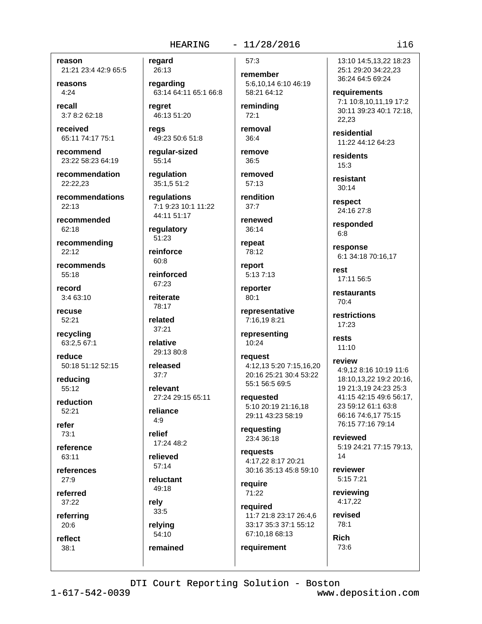reason 21:21 23:4 42:9 65:5

reasons  $4:24$ 

recall 3:7 8:2 62:18

received 65:11 74:17 75:1

recommend 23:22 58:23 64:19

recommendation 22:22.23

recommendations  $22:13$ 

recommended 62:18

recommending  $22:12$ 

recommends 55:18

record 3:4 63:10

recuse  $52:21$ 

recycling 63:2,5 67:1

reduce 50:18 51:12 52:15

reducing 55:12

reduction  $52.21$ 

refer  $73:1$ 

reference  $63.11$ 

references  $27:9$ 

referred 37:22

referring

 $20:6$ reflect

 $38:1$ 

regard

26:13 regarding 63:14 64:11 65:1 66:8

rearet 46:13 51:20

reas 49:23 50:6 51:8

reqular-sized 55:14

regulation 35:1,5 51:2

regulations 7:1 9:23 10:1 11:22

44:11 51:17

requlatory  $51:23$ 

reinforce

 $60:8$ reinforced 67:23

reiterate

78:17 related

 $37:21$ relative

29:13 80:8

released  $37:7$ 

relevant 27:24 29:15 65:11

reliance  $4:9$ 

relief 17:24 48:2

relieved  $57:14$ 

reluctant 49:18

rely 33:5

relying 54:10

remained

 $-11/28/2016$  $57:3$ 

> remember 5:6,10,14 6:10 46:19 58:21 64:12

reminding  $72:1$ 

removal  $36:4$ 

remove  $36:5$ removed

 $57:13$ rendition

renewed  $36:14$ 

 $37:7$ 

repeat

78:12

report  $5:137:13$ 

reporter 80:1

representative 7:16,19 8:21

representing 10:24

reauest 4:12.13 5:20 7:15.16.20 20:16 25:21 30:4 53:22 55:1 56:5 69:5

reauested 5:10 20:19 21:16.18 29:11 43:23 58:19

requesting 23:4 36:18

requests 4:17.22 8:17 20:21 30:16 35:13 45:8 59:10

require 71:22

required 11:7 21:8 23:17 26:4,6 33:17 35:3 37:1 55:12

67:10,18 68:13 requirement

13:10 14:5.13.22 18:23 25:1 29:20 34:22,23 36:24 64:5 69:24

requirements 7:1 10:8,10,11,19 17:2 30:11 39:23 40:1 72:18, 22.23

residential 11:22 44:12 64:23

residents  $15:3$ 

resistant  $30:14$ 

respect 24:16 27:8

responded  $6:8$ 

response 6:1 34:18 70:16,17

rest 17:11 56:5

restaurants  $70:4$ 

restrictions 17:23

rests  $11:10$ 

review 4:9,12 8:16 10:19 11:6 18:10.13.22 19:2 20:16. 19 21:3,19 24:23 25:3 41:15 42:15 49:6 56:17, 23 59:12 61:1 63:8 66:16 74:6.17 75:15 76:15 77:16 79:14

reviewed 5:19 24:21 77:15 79:13,  $14$ 

reviewer 5:15 7:21

reviewing 4:17.22

revised 78:1 **Rich** 

73:6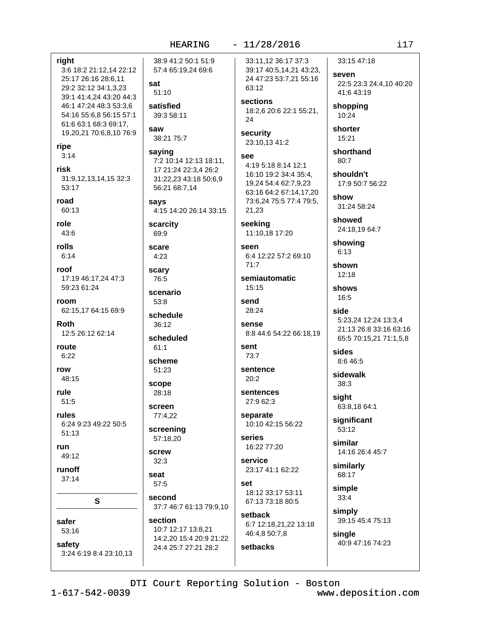| right<br>3:6 18:2 21:12,14 22:12<br>25:17 26:16 28:6,11<br>29:2 32:12 34:1,3,23<br>39:1 41:4,24 43:20 44:3<br>46:1 47:24 48:3 53:3,6<br>54:16 55:6.8 56:15 57:1<br>61:6 63:1 68:3 69:17,<br>19,20,21 70:6,8,10 76:9<br>ripe | 38:9 41:2 50:1 51:9<br>57:4 65:19,24 69:6<br>sat<br>51:10<br>satisfied<br>39:3 58:11<br>saw<br>38:21 75:7 |
|-----------------------------------------------------------------------------------------------------------------------------------------------------------------------------------------------------------------------------|-----------------------------------------------------------------------------------------------------------|
| 3:14                                                                                                                                                                                                                        | saying<br>7:2 10:14 12:13 18:11,                                                                          |
| risk                                                                                                                                                                                                                        | 17 21:24 22:3,4 26:2                                                                                      |
| 31:9,12,13,14,15 32:3                                                                                                                                                                                                       | 31:22,23 43:18 50:6,9                                                                                     |
| 53:17                                                                                                                                                                                                                       | 56:21 68:7,14                                                                                             |
| road                                                                                                                                                                                                                        | says                                                                                                      |
| 60:13                                                                                                                                                                                                                       | 4:15 14:20 26:14 33:15                                                                                    |
| role                                                                                                                                                                                                                        | scarcity                                                                                                  |
| 43:6                                                                                                                                                                                                                        | 69:9                                                                                                      |
| rolls                                                                                                                                                                                                                       | scare                                                                                                     |
| 6:14                                                                                                                                                                                                                        | 4:23                                                                                                      |
| roof                                                                                                                                                                                                                        | scary                                                                                                     |
| 17:19 46:17,24 47:3                                                                                                                                                                                                         | 76:5                                                                                                      |
| 59:23 61:24                                                                                                                                                                                                                 | scenario                                                                                                  |
| room                                                                                                                                                                                                                        | 53:8                                                                                                      |
| 62:15,17 64:15 69:9                                                                                                                                                                                                         | schedule                                                                                                  |
| <b>Roth</b>                                                                                                                                                                                                                 | 36:12                                                                                                     |
| 12:5 26:12 62:14                                                                                                                                                                                                            | scheduled                                                                                                 |
| route                                                                                                                                                                                                                       | 61:1                                                                                                      |
| 6:22                                                                                                                                                                                                                        | scheme                                                                                                    |
| row                                                                                                                                                                                                                         | 51:23                                                                                                     |
| 48:15                                                                                                                                                                                                                       | scope                                                                                                     |
| rule<br>51:5                                                                                                                                                                                                                | 28:18                                                                                                     |
| rules                                                                                                                                                                                                                       | screen<br>77:4,22                                                                                         |
| 6:24 9:23 49:22 50:5                                                                                                                                                                                                        | screening                                                                                                 |
| 51:13                                                                                                                                                                                                                       | 57:18,20                                                                                                  |
| run                                                                                                                                                                                                                         | screw                                                                                                     |
| 49:12                                                                                                                                                                                                                       | 32:3                                                                                                      |
| runoff                                                                                                                                                                                                                      | seat                                                                                                      |
| 37:14                                                                                                                                                                                                                       | 57:5                                                                                                      |
| S                                                                                                                                                                                                                           | second<br>37:7 46:7 61:13 79:9,10                                                                         |
| safer                                                                                                                                                                                                                       | section                                                                                                   |
| 53:16                                                                                                                                                                                                                       | 10:7 12:17 13:8,21                                                                                        |
| safety                                                                                                                                                                                                                      | 14:2,20 15:4 20:9 21:22                                                                                   |
| 3:24 6:19 8:4 23:10,13                                                                                                                                                                                                      | 24:4 25:7 27:21 28:2                                                                                      |
|                                                                                                                                                                                                                             |                                                                                                           |

|  |  |  | 11/28/2016 |  |
|--|--|--|------------|--|
|--|--|--|------------|--|

33:11,12 36:17 37:3 39:17 40:5,14,21 43:23, 24 47:23 53:7,21 55:16 63:12

sections 18:2,6 20:6 22:1 55:21, 24

security 23:10,13 41:2

```
see
4:19 5:18 8:14 12:1
16:10 19:2 34:4 35:4,
19,24 54:4 62:7,9,23
63:16 64:2 67:14,17,20
73:6,24 75:5 77:4 79:5,
21,23
```
seeking 11:10,18 17:20

seen 6:4 12:22 57:2 69:10  $71:7$ 

semiautomatic 15:15

```
send
28:24
```
sense 8:8 44:6 54:22 66:18,19

```
sent
73:7
```
sentence  $20:2$ 

sentences 27:9 62:3

separate 10:10 42:15 56:22

series 16:22 77:20

service 23:17 41:1 62:22

set 18:12 33:17 53:11 67:13 73:18 80:5

setback 6:7 12:18,21,22 13:18 46:4,8 50:7,8

setbacks

33:15 47:18 seven

22:5 23:3 24:4,10 40:20 41:6 43:19

shopping 10:24

shorter 15:21

shorthand 80:7

shouldn't 17:9 50:7 56:22

show 31:24 58:24

showed 24:18,19 64:7

showing  $6:13$ 

shown  $12:18$ 

shows 16:5

side 5:23,24 12:24 13:3,4 21:13 26:8 33:16 63:16 65:5 70:15,21 71:1,5,8

sides 8:6 46:5

sidewalk 38:3

sight 63:8,18 64:1

significant 53:12

similar 14:16 26:4 45:7

similarly 68:17

simple  $33:4$ 

simply 39:15 45:4 75:13

single 40:9 47:16 74:23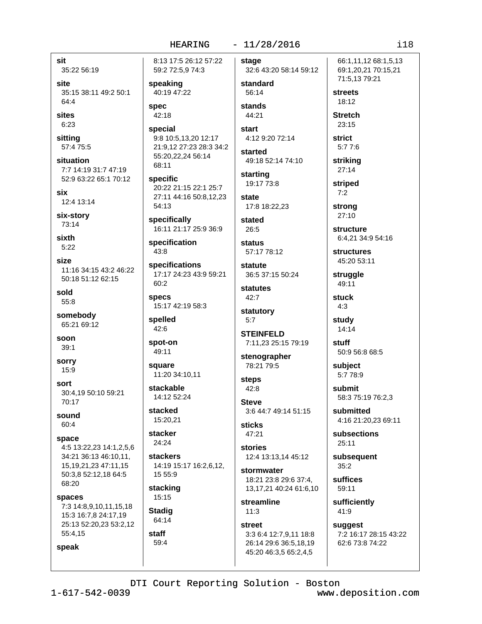### $-11/28/2016$

sit 35:22 56:19

site 35:15 38:11 49:2 50:1 64:4

sites 6:23

sitting 57:4 75:5

situation 7:7 14:19 31:7 47:19 52:9 63:22 65:1 70:12

six 12:4 13:14

six-story 73:14

sixth  $5:22$ 

size 11:16 34:15 43:2 46:22 50:18 51:12 62:15

sold 55:8

somebody 65:21 69:12

soon  $39:1$ 

**sorry** 15:9

sort 30:4.19 50:10 59:21 70:17

sound 60:4

speak

space 4:5 13:22,23 14:1,2,5,6 34:21 36:13 46:10.11. 15.19.21.23 47:11.15 50:3.8 52:12.18 64:5 68:20

spaces 7:3 14:8,9,10,11,15,18 15:3 16:7,8 24:17,19 25:13 52:20,23 53:2,12 55:4,15

8:13 17:5 26:12 57:22 59:2 72:5,9 74:3

speaking 40:19 47:22

**spec** 42:18

special 9:8 10:5,13,20 12:17 21:9,12 27:23 28:3 34:2 55:20,22,24 56:14 68:11

**specific** 20:22 21:15 22:1 25:7 27:11 44:16 50:8,12,23 54:13

specifically 16:11 21:17 25:9 36:9

specification  $43:8$ 

specifications 17:17 24:23 43:9 59:21 60:2

**specs** 15:17 42:19 58:3

spelled 42:6

spot-on 49:11

square 11:20 34:10.11

stackable 14:12 52:24

stacked 15:20,21

stacker 24:24

**stackers** 14:19 15:17 16:2,6,12, 15 55:9

stacking 15:15

**Stadig** 64:14

staff 59:4 stage 32:6 43:20 58:14 59:12

standard 56:14 stands

44:21 **start** 

4:12 9:20 72:14 started

49:18 52:14 74:10

starting 19:17 73:8 state

17:8 18:22,23

stated  $26:5$ 

**status** 57:17 78:12

statute 36:5 37:15 50:24

statutes 42:7

statutory  $5:7$ 

**STEINFELD** 7:11,23 25:15 79:19

stenographer 78:21 79:5

steps  $42:8$ 

**Steve** 3:6 44:7 49:14 51:15

**sticks** 47:21

stories 12:4 13:13,14 45:12

stormwater 18:21 23:8 29:6 37:4, 13,17,21 40:24 61:6,10

streamline  $11:3$ 

**street** 3:3 6:4 12:7,9,11 18:8 26:14 29:6 36:5,18,19 45:20 46:3,5 65:2,4,5

66:1,11,12 68:1,5,13 69:1,20,21 70:15,21 71:5,13 79:21

**streets** 18:12

**Stretch** 23:15

strict  $5:77:6$ 

striking  $27:14$ 

striped  $7:2$ 

strong 27:10

structure 6:4,21 34:9 54:16

**structures** 45:20 53:11

struaale 49:11

stuck  $4:3$ 

study 14:14

**stuff** 50:9 56:8 68:5

subject 5:7 78:9

submit 58:3 75:19 76:2.3

submitted 4:16 21:20,23 69:11

subsections 25:11

subsequent  $35:2$ 

suffices 59:11

sufficiently 41:9

suggest 7:2 16:17 28:15 43:22 62:6 73:8 74:22

DTI Court Reporting Solution - Boston

 $1 - 617 - 542 - 0039$ 

www.deposition.com

 $118$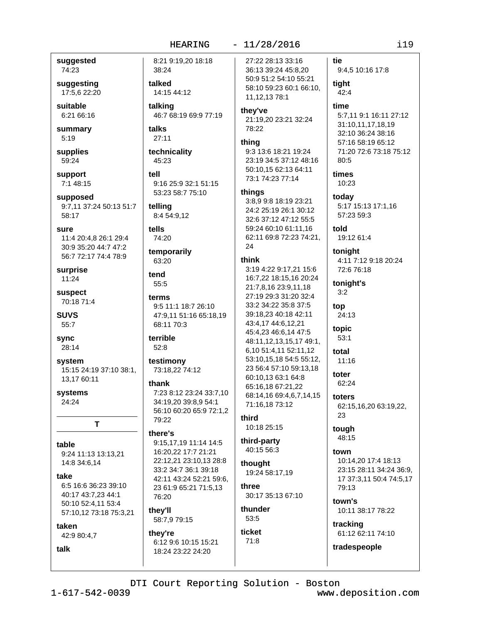46:7 68:19 69:9 77:19

9:16 25:9 32:1 51:15 53:23 58:7 75:10

8:21 9:19,20 18:18

38:24

talked

talking

talks

 $27:11$ 

45:23

telling

tells

74:20

63:20

tend

55:5

terms

8:4 54:9,12

temporarily

68:11 70:3

terrible

52:8

thank

79:22

there's

76:20

they'll

they're

58:7,9 79:15

testimony

73:18,22 74:12

9:5 11:1 18:7 26:10

47:9,11 51:16 65:18,19

7:23 8:12 23:24 33:7,10

56:10 60:20 65:9 72:1,2

9:15,17,19 11:14 14:5

22:12.21 23:10.13 28:8

42:11 43:24 52:21 59:6,

23 61:9 65:21 71:5,13

6:12 9:6 10:15 15:21

18:24 23:22 24:20

16:20.22 17:7 21:21

33:2 34:7 36:1 39:18

34:19.20 39:8.9 54:1

tell

technicality

14:15 44:12

suggested 74:23

suggesting 17:5.6 22:20

suitable 6:21 66:16

summary  $5:19$ 

supplies 59:24

support 7:1 48:15

supposed 9:7,11 37:24 50:13 51:7 58:17

sure

11:4 20:4,8 26:1 29:4 30:9 35:20 44:7 47:2 56:7 72:17 74:4 78:9

surprise  $11:24$ 

suspect 70:18 71:4

**SUVS** 55:7

sync 28:14

system 15:15 24:19 37:10 38:1. 13.17 60:11

T

systems 24:24

#### table

9:24 11:13 13:13.21 14:8 34:6,14

take

6:5 16:6 36:23 39:10 40:17 43:7,23 44:1 50:10 52:4,11 53:4 57:10,12 73:18 75:3,21

#### taken

42:9 80:4,7

talk

 $-11/28/2016$ 

27:22 28:13 33:16 36:13 39:24 45:8,20 50:9 51:2 54:10 55:21 58:10 59:23 60:1 66:10, 11, 12, 13 78: 1

#### they've

21:19,20 23:21 32:24 78:22

## thing

9:3 13:6 18:21 19:24 23:19 34:5 37:12 48:16 50:10,15 62:13 64:11 73:1 74:23 77:14

#### things

3:8,9 9:8 18:19 23:21 24:2 25:19 26:1 30:12 32:6 37:12 47:12 55:5 59:24 60:10 61:11.16 62:11 69:8 72:23 74:21,  $24$ 

#### think

3:19 4:22 9:17,21 15:6 16:7,22 18:15,16 20:24 21:7,8,16 23:9,11,18 27:19 29:3 31:20 32:4 33:2 34:22 35:8 37:5 39:18.23 40:18 42:11 43:4,17 44:6,12,21 45:4,23 46:6,14 47:5 48:11,12,13,15,17 49:1, 6,10 51:4,11 52:11,12 53:10,15,18 54:5 55:12, 23 56:4 57:10 59:13,18 60:10,13 63:1 64:8 65:16,18 67:21,22 68:14,16 69:4,6,7,14,15 71:16,18 73:12

#### third 10:18 25:15

third-party 40:15 56:3

thought 19:24 58:17,19 three

30:17 35:13 67:10 thunder

## 53:5 ticket  $71:8$

tie

9:4,5 10:16 17:8

tight  $42:4$ 

### time

5:7,11 9:1 16:11 27:12 31:10,11,17,18,19 32:10 36:24 38:16 57:16 58:19 65:12 71:20 72:6 73:18 75:12 80:5

#### times 10:23

today 5:17 15:13 17:1,16 57:23 59:3

told 19:12 61:4

tonight 4:11 7:12 9:18 20:24 72:6 76:18

tonight's  $3:2$ 

top 24:13

topic  $53:1$ 

total 11:16

toter  $62:24$ 

toters 62:15,16,20 63:19,22, 23

tough 48:15

town 10:14.20 17:4 18:13 23:15 28:11 34:24 36:9, 17 37:3,11 50:4 74:5,17 79:13

town's 10:11 38:17 78:22

tracking 61:12 62:11 74:10

tradespeople

DTI Court Reporting Solution - Boston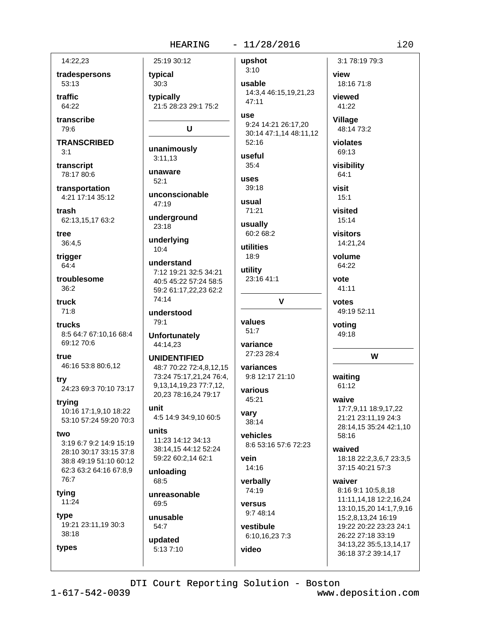## $-11/28/2016$

14:22,23 tradespersons

53:13

traffic  $64.22$ 

transcribe 79:6

**TRANSCRIBED**  $3:1$ 

transcript 78:17 80:6

transportation 4:21 17:14 35:12

trash 62:13,15,17 63:2

tree 36:4,5

trigger 64:4

troublesome  $36:2$ 

truck  $71:8$ 

trucks 8:5 64:7 67:10,16 68:4 69:12 70:6

true 46:16 53:8 80:6,12

try 24:23 69:3 70:10 73:17

trying 10:16 17:1,9,10 18:22 53:10 57:24 59:20 70:3

two 3:19 6:7 9:2 14:9 15:19

28:10 30:17 33:15 37:8 38:8 49:19 51:10 60:12 62:3 63:2 64:16 67:8.9  $76.7$ 

tying  $11:24$ 

types

type 19:21 23:11,19 30:3 38:18

updated

5:13 7:10

**HEARING** 25:19 30:12 upshot  $3:10$ typical  $30:3$ usable typically  $47:11$ 21:5 28:23 29:1 75:2 **USA** U  $52:16$ unanimously useful  $3:11.13$  $35:4$ unaware uses  $52:1$  $39:18$ unconscionable usual 47:19 71:21 underground usually  $23:18$ underlying utilities  $10:4$ 18:9 understand utility 7:12 19:21 32:5 34:21 40:5 45:22 57:24 58:5 59:2 61:17,22,23 62:2 74:14 understood 79:1 values  $51:7$ **Unfortunately** 44:14,23 variance **UNIDENTIFIED** 48:7 70:22 72:4,8,12,15 73:24 75:17,21,24 76:4, 9, 13, 14, 19, 23 77: 7, 12, various 20,23 78:16,24 79:17 45:21 unit vary 4:5 14:9 34:9,10 60:5 38:14 units vehicles 11:23 14:12 34:13 38:14,15 44:12 52:24 59:22 60:2,14 62:1 vein 14:16 unloading 68:5 verbally 74:19 unreasonable 69:5 versus unusable 54:7

14:3,4 46:15,19,21,23 9:24 14:21 26:17,20 30:14 47:1,14 48:11,12 visit  $60:268:2$ 23:16 41:1  $\mathbf v$ 27:23 28:4 variances 9:8 12:17 21:10 8:6 53:16 57:6 72:23 9:7 48:14 vestibule 6:10,16,23 7:3 video

3:1 78:19 79:3 view 18:16 71:8 viewed 41:22 Village 48:14 73:2 violates 69:13 visibility  $64:1$  $15:1$ visited 15:14 visitors 14:21,24 volume 64:22 vote 41:11 votes 49:19 52:11 voting 49:18 W waiting  $61:12$ waive 17:7,9,11 18:9,17,22 21:21 23:11,19 24:3 28:14,15 35:24 42:1,10 58:16 waived 18:18 22:2,3,6,7 23:3,5 37:15 40:21 57:3 waiver 8:16 9:1 10:5,8,18

11:11,14,18 12:2,16,24 13:10,15,20 14:1,7,9,16 15:2,8,13,24 16:19 19:22 20:22 23:23 24:1 26:22 27:18 33:19 34:13,22 35:5,13,14,17 36:18 37:2 39:14,17